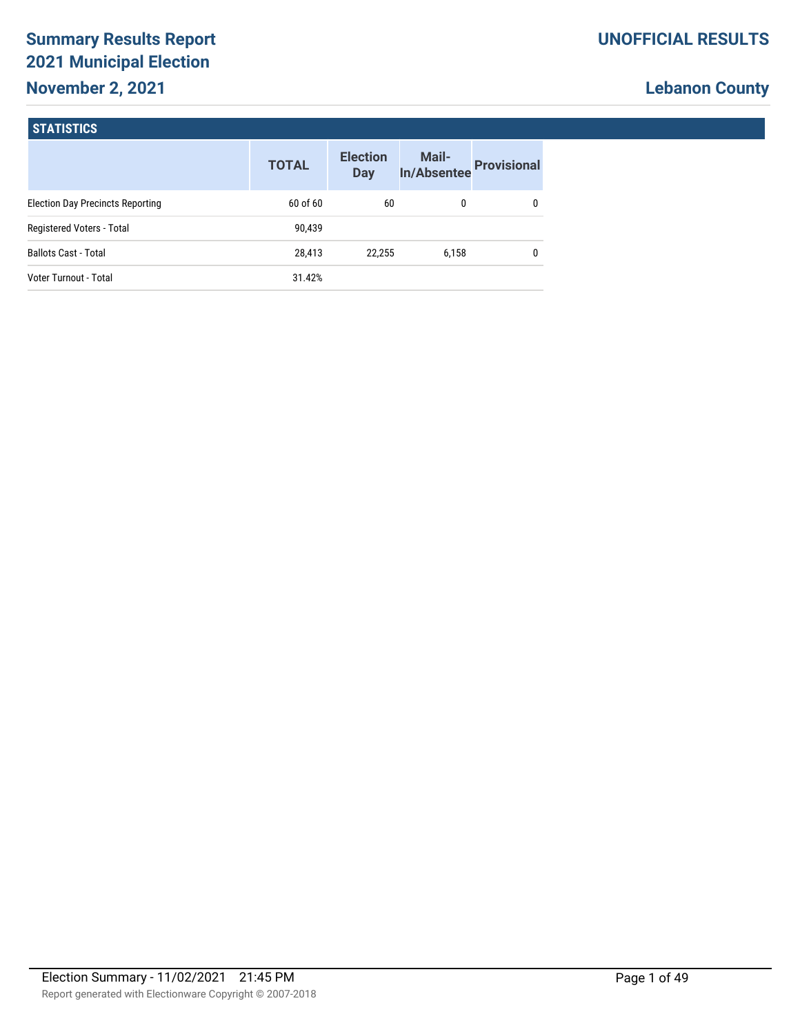# **Summary Results Report 2021 Municipal Election November 2, 2021**

# **Lebanon County**

### **STATISTICS**

|                                         | <b>TOTAL</b> | <b>Election</b><br>Day | Mail-<br><b>In/Absentee</b> | <b>Provisional</b> |
|-----------------------------------------|--------------|------------------------|-----------------------------|--------------------|
| <b>Election Day Precincts Reporting</b> | 60 of 60     | 60                     | 0                           |                    |
| Registered Voters - Total               | 90,439       |                        |                             |                    |
| <b>Ballots Cast - Total</b>             | 28,413       | 22.255                 | 6,158                       |                    |
| Voter Turnout - Total                   | 31.42%       |                        |                             |                    |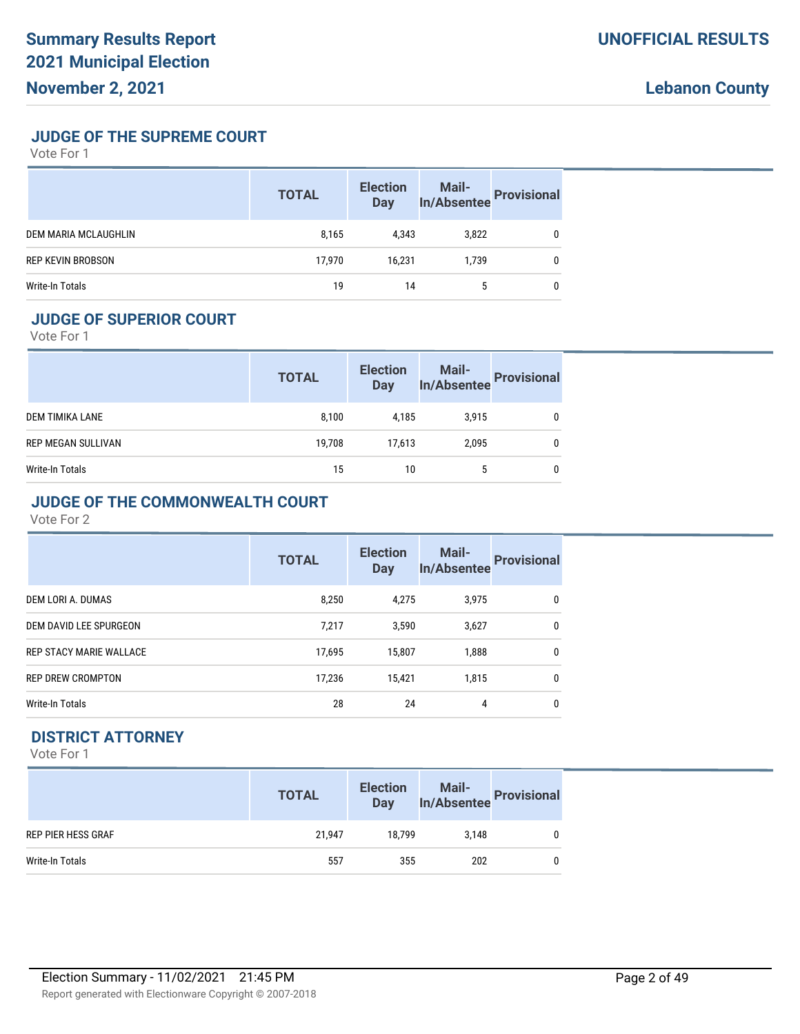**JUDGE OF THE SUPREME COURT**

Vote For 1

|                          | <b>TOTAL</b> | <b>Election</b><br><b>Day</b> | Mail-<br>In/Absentee Provisional |  |
|--------------------------|--------------|-------------------------------|----------------------------------|--|
| DEM MARIA MCLAUGHLIN     | 8,165        | 4.343                         | 3,822                            |  |
| <b>REP KEVIN BROBSON</b> | 17,970       | 16.231                        | 1.739                            |  |
| Write-In Totals          | 19           | 14                            | 5                                |  |

# **JUDGE OF SUPERIOR COURT**

Vote For 1

|                           | <b>TOTAL</b> | <b>Election</b><br><b>Day</b> | Mail-<br>In/Absentee | <b>Provisional</b> |
|---------------------------|--------------|-------------------------------|----------------------|--------------------|
| DEM TIMIKA LANE           | 8,100        | 4.185                         | 3.915                | 0                  |
| <b>REP MEGAN SULLIVAN</b> | 19,708       | 17,613                        | 2.095                | 0                  |
| Write-In Totals           | 15           | 10                            | 5                    | 0                  |

#### **JUDGE OF THE COMMONWEALTH COURT**

Vote For 2

|                                | <b>TOTAL</b> | <b>Election</b><br><b>Day</b> | <b>Mail-</b><br><b>In/Absentee</b> | <b>Provisional</b> |
|--------------------------------|--------------|-------------------------------|------------------------------------|--------------------|
| DEM LORI A. DUMAS              | 8,250        | 4,275                         | 3,975                              | 0                  |
| DEM DAVID LEE SPURGEON         | 7,217        | 3,590                         | 3,627                              | 0                  |
| <b>REP STACY MARIE WALLACE</b> | 17,695       | 15,807                        | 1,888                              | 0                  |
| <b>REP DREW CROMPTON</b>       | 17,236       | 15,421                        | 1.815                              | 0                  |
| Write-In Totals                | 28           | 24                            | 4                                  | 0                  |

# **DISTRICT ATTORNEY**

|                           | <b>TOTAL</b> | <b>Election</b><br><b>Day</b> | Mail-<br>In/Absentee Provisional |              |
|---------------------------|--------------|-------------------------------|----------------------------------|--------------|
| <b>REP PIER HESS GRAF</b> | 21,947       | 18.799                        | 3.148                            |              |
| Write-In Totals           | 557          | 355                           | 202                              | $\mathbf{0}$ |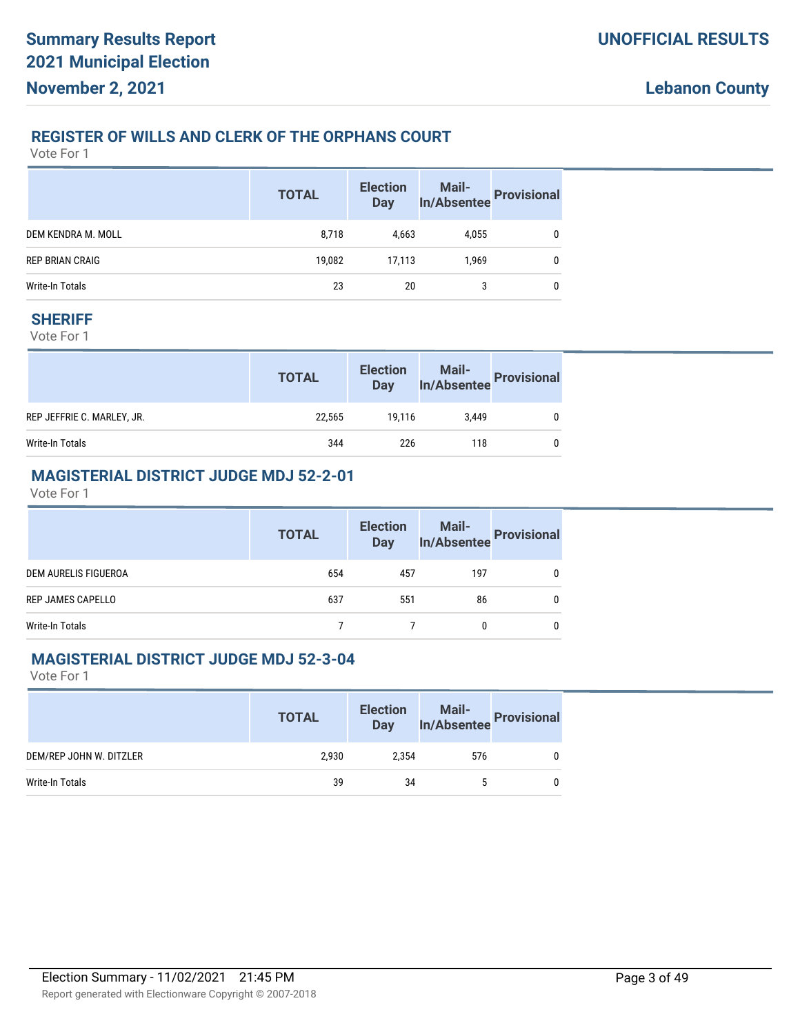#### **REGISTER OF WILLS AND CLERK OF THE ORPHANS COURT**

Vote For 1

|                        | <b>TOTAL</b> | <b>Election</b><br>Day | Mail-<br>In/Absentee Provisional |   |
|------------------------|--------------|------------------------|----------------------------------|---|
| DEM KENDRA M. MOLL     | 8,718        | 4,663                  | 4,055                            | 0 |
| <b>REP BRIAN CRAIG</b> | 19,082       | 17,113                 | 1.969                            |   |
| Write-In Totals        | 23           | 20                     | 3                                |   |

#### **SHERIFF**

Vote For 1

|                            | <b>TOTAL</b> | <b>Election</b><br><b>Day</b> | Mail-<br>In/Absentee Provisional |  |
|----------------------------|--------------|-------------------------------|----------------------------------|--|
| REP JEFFRIE C. MARLEY, JR. | 22.565       | 19.116                        | 3.449                            |  |
| Write-In Totals            | 344          | 226                           | 118                              |  |

# **MAGISTERIAL DISTRICT JUDGE MDJ 52-2-01**

Vote For 1

|                      | <b>TOTAL</b> | <b>Election</b><br><b>Day</b> |     | Mail-<br>In/Absentee Provisional |
|----------------------|--------------|-------------------------------|-----|----------------------------------|
| DEM AURELIS FIGUEROA | 654          | 457                           | 197 |                                  |
| REP JAMES CAPELLO    | 637          | 551                           | 86  |                                  |
| Write-In Totals      |              |                               |     |                                  |

#### **MAGISTERIAL DISTRICT JUDGE MDJ 52-3-04**

|                         | <b>TOTAL</b> | <b>Election</b><br><b>Day</b> | Mail-<br>In/Absentee | <b>Provisional</b> |
|-------------------------|--------------|-------------------------------|----------------------|--------------------|
| DEM/REP JOHN W. DITZLER | 2.930        | 2.354                         | 576                  | 0                  |
| Write-In Totals         | 39           | 34                            | 5                    | $\mathbf{0}$       |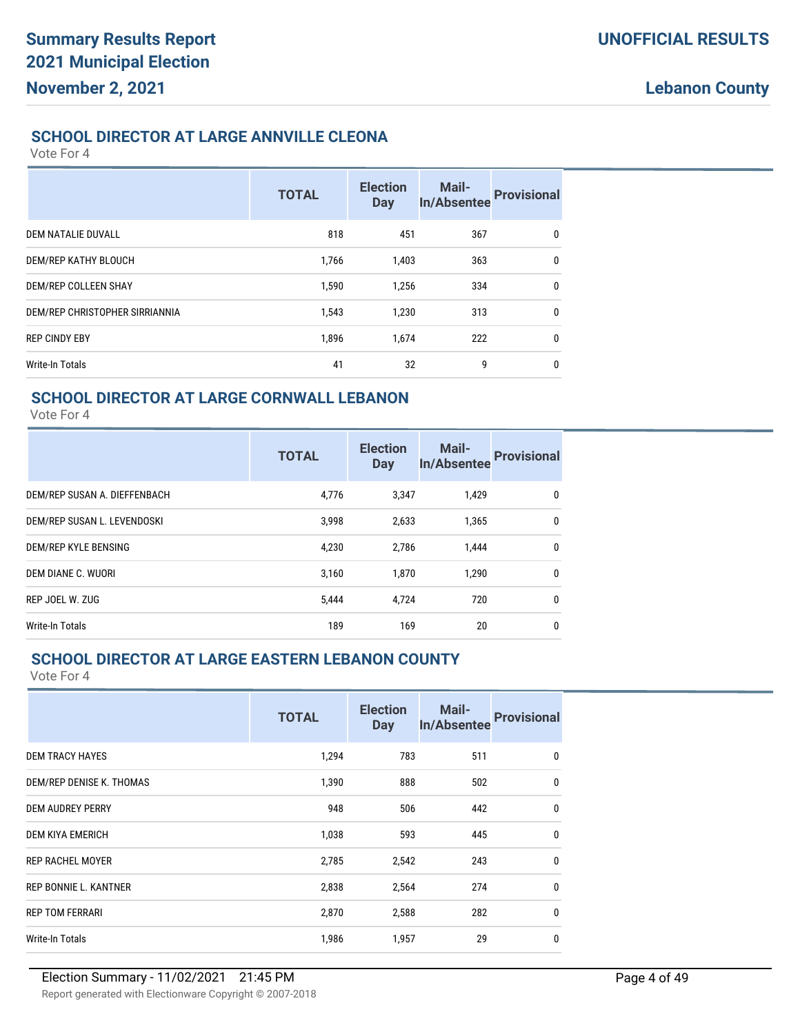### **SCHOOL DIRECTOR AT LARGE ANNVILLE CLEONA**

Vote For 4

|                                | <b>TOTAL</b> | <b>Election</b><br><b>Day</b> | Mail-<br><b>In/Absentee</b> | <b>Provisional</b> |
|--------------------------------|--------------|-------------------------------|-----------------------------|--------------------|
| DEM NATALIE DUVALL             | 818          | 451                           | 367                         | 0                  |
| DEM/REP KATHY BLOUCH           | 1,766        | 1,403                         | 363                         | 0                  |
| DEM/REP COLLEEN SHAY           | 1,590        | 1,256                         | 334                         | $\mathbf{0}$       |
| DEM/REP CHRISTOPHER SIRRIANNIA | 1,543        | 1,230                         | 313                         | 0                  |
| <b>REP CINDY EBY</b>           | 1,896        | 1,674                         | 222                         | $\mathbf{0}$       |
| Write-In Totals                | 41           | 32                            | 9                           | $\mathbf{0}$       |

## **SCHOOL DIRECTOR AT LARGE CORNWALL LEBANON**

Vote For 4

|                              | <b>TOTAL</b> | <b>Election</b><br><b>Day</b> | Mail-<br>In/Absentee | <b>Provisional</b> |
|------------------------------|--------------|-------------------------------|----------------------|--------------------|
| DEM/REP SUSAN A. DIEFFENBACH | 4,776        | 3,347                         | 1,429                | 0                  |
| DEM/REP SUSAN L. LEVENDOSKI  | 3,998        | 2,633                         | 1.365                | $\mathbf{0}$       |
| DEM/REP KYLE BENSING         | 4,230        | 2,786                         | 1.444                | 0                  |
| DEM DIANE C. WUORI           | 3.160        | 1.870                         | 1.290                | $\mathbf{0}$       |
| REP JOEL W. ZUG              | 5,444        | 4.724                         | 720                  | $\mathbf{0}$       |
| Write-In Totals              | 189          | 169                           | 20                   | 0                  |

# **SCHOOL DIRECTOR AT LARGE EASTERN LEBANON COUNTY**

|                              | <b>TOTAL</b> | <b>Election</b><br><b>Day</b> | <b>Mail-</b><br>In/Absentee | <b>Provisional</b> |
|------------------------------|--------------|-------------------------------|-----------------------------|--------------------|
| <b>DEM TRACY HAYES</b>       | 1,294        | 783                           | 511                         | $\mathbf{0}$       |
| DEM/REP DENISE K. THOMAS     | 1,390        | 888                           | 502                         | $\mathbf{0}$       |
| <b>DEM AUDREY PERRY</b>      | 948          | 506                           | 442                         | $\mathbf 0$        |
| DEM KIYA EMERICH             | 1,038        | 593                           | 445                         | $\mathbf 0$        |
| <b>REP RACHEL MOYER</b>      | 2,785        | 2,542                         | 243                         | $\mathbf 0$        |
| <b>REP BONNIE L. KANTNER</b> | 2,838        | 2,564                         | 274                         | $\mathbf 0$        |
| <b>REP TOM FERRARI</b>       | 2,870        | 2,588                         | 282                         | $\mathbf 0$        |
| Write-In Totals              | 1,986        | 1,957                         | 29                          | $\mathbf{0}$       |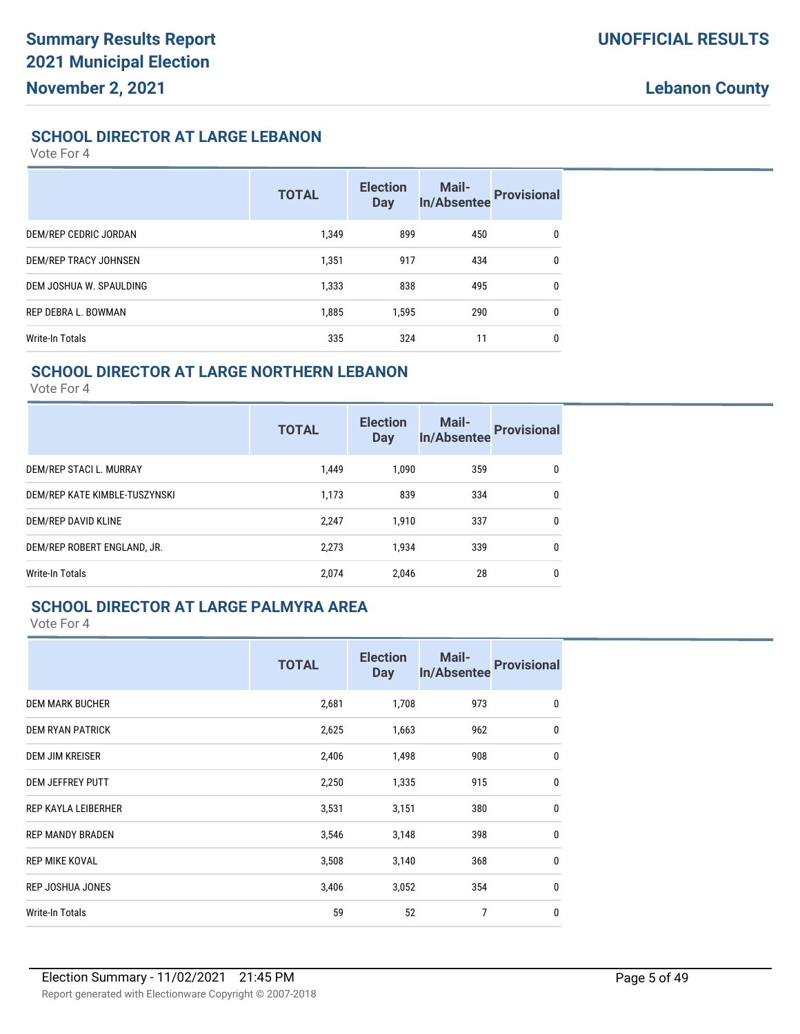#### **SCHOOL DIRECTOR AT LARGE LEBANON**

Vote For 4

|                         | <b>TOTAL</b> | <b>Election</b><br><b>Day</b> | <b>Mail-</b><br><b>In/Absentee</b> | <b>Provisional</b> |
|-------------------------|--------------|-------------------------------|------------------------------------|--------------------|
| DEM/REP CEDRIC JORDAN   | 1.349        | 899                           | 450                                | $\mathbf{0}$       |
| DEM/REP TRACY JOHNSEN   | 1,351        | 917                           | 434                                | $\mathbf{0}$       |
| DEM JOSHUA W. SPAULDING | 1,333        | 838                           | 495                                | $\mathbf{0}$       |
| REP DEBRA L. BOWMAN     | 1,885        | 1.595                         | 290                                | $\mathbf{0}$       |
| Write-In Totals         | 335          | 324                           | 11                                 | $\mathbf{0}$       |

#### **SCHOOL DIRECTOR AT LARGE NORTHERN LEBANON**

Vote For 4

|                               | <b>TOTAL</b> | <b>Election</b><br><b>Day</b> | <b>Mail-</b><br><b>In/Absentee</b> | <b>Provisional</b> |
|-------------------------------|--------------|-------------------------------|------------------------------------|--------------------|
| DEM/REP STACI L. MURRAY       | 1.449        | 1.090                         | 359                                | 0                  |
| DEM/REP KATE KIMBLE-TUSZYNSKI | 1,173        | 839                           | 334                                | 0                  |
| DEM/REP DAVID KLINE           | 2,247        | 1.910                         | 337                                | 0                  |
| DEM/REP ROBERT ENGLAND, JR.   | 2,273        | 1,934                         | 339                                | 0                  |
| Write-In Totals               | 2.074        | 2,046                         | 28                                 | $\mathbf{0}$       |

# **SCHOOL DIRECTOR AT LARGE PALMYRA AREA**

|                         | <b>TOTAL</b> | <b>Election</b><br><b>Day</b> | Mail-<br><b>In/Absentee</b> | <b>Provisional</b> |
|-------------------------|--------------|-------------------------------|-----------------------------|--------------------|
| <b>DEM MARK BUCHER</b>  | 2,681        | 1,708                         | 973                         | 0                  |
| <b>DEM RYAN PATRICK</b> | 2,625        | 1,663                         | 962                         | $\mathbf{0}$       |
| <b>DEM JIM KREISER</b>  | 2,406        | 1,498                         | 908                         | $\mathbf{0}$       |
| <b>DEM JEFFREY PUTT</b> | 2,250        | 1,335                         | 915                         | $\mathbf{0}$       |
| REP KAYLA LEIBERHER     | 3,531        | 3,151                         | 380                         | $\mathbf{0}$       |
| <b>REP MANDY BRADEN</b> | 3,546        | 3,148                         | 398                         | $\mathbf{0}$       |
| REP MIKE KOVAL          | 3,508        | 3,140                         | 368                         | $\mathbf{0}$       |
| <b>REP JOSHUA JONES</b> | 3,406        | 3,052                         | 354                         | $\mathbf{0}$       |
| <b>Write-In Totals</b>  | 59           | 52                            | 7                           | $\mathbf{0}$       |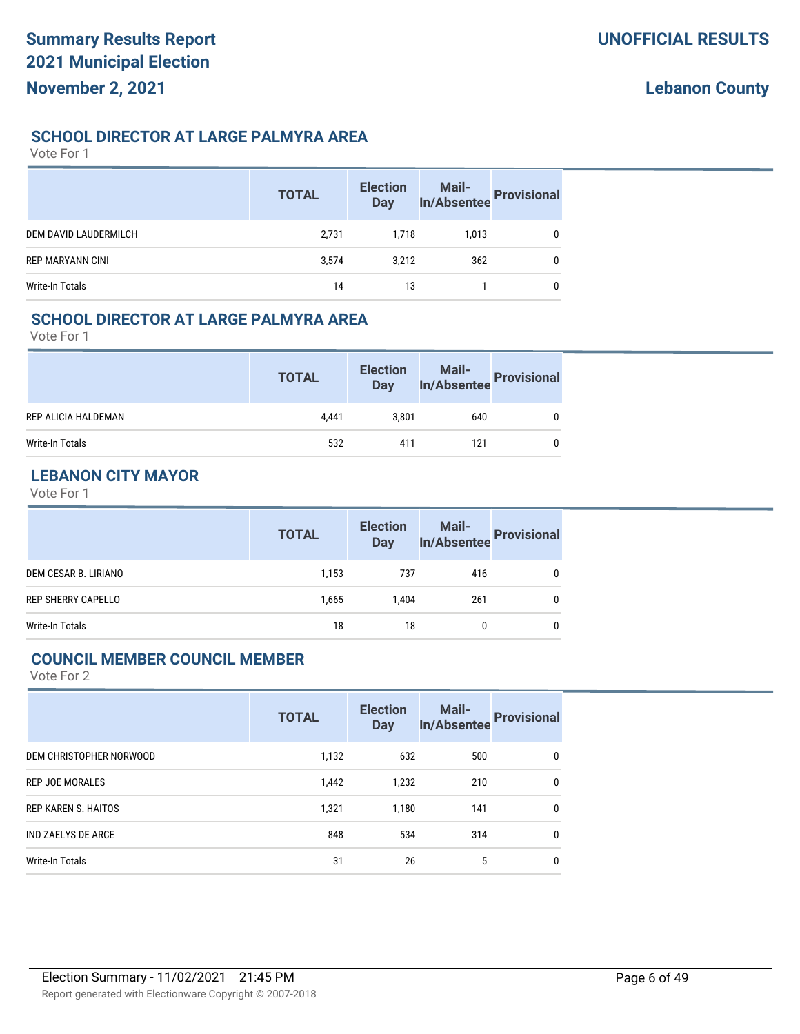## **SCHOOL DIRECTOR AT LARGE PALMYRA AREA**

Vote For 1

|                         | <b>TOTAL</b> | <b>Election</b><br><b>Day</b> | Mail-<br>In/Absentee Provisional |              |
|-------------------------|--------------|-------------------------------|----------------------------------|--------------|
| DEM DAVID LAUDERMILCH   | 2,731        | 1.718                         | 1,013                            | 0            |
| <b>REP MARYANN CINI</b> | 3,574        | 3.212                         | 362                              | $\mathbf{0}$ |
| Write-In Totals         | 14           | 13                            |                                  | $\Omega$     |

# **SCHOOL DIRECTOR AT LARGE PALMYRA AREA**

Vote For 1

|                     | <b>TOTAL</b> | <b>Election</b><br><b>Day</b> | Mail-<br>In/Absentee Provisional |  |
|---------------------|--------------|-------------------------------|----------------------------------|--|
| REP ALICIA HALDEMAN | 4.441        | 3.801                         | 640                              |  |
| Write-In Totals     | 532          | 411                           | 121                              |  |

# **LEBANON CITY MAYOR**

Vote For 1

|                           | <b>TOTAL</b> | <b>Election</b><br>Day | Mail-<br>In/Absentee | Provisional |
|---------------------------|--------------|------------------------|----------------------|-------------|
| DEM CESAR B. LIRIANO      | 1,153        | 737                    | 416                  |             |
| <b>REP SHERRY CAPELLO</b> | 1,665        | 1.404                  | 261                  |             |
| Write-In Totals           | 18           | 18                     |                      |             |

#### **COUNCIL MEMBER COUNCIL MEMBER**

|                            | <b>TOTAL</b> | <b>Election</b><br><b>Day</b> | Mail-<br><b>In/Absentee</b> | <b>Provisional</b> |
|----------------------------|--------------|-------------------------------|-----------------------------|--------------------|
| DEM CHRISTOPHER NORWOOD    | 1,132        | 632                           | 500                         | 0                  |
| <b>REP JOE MORALES</b>     | 1,442        | 1,232                         | 210                         | 0                  |
| <b>REP KAREN S. HAITOS</b> | 1,321        | 1.180                         | 141                         | $\mathbf{0}$       |
| <b>IND ZAELYS DE ARCE</b>  | 848          | 534                           | 314                         | 0                  |
| Write-In Totals            | 31           | 26                            | 5                           | 0                  |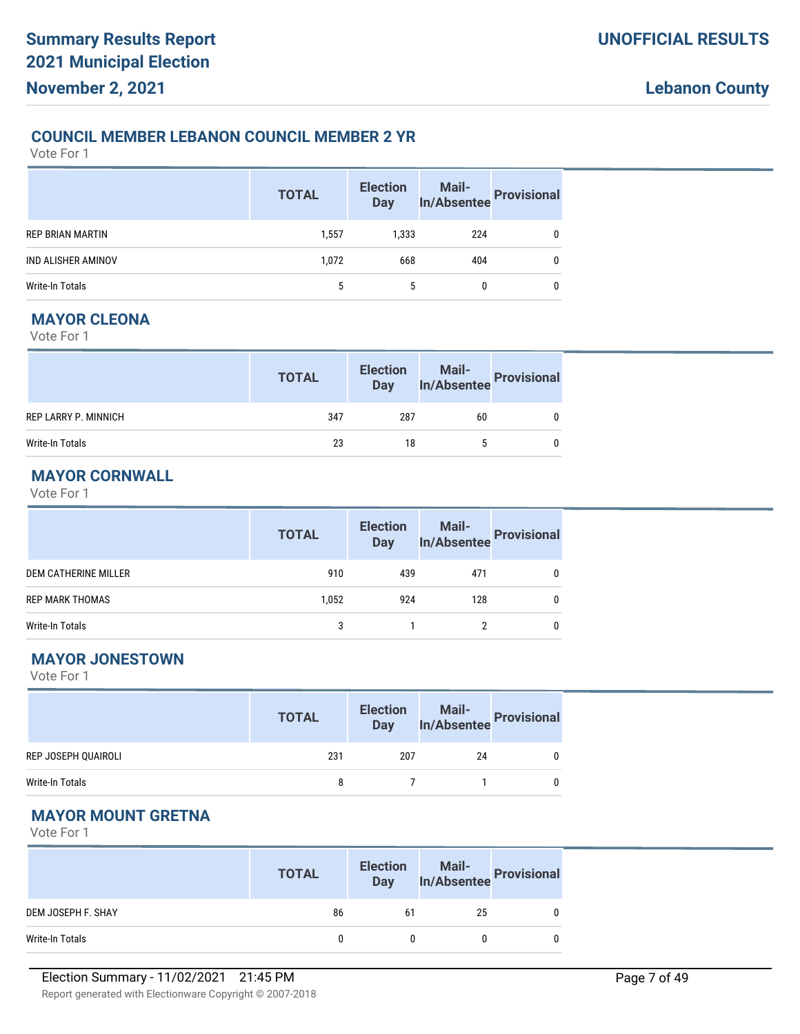### **COUNCIL MEMBER LEBANON COUNCIL MEMBER 2 YR**

Vote For 1

|                         | <b>TOTAL</b> | <b>Election</b><br><b>Day</b> | Mail-<br>In/Absentee Provisional |   |
|-------------------------|--------------|-------------------------------|----------------------------------|---|
| <b>REP BRIAN MARTIN</b> | 1,557        | 1,333                         | 224                              | 0 |
| IND ALISHER AMINOV      | 1,072        | 668                           | 404                              | 0 |
| Write-In Totals         | 5            | 5                             | 0                                | 0 |

#### **MAYOR CLEONA**

Vote For 1

|                      | <b>TOTAL</b> | <b>Election</b><br><b>Day</b> | Mail-<br>In/Absentee | <b>Provisional</b> |
|----------------------|--------------|-------------------------------|----------------------|--------------------|
| REP LARRY P. MINNICH | 347          | 287                           | 60                   |                    |
| Write-In Totals      | 23           | 18                            |                      |                    |

# **MAYOR CORNWALL**

Vote For 1

|                        | <b>TOTAL</b> | <b>Election</b><br><b>Day</b> | Mail-<br>In/Absentee | <b>Provisional</b> |
|------------------------|--------------|-------------------------------|----------------------|--------------------|
| DEM CATHERINE MILLER   | 910          | 439                           | 471                  |                    |
| <b>REP MARK THOMAS</b> | 1,052        | 924                           | 128                  |                    |
| Write-In Totals        |              |                               |                      |                    |

# **MAYOR JONESTOWN**

Vote For 1

|                     | <b>TOTAL</b> | <b>Election</b> |    | lection Mail-<br>Day In/Absentee Provisional |
|---------------------|--------------|-----------------|----|----------------------------------------------|
| REP JOSEPH QUAIROLI | 231          | 207             | 24 |                                              |
| Write-In Totals     | 8            |                 |    |                                              |

# **MAYOR MOUNT GRETNA**

|                    | <b>TOTAL</b> | <b>Election</b><br><b>Day</b> | Mail-<br>In/Absentee Provisional |   |
|--------------------|--------------|-------------------------------|----------------------------------|---|
| DEM JOSEPH F. SHAY | 86           | 61                            | 25                               | 0 |
| Write-In Totals    |              |                               |                                  | 0 |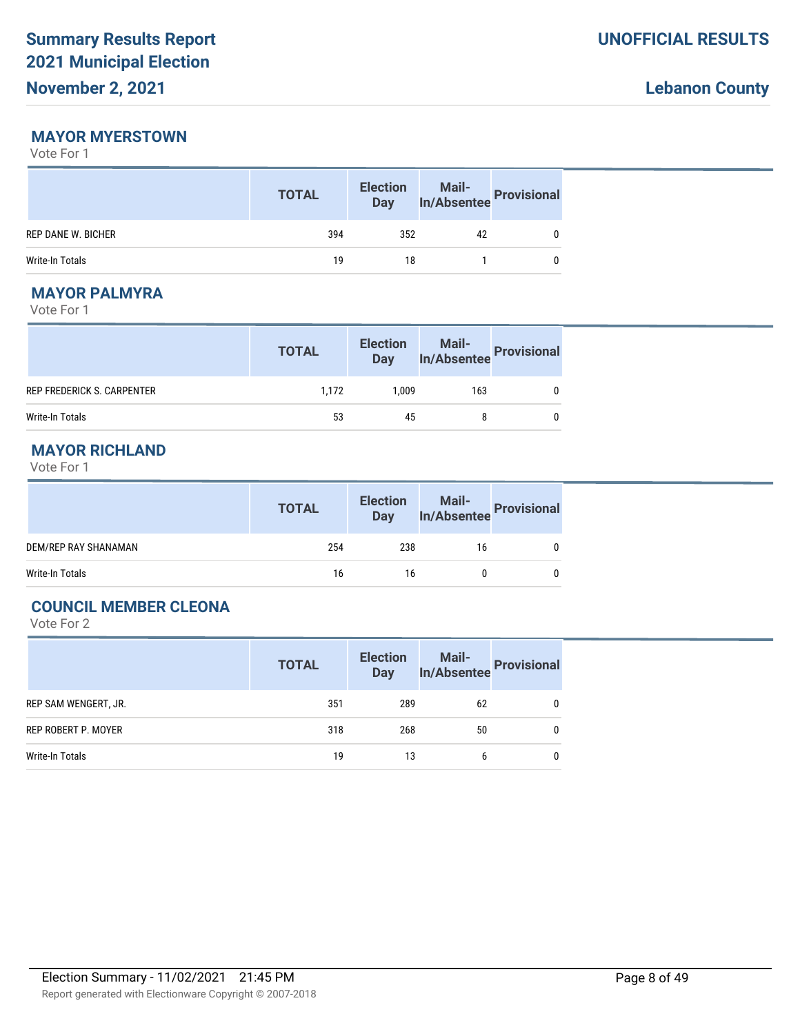#### **MAYOR MYERSTOWN**

Vote For 1

|                    | <b>TOTAL</b> | <b>Election</b><br><b>Day</b> | Mail-<br>In/Absentee Provisional |  |
|--------------------|--------------|-------------------------------|----------------------------------|--|
| REP DANE W. BICHER | 394          | 352                           | 42                               |  |
| Write-In Totals    | 19           | 18                            |                                  |  |

# **MAYOR PALMYRA**

Vote For 1

|                            | <b>TOTAL</b> | <b>Election</b><br><b>Day</b> | Mail-<br>In/Absentee Provisional |  |
|----------------------------|--------------|-------------------------------|----------------------------------|--|
| REP FREDERICK S. CARPENTER | 1.172        | 1.009                         | 163                              |  |
| Write-In Totals            | 53           | 45                            |                                  |  |

# **MAYOR RICHLAND**

Vote For 1

|                      | <b>TOTAL</b> | <b>Election</b><br>Day | Mail-<br>In/Absentee Provisional |  |
|----------------------|--------------|------------------------|----------------------------------|--|
| DEM/REP RAY SHANAMAN | 254          | 238                    | 16                               |  |
| Write-In Totals      | 16           | 16                     |                                  |  |

# **COUNCIL MEMBER CLEONA**

|                      | <b>TOTAL</b> | <b>Election</b><br><b>Day</b> | Mail-<br>In/Absentee Provisional |   |
|----------------------|--------------|-------------------------------|----------------------------------|---|
| REP SAM WENGERT, JR. | 351          | 289                           | 62                               | 0 |
| REP ROBERT P. MOYER  | 318          | 268                           | 50                               | 0 |
| Write-In Totals      | 19           | 13                            | 6                                | 0 |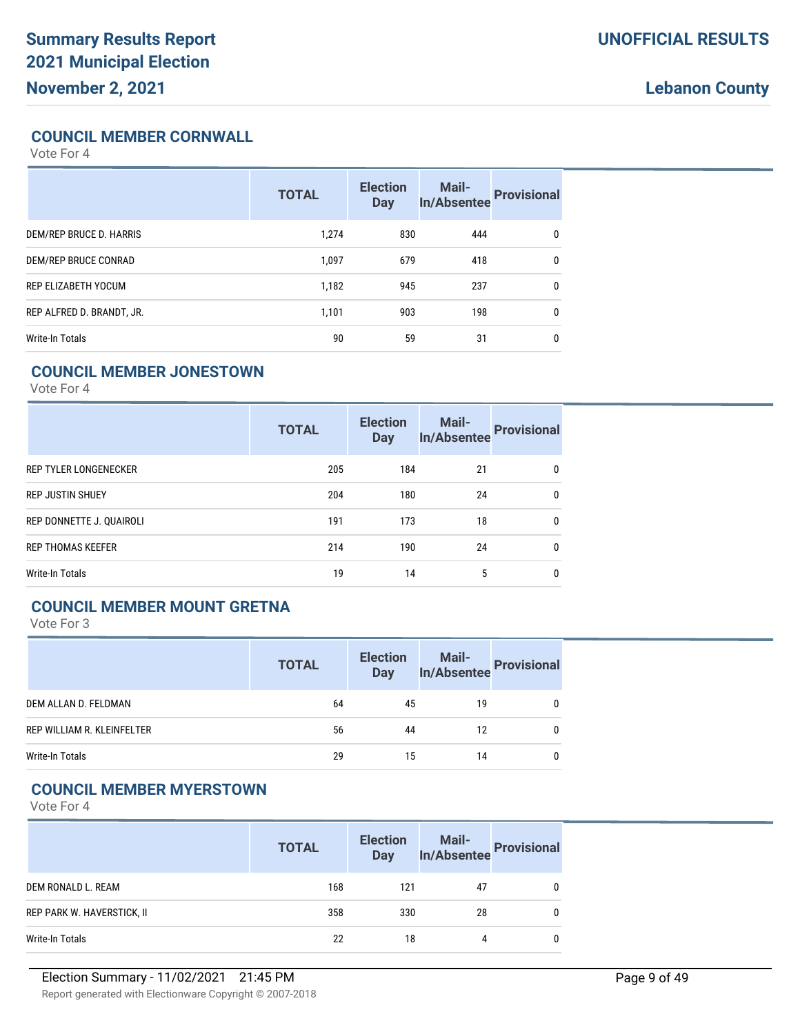### **COUNCIL MEMBER CORNWALL**

Vote For 4

|                           | <b>TOTAL</b> | <b>Election</b><br><b>Day</b> | <b>Mail-</b><br><b>In/Absentee</b> | <b>Provisional</b> |
|---------------------------|--------------|-------------------------------|------------------------------------|--------------------|
| DEM/REP BRUCE D. HARRIS   | 1.274        | 830                           | 444                                | 0                  |
| DEM/REP BRUCE CONRAD      | 1.097        | 679                           | 418                                | $\mathbf{0}$       |
| REP ELIZABETH YOCUM       | 1,182        | 945                           | 237                                | $\mathbf{0}$       |
| REP ALFRED D. BRANDT, JR. | 1.101        | 903                           | 198                                | $\mathbf{0}$       |
| Write-In Totals           | 90           | 59                            | 31                                 | $\mathbf{0}$       |

### **COUNCIL MEMBER JONESTOWN**

Vote For 4

|                              | <b>TOTAL</b> | <b>Election</b><br><b>Day</b> | <b>Mail-</b><br><b>In/Absentee</b> | <b>Provisional</b> |
|------------------------------|--------------|-------------------------------|------------------------------------|--------------------|
| <b>REP TYLER LONGENECKER</b> | 205          | 184                           | 21                                 | $\mathbf{0}$       |
| <b>REP JUSTIN SHUEY</b>      | 204          | 180                           | 24                                 | 0                  |
| REP DONNETTE J. QUAIROLI     | 191          | 173                           | 18                                 | $\mathbf{0}$       |
| <b>REP THOMAS KEEFER</b>     | 214          | 190                           | 24                                 | $\mathbf{0}$       |
| Write-In Totals              | 19           | 14                            | 5                                  | $\mathbf{0}$       |

# **COUNCIL MEMBER MOUNT GRETNA**

Vote For 3

|                            | <b>TOTAL</b> | <b>Election</b><br><b>Day</b> | Mail-<br>In/Absentee Provisional |   |
|----------------------------|--------------|-------------------------------|----------------------------------|---|
| DEM ALLAN D. FELDMAN       | 64           | 45                            | 19                               | 0 |
| REP WILLIAM R. KLEINFELTER | 56           | 44                            | 12                               | 0 |
| Write-In Totals            | 29           | 15                            | 14                               | 0 |

#### **COUNCIL MEMBER MYERSTOWN**

|                            | <b>TOTAL</b> | <b>Election</b><br><b>Day</b> | Mail-<br>In/Absentee | <b>Provisional</b> |
|----------------------------|--------------|-------------------------------|----------------------|--------------------|
| DEM RONALD L. REAM         | 168          | 121                           | 47                   |                    |
| REP PARK W. HAVERSTICK, II | 358          | 330                           | 28                   |                    |
| Write-In Totals            | 22           | 18                            | 4                    |                    |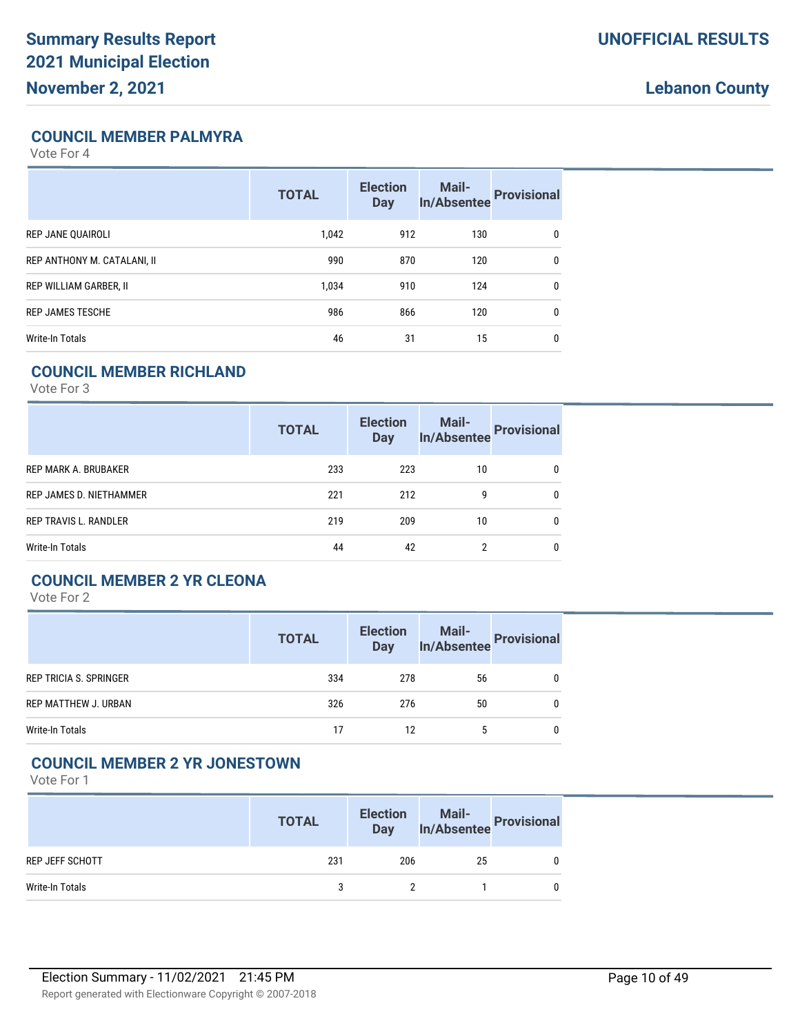# **COUNCIL MEMBER PALMYRA**

Vote For 4

|                             | <b>TOTAL</b> | <b>Election</b><br><b>Day</b> | <b>Mail-</b><br><b>In/Absentee</b> | <b>Provisional</b> |
|-----------------------------|--------------|-------------------------------|------------------------------------|--------------------|
| REP JANE QUAIROLI           | 1.042        | 912                           | 130                                | $\mathbf{0}$       |
| REP ANTHONY M. CATALANI, II | 990          | 870                           | 120                                | $\mathbf{0}$       |
| REP WILLIAM GARBER, II      | 1.034        | 910                           | 124                                | $\mathbf{0}$       |
| <b>REP JAMES TESCHE</b>     | 986          | 866                           | 120                                | $\mathbf{0}$       |
| Write-In Totals             | 46           | 31                            | 15                                 | $\mathbf{0}$       |

### **COUNCIL MEMBER RICHLAND**

Vote For 3

|                              | <b>TOTAL</b> | <b>Election</b><br><b>Day</b> | Mail-<br>In/Absentee | <b>Provisional</b> |
|------------------------------|--------------|-------------------------------|----------------------|--------------------|
| REP MARK A. BRUBAKER         | 233          | 223                           | 10                   | 0                  |
| REP JAMES D. NIETHAMMER      | 221          | 212                           | 9                    | 0                  |
| <b>REP TRAVIS L. RANDLER</b> | 219          | 209                           | 10                   |                    |
| Write-In Totals              | 44           | 42                            |                      |                    |

# **COUNCIL MEMBER 2 YR CLEONA**

Vote For 2

|                               | <b>TOTAL</b> | <b>Election</b><br><b>Day</b> | Mail-<br>In/Absentee Provisional |  |
|-------------------------------|--------------|-------------------------------|----------------------------------|--|
| <b>REP TRICIA S. SPRINGER</b> | 334          | 278                           | 56                               |  |
| REP MATTHEW J. URBAN          | 326          | 276                           | 50                               |  |
| Write-In Totals               | 17           | 12                            |                                  |  |

## **COUNCIL MEMBER 2 YR JONESTOWN**

|                        | <b>TOTAL</b> | <b>Election</b><br><b>Day</b> | Mail-<br>In/Absentee Provisional |  |
|------------------------|--------------|-------------------------------|----------------------------------|--|
| <b>REP JEFF SCHOTT</b> | 231          | 206                           | 25                               |  |
| Write-In Totals        | ર            |                               |                                  |  |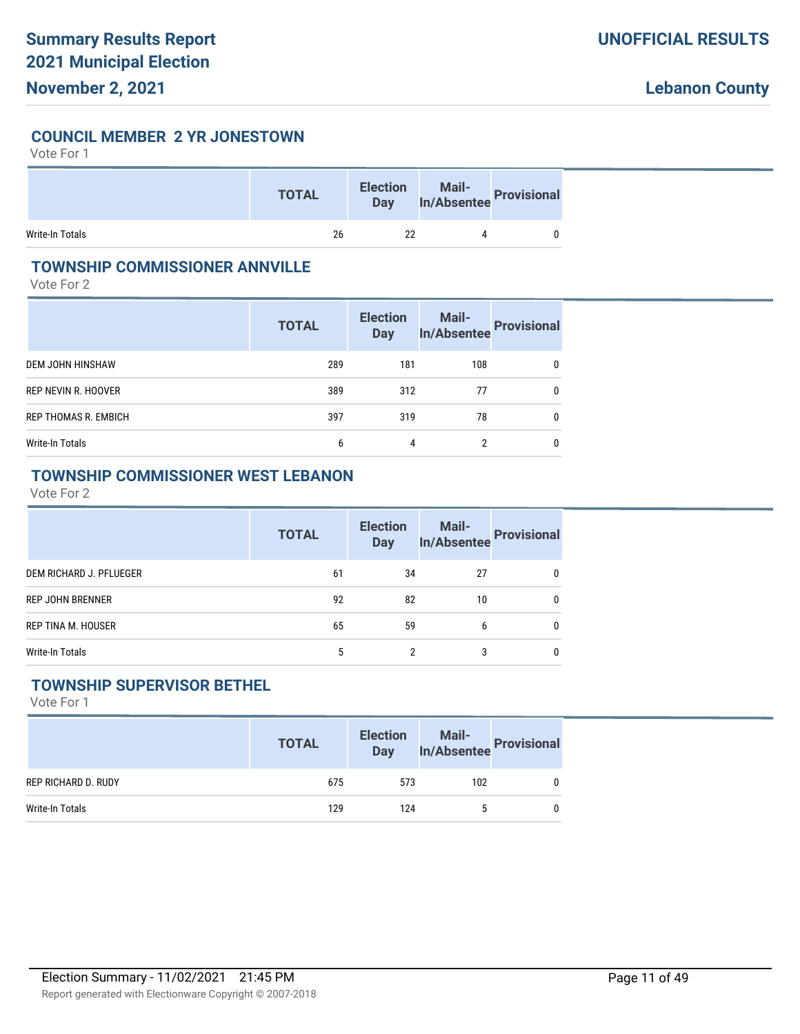#### **COUNCIL MEMBER 2 YR JONESTOWN**

Vote For 1

|                 | <b>TOTAL</b> | <b>Election</b><br>Day | Mail-<br>In/Absentee Provisional |  |
|-----------------|--------------|------------------------|----------------------------------|--|
| Write-In Totals | 26           | 22                     |                                  |  |

### **TOWNSHIP COMMISSIONER ANNVILLE**

Vote For 2

|                             | <b>TOTAL</b> | <b>Election</b><br>Day | <b>Mail-</b><br><b>In/Absentee</b> | <b>Provisional</b> |
|-----------------------------|--------------|------------------------|------------------------------------|--------------------|
| DEM JOHN HINSHAW            | 289          | 181                    | 108                                | 0                  |
| REP NEVIN R. HOOVER         | 389          | 312                    | 77                                 | 0                  |
| <b>REP THOMAS R. EMBICH</b> | 397          | 319                    | 78                                 | 0                  |
| Write-In Totals             | 6            | 4                      | 2                                  | 0                  |

# **TOWNSHIP COMMISSIONER WEST LEBANON**

Vote For 2

|                         | <b>TOTAL</b> | <b>Election</b><br><b>Day</b> | Mail-<br>In/Absentee | <b>Provisional</b> |
|-------------------------|--------------|-------------------------------|----------------------|--------------------|
| DEM RICHARD J. PFLUEGER | 61           | 34                            | 27                   | 0                  |
| <b>REP JOHN BRENNER</b> | 92           | 82                            | 10                   | 0                  |
| REP TINA M. HOUSER      | 65           | 59                            | 6                    | $\mathbf{0}$       |
| Write-In Totals         | 5            | 2                             | 3                    | $\mathbf{0}$       |

# **TOWNSHIP SUPERVISOR BETHEL**

|                     | <b>TOTAL</b> | <b>Election</b><br><b>Day</b> |     | Mail-<br>In/Absentee Provisional |
|---------------------|--------------|-------------------------------|-----|----------------------------------|
| REP RICHARD D. RUDY | 675          | 573                           | 102 |                                  |
| Write-In Totals     | 129          | 124                           |     |                                  |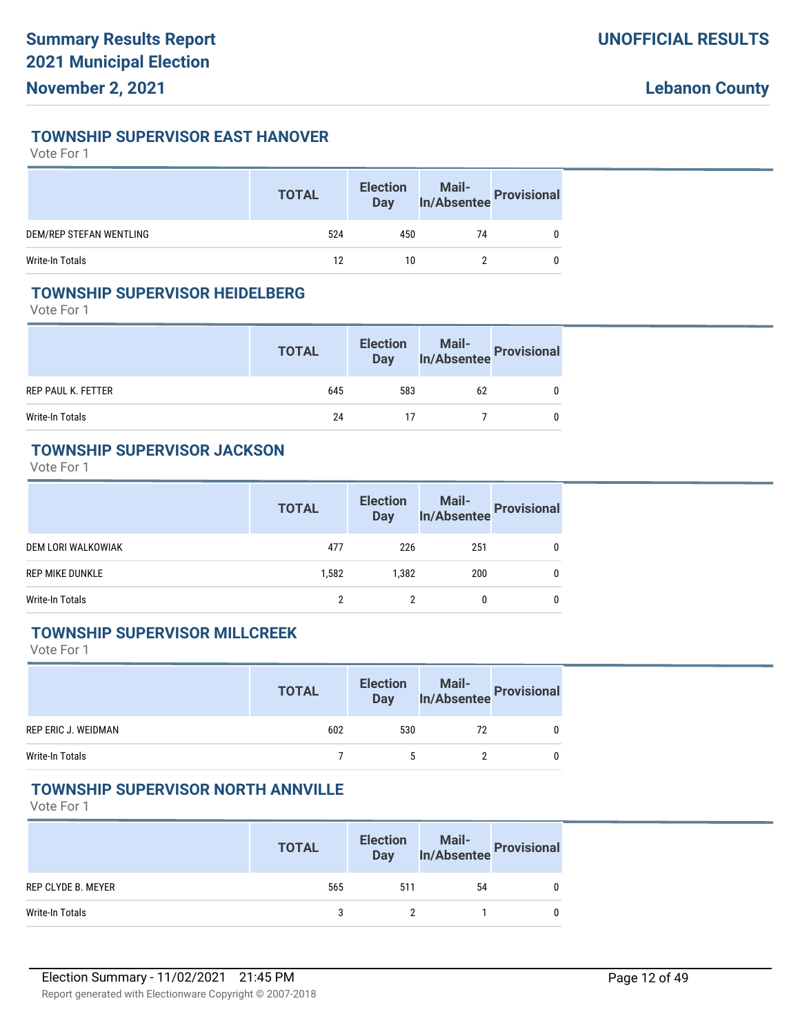#### **TOWNSHIP SUPERVISOR EAST HANOVER**

#### Vote For 1

|                         | <b>TOTAL</b> | <b>Election</b><br>Day | Mail-<br>In/Absentee Provisional |  |
|-------------------------|--------------|------------------------|----------------------------------|--|
| DEM/REP STEFAN WENTLING | 524          | 450                    | 74                               |  |
| Write-In Totals         | 12           | 10                     |                                  |  |

#### **TOWNSHIP SUPERVISOR HEIDELBERG**

Vote For 1

|                    | <b>TOTAL</b> | <b>Election</b><br><b>Day</b> | Mail-<br>In/Absentee Provisional |  |
|--------------------|--------------|-------------------------------|----------------------------------|--|
| REP PAUL K. FETTER | 645          | 583                           | 62                               |  |
| Write-In Totals    | 24           | 17                            |                                  |  |

#### **TOWNSHIP SUPERVISOR JACKSON**

Vote For 1

|                        | <b>TOTAL</b> | <b>Election</b><br><b>Day</b> | Mail-<br>In/Absentee Provisional |  |
|------------------------|--------------|-------------------------------|----------------------------------|--|
| DEM LORI WALKOWIAK     | 477          | 226                           | 251                              |  |
| <b>REP MIKE DUNKLE</b> | 1.582        | 1.382                         | 200                              |  |
| Write-In Totals        | າ            |                               | 0                                |  |

#### **TOWNSHIP SUPERVISOR MILLCREEK**

Vote For 1

|                     | <b>TOTAL</b> | <b>Election</b><br><b>Day</b> | Mail-<br>In/Absentee Provisional |  |
|---------------------|--------------|-------------------------------|----------------------------------|--|
| REP ERIC J. WEIDMAN | 602          | 530                           | 72                               |  |
| Write-In Totals     |              |                               |                                  |  |

#### **TOWNSHIP SUPERVISOR NORTH ANNVILLE**

|                    | <b>TOTAL</b> | <b>Election</b><br>Day | Mail-<br>In/Absentee Provisional |  |
|--------------------|--------------|------------------------|----------------------------------|--|
| REP CLYDE B. MEYER | 565          | 511                    | 54                               |  |
| Write-In Totals    | 3            |                        |                                  |  |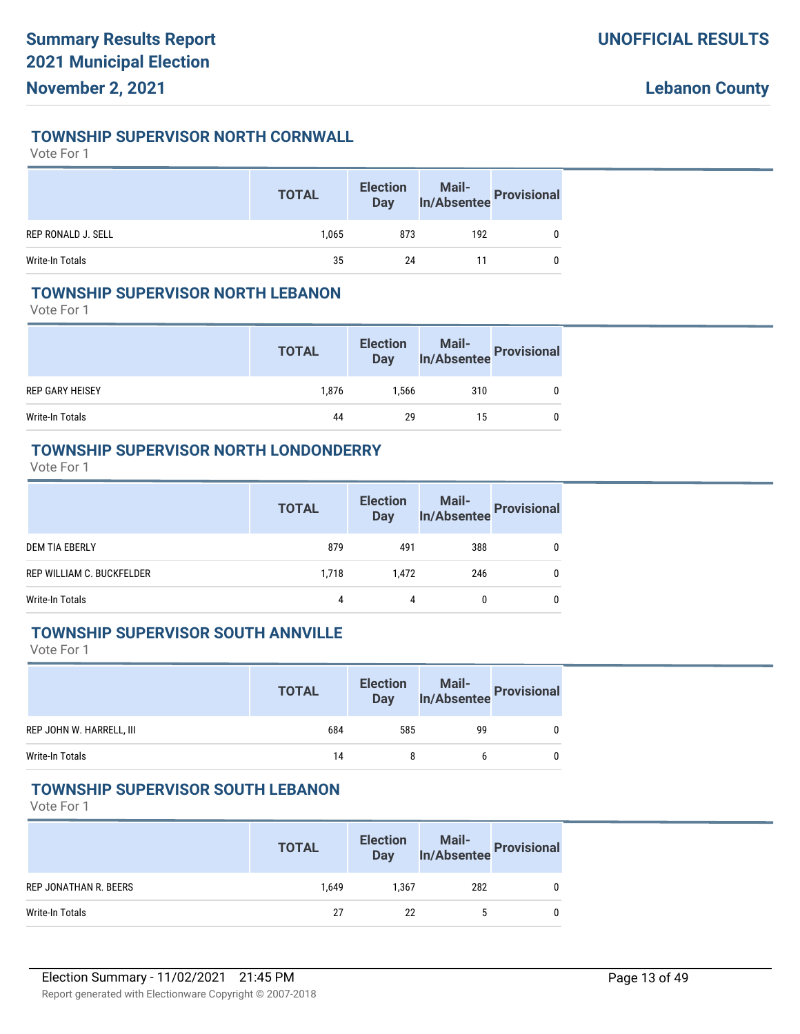#### **TOWNSHIP SUPERVISOR NORTH CORNWALL**

Vote For 1

|                    | <b>TOTAL</b> | <b>Election</b><br>Day |     | Mail-<br>In/Absentee Provisional |
|--------------------|--------------|------------------------|-----|----------------------------------|
| REP RONALD J. SELL | 1.065        | 873                    | 192 |                                  |
| Write-In Totals    | 35           | 24                     |     |                                  |

#### **TOWNSHIP SUPERVISOR NORTH LEBANON**

Vote For 1

|                        | <b>TOTAL</b> | <b>Election</b><br><b>Day</b> | Mail-<br>In/Absentee Provisional |  |
|------------------------|--------------|-------------------------------|----------------------------------|--|
| <b>REP GARY HEISEY</b> | 1.876        | 1.566                         | 310                              |  |
| Write-In Totals        | 44           | 29                            | 15                               |  |

#### **TOWNSHIP SUPERVISOR NORTH LONDONDERRY**

Vote For 1

|                           | <b>TOTAL</b> | <b>Election</b><br><b>Day</b> | Mail-<br>In/Absentee Provisional |              |
|---------------------------|--------------|-------------------------------|----------------------------------|--------------|
| <b>DEM TIA EBERLY</b>     | 879          | 491                           | 388                              | 0            |
| REP WILLIAM C. BUCKFELDER | 1.718        | 1.472                         | 246                              | 0            |
| Write-In Totals           | 4            | 4                             |                                  | $\mathbf{0}$ |

#### **TOWNSHIP SUPERVISOR SOUTH ANNVILLE**

Vote For 1

|                          | <b>TOTAL</b> | <b>Election</b><br><b>Day</b> | Mail-<br>In/Absentee Provisional |  |
|--------------------------|--------------|-------------------------------|----------------------------------|--|
| REP JOHN W. HARRELL, III | 684          | 585                           | 99                               |  |
| Write-In Totals          | 14           | 8                             |                                  |  |

#### **TOWNSHIP SUPERVISOR SOUTH LEBANON**

|                       | <b>TOTAL</b> | <b>Election</b><br><b>Day</b> | Mail-<br>In/Absentee Provisional |  |
|-----------------------|--------------|-------------------------------|----------------------------------|--|
| REP JONATHAN R. BEERS | 1.649        | 1.367                         | 282                              |  |
| Write-In Totals       | 27           | 22                            |                                  |  |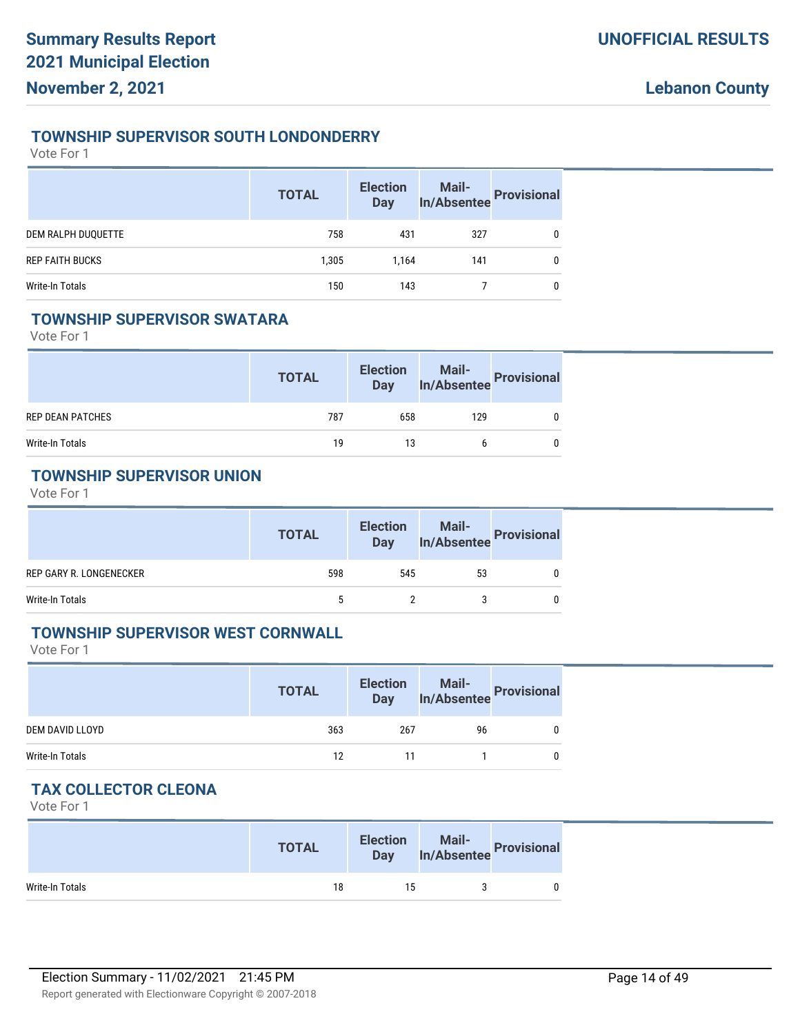#### **TOWNSHIP SUPERVISOR SOUTH LONDONDERRY**

Vote For 1

|                        | <b>TOTAL</b> | <b>Election</b><br><b>Day</b> | Mail-<br>In/Absentee Provisional |   |
|------------------------|--------------|-------------------------------|----------------------------------|---|
| DEM RALPH DUQUETTE     | 758          | 431                           | 327                              | 0 |
| <b>REP FAITH BUCKS</b> | 1,305        | 1.164                         | 141                              | 0 |
| Write-In Totals        | 150          | 143                           |                                  | 0 |

#### **TOWNSHIP SUPERVISOR SWATARA**

Vote For 1

|                         | <b>TOTAL</b> | <b>Election</b><br><b>Day</b> | Mail-<br>In/Absentee Provisional |  |
|-------------------------|--------------|-------------------------------|----------------------------------|--|
| <b>REP DEAN PATCHES</b> | 787          | 658                           | 129                              |  |
| Write-In Totals         | 19           | 13                            |                                  |  |

# **TOWNSHIP SUPERVISOR UNION**

Vote For 1

|                         | <b>TOTAL</b> | <b>Election</b><br><b>Day</b> | Mail-<br>In/Absentee Provisional |  |
|-------------------------|--------------|-------------------------------|----------------------------------|--|
| REP GARY R. LONGENECKER | 598          | 545                           | 53                               |  |
| Write-In Totals         |              |                               |                                  |  |

#### **TOWNSHIP SUPERVISOR WEST CORNWALL**

Vote For 1

|                 | <b>TOTAL</b> | <b>Election</b><br><b>Day</b> | Mail-<br>In/Absentee Provisional |  |
|-----------------|--------------|-------------------------------|----------------------------------|--|
| DEM DAVID LLOYD | 363          | 267                           | 96                               |  |
| Write-In Totals | 12           | 11                            |                                  |  |

# **TAX COLLECTOR CLEONA**

|                 | <b>TOTAL</b> | <b>Election</b><br>Day | <b>Mail-</b><br>In/Absentee Provisional |  |
|-----------------|--------------|------------------------|-----------------------------------------|--|
| Write-In Totals | 18           | 15                     |                                         |  |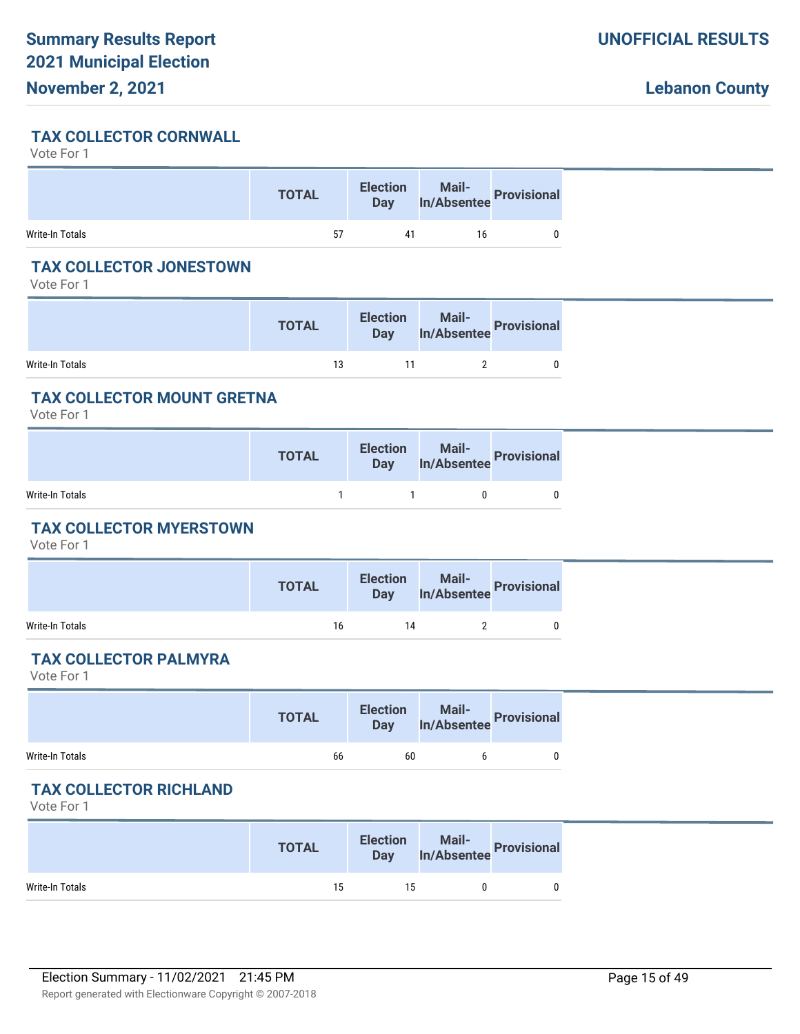# **TAX COLLECTOR CORNWALL**

Vote For 1

|                 | <b>TOTAL</b> | <b>Election</b> | Election Mail-<br>Day In/Absentee Provisional |  |
|-----------------|--------------|-----------------|-----------------------------------------------|--|
| Write-In Totals | 57           | 41              |                                               |  |

### **TAX COLLECTOR JONESTOWN**

Vote For 1

|                 | <b>TOTAL</b> | <b>Election</b> | Mail-<br><b>Day</b> In/Absentee Provisional |  |
|-----------------|--------------|-----------------|---------------------------------------------|--|
| Write-In Totals | 13           | 11              |                                             |  |

# **TAX COLLECTOR MOUNT GRETNA**

Vote For 1

|                 | <b>TOTAL</b> | Election Mail-<br>Day In/Absentee Provisional |   |
|-----------------|--------------|-----------------------------------------------|---|
| Write-In Totals |              | 0                                             | 0 |

# **TAX COLLECTOR MYERSTOWN**

Vote For 1

|                 | <b>TOTAL</b> |    | Election Mail-<br>Day In/Absentee Provisional |  |
|-----------------|--------------|----|-----------------------------------------------|--|
| Write-In Totals | 16           | 14 |                                               |  |

# **TAX COLLECTOR PALMYRA**

Vote For 1

|                 | <b>TOTAL</b> |    | Election Mail-<br>Day In/Absentee Provisional |  |
|-----------------|--------------|----|-----------------------------------------------|--|
| Write-In Totals | 66           | 60 |                                               |  |

# **TAX COLLECTOR RICHLAND**

|                 | <b>TOTAL</b> | <b>Election</b> | Mail-<br><b>Mail-</b> In/Absentee Provisional |  |
|-----------------|--------------|-----------------|-----------------------------------------------|--|
| Write-In Totals | 15           | 15              |                                               |  |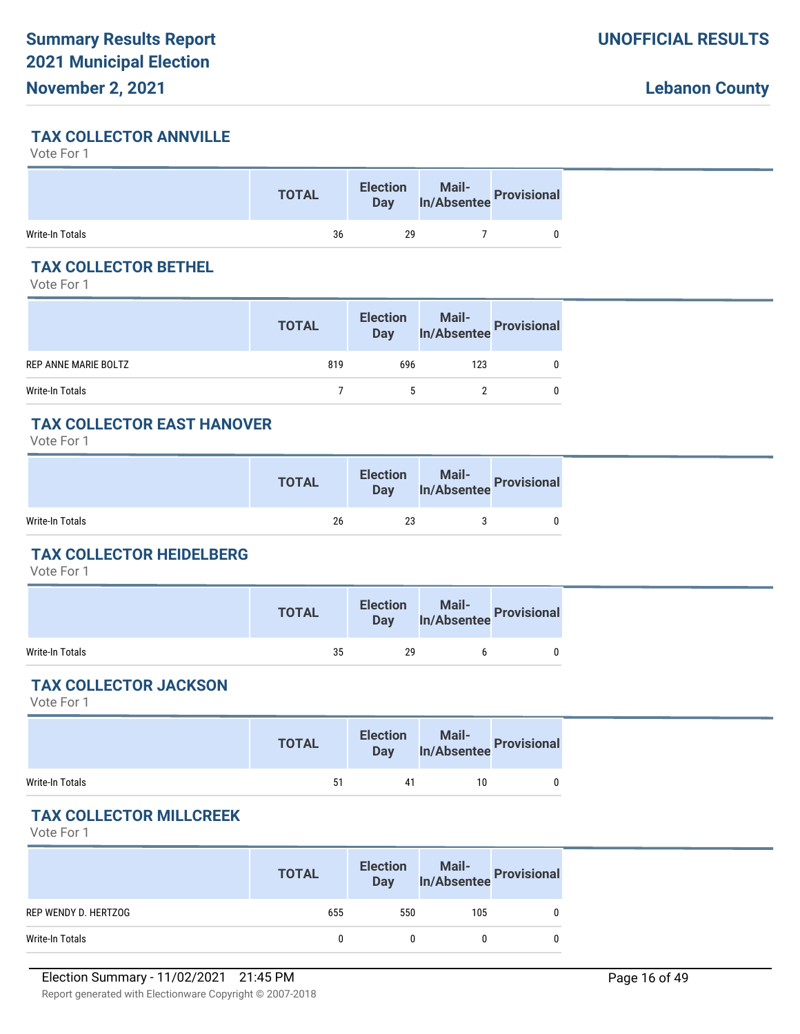#### **TAX COLLECTOR ANNVILLE**

Vote For 1

|                 | <b>TOTAL</b> | <b>Election</b><br><b>Day</b> | Mail-<br>In/Absentee Provisional |
|-----------------|--------------|-------------------------------|----------------------------------|
| Write-In Totals | 36           | 29                            |                                  |

### **TAX COLLECTOR BETHEL**

Vote For 1

|                      | <b>TOTAL</b> | <b>Election</b><br>Day | Mail-<br>In/Absentee Provisional |   |
|----------------------|--------------|------------------------|----------------------------------|---|
| REP ANNE MARIE BOLTZ | 819          | 696                    | 123                              | 0 |
| Write-In Totals      |              |                        |                                  | 0 |

# **TAX COLLECTOR EAST HANOVER**

Vote For 1

|                 | <b>TOTAL</b> | <b>Election</b><br><b>Day</b> | Mail-<br>Willin/Absentee Provisional |  |
|-----------------|--------------|-------------------------------|--------------------------------------|--|
| Write-In Totals | 26           | 23                            |                                      |  |

### **TAX COLLECTOR HEIDELBERG**

Vote For 1

|                 | <b>TOTAL</b> | <b>Election</b><br><b>Day</b> | Mail-<br>In/Absentee Provisional |  |
|-----------------|--------------|-------------------------------|----------------------------------|--|
| Write-In Totals | 35           | 29                            |                                  |  |

# **TAX COLLECTOR JACKSON**

Vote For 1

|                 | <b>TOTAL</b> |    | Election Mail-<br>Day In/Absentee Provisional |  |
|-----------------|--------------|----|-----------------------------------------------|--|
| Write-In Totals | 51           | 41 | 10                                            |  |

# **TAX COLLECTOR MILLCREEK**

|                      | <b>TOTAL</b> | <b>Election</b><br><b>Day</b> | Mail-<br>In/Absentee Provisional |  |
|----------------------|--------------|-------------------------------|----------------------------------|--|
| REP WENDY D. HERTZOG | 655          | 550                           | 105                              |  |
| Write-In Totals      |              |                               |                                  |  |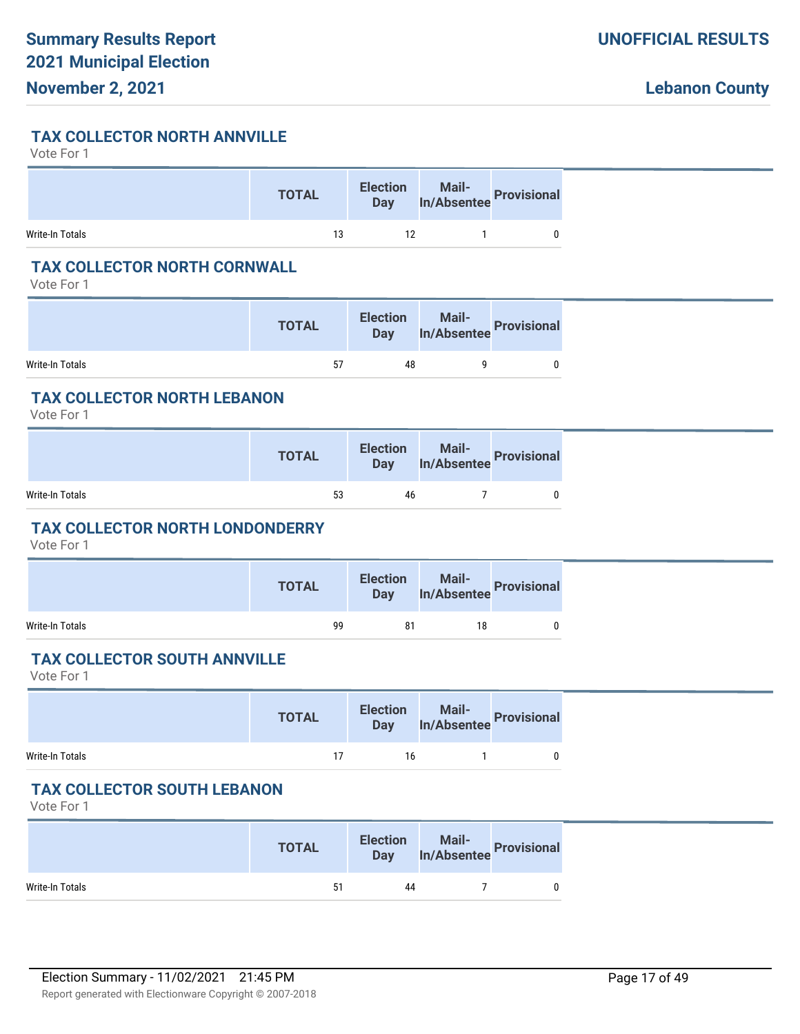#### **TAX COLLECTOR NORTH ANNVILLE**

Vote For 1

|                 | <b>TOTAL</b> | <b>Election</b> | lection Mail-<br>Day In/Absentee Provisional |  |
|-----------------|--------------|-----------------|----------------------------------------------|--|
| Write-In Totals | 13           | 12              |                                              |  |

### **TAX COLLECTOR NORTH CORNWALL**

Vote For 1

|                 | <b>TOTAL</b> | <b>Election</b><br><b>Day</b> | Mail-<br>In/Absentee Provisional |  |
|-----------------|--------------|-------------------------------|----------------------------------|--|
| Write-In Totals | 57           | 48                            |                                  |  |

#### **TAX COLLECTOR NORTH LEBANON**

Vote For 1

|                 | <b>TOTAL</b> |    | Election Mail-<br>Day In/Absentee Provisional |  |
|-----------------|--------------|----|-----------------------------------------------|--|
| Write-In Totals | 53           | 46 |                                               |  |

#### **TAX COLLECTOR NORTH LONDONDERRY**

Vote For 1

|                 | <b>TOTAL</b> |    | Election Mail-<br>Day In/Absentee Provisional |  |
|-----------------|--------------|----|-----------------------------------------------|--|
| Write-In Totals | 99           | 81 | 18                                            |  |

#### **TAX COLLECTOR SOUTH ANNVILLE**

Vote For 1

|                 | <b>TOTAL</b> |    | Election Mail-<br>Day In/Absentee Provisional |  |
|-----------------|--------------|----|-----------------------------------------------|--|
| Write-In Totals | 17           | 16 |                                               |  |

#### **TAX COLLECTOR SOUTH LEBANON**

|                 | <b>TOTAL</b> | <b>Election</b><br>Day | Mail-<br>In/Absentee Provisional |  |
|-----------------|--------------|------------------------|----------------------------------|--|
| Write-In Totals | 51           | 44                     |                                  |  |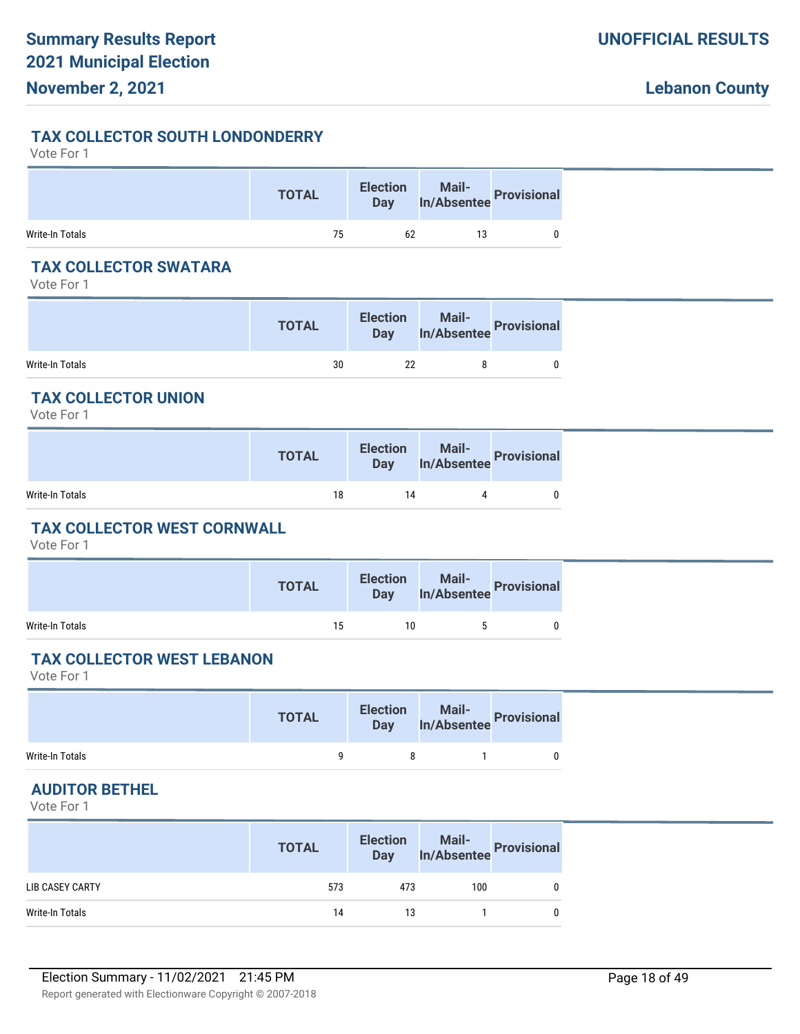### **TAX COLLECTOR SOUTH LONDONDERRY**

#### Vote For 1

|                 | <b>TOTAL</b> |    | Election Mail-<br>Day In/Absentee Provisional |  |
|-----------------|--------------|----|-----------------------------------------------|--|
| Write-In Totals | 75           | 62 | 13                                            |  |

# **TAX COLLECTOR SWATARA**

Vote For 1

|                 | <b>TOTAL</b> | <b>Election</b><br><b>Day</b> | Mail-<br>In/Absentee Provisional |  |
|-----------------|--------------|-------------------------------|----------------------------------|--|
| Write-In Totals | 30           | 22                            |                                  |  |

# **TAX COLLECTOR UNION**

Vote For 1

|                 | <b>TOTAL</b> |    | Election Mail-<br>Day In/Absentee Provisional |  |
|-----------------|--------------|----|-----------------------------------------------|--|
| Write-In Totals | 18           | 14 |                                               |  |

### **TAX COLLECTOR WEST CORNWALL**

Vote For 1

|                 | <b>TOTAL</b> |    | Election Mail-<br>Day In/Absentee Provisional |  |
|-----------------|--------------|----|-----------------------------------------------|--|
| Write-In Totals | 15           | 10 |                                               |  |

#### **TAX COLLECTOR WEST LEBANON**

Vote For 1

|                 | <b>TOTAL</b> | Election Mail-<br>Day In/Absentee Provisional |  |
|-----------------|--------------|-----------------------------------------------|--|
| Write-In Totals |              |                                               |  |

#### **AUDITOR BETHEL**

|                 | <b>TOTAL</b> | <b>Election</b><br>Day |     | Mail-<br>In/Absentee Provisional |
|-----------------|--------------|------------------------|-----|----------------------------------|
| LIB CASEY CARTY | 573          | 473                    | 100 |                                  |
| Write-In Totals | 14           | 13                     |     |                                  |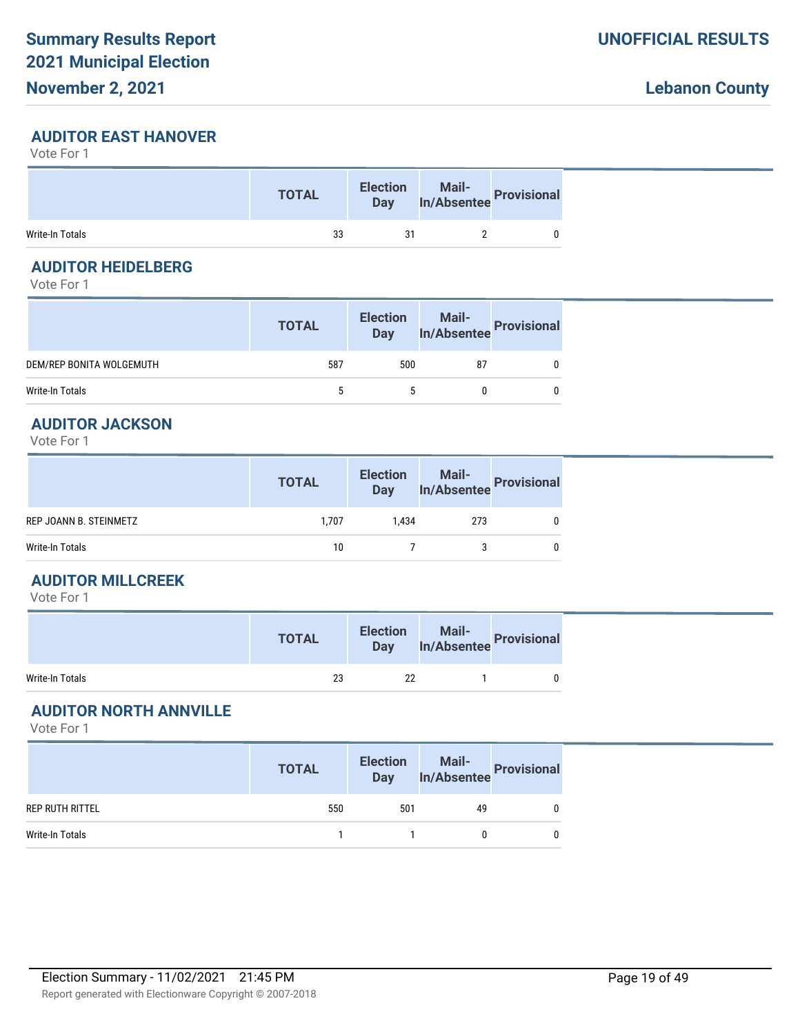# **AUDITOR EAST HANOVER**

Vote For 1

|                 | <b>TOTAL</b> | <b>Election</b><br><b>Day</b> | Mail-<br>In/Absentee Provisional |
|-----------------|--------------|-------------------------------|----------------------------------|
| Write-In Totals | 33           | 31                            |                                  |

# **AUDITOR HEIDELBERG**

Vote For 1

|                          | <b>TOTAL</b> | <b>Election</b><br>Day | Mail-<br>In/Absentee Provisional |  |
|--------------------------|--------------|------------------------|----------------------------------|--|
| DEM/REP BONITA WOLGEMUTH | 587          | 500                    | 87                               |  |
| Write-In Totals          |              |                        |                                  |  |

### **AUDITOR JACKSON**

Vote For 1

|                        | <b>TOTAL</b> | <b>Election</b><br><b>Day</b> | Mail-<br>In/Absentee Provisional |  |
|------------------------|--------------|-------------------------------|----------------------------------|--|
| REP JOANN B. STEINMETZ | 1.707        | 1.434                         | 273                              |  |
| Write-In Totals        | 10           |                               |                                  |  |

#### **AUDITOR MILLCREEK**

Vote For 1

|                 | <b>TOTAL</b> | <b>Election</b><br><b>Day</b> | Mail-<br>Absentee Provisions' |
|-----------------|--------------|-------------------------------|-------------------------------|
| Write-In Totals | 23           | 22                            |                               |

# **AUDITOR NORTH ANNVILLE**

|                 | <b>TOTAL</b> | <b>Election</b><br>Day | Mail-<br>In/Absentee Provisional |  |
|-----------------|--------------|------------------------|----------------------------------|--|
| REP RUTH RITTEL | 550          | 501                    | 49                               |  |
| Write-In Totals |              |                        |                                  |  |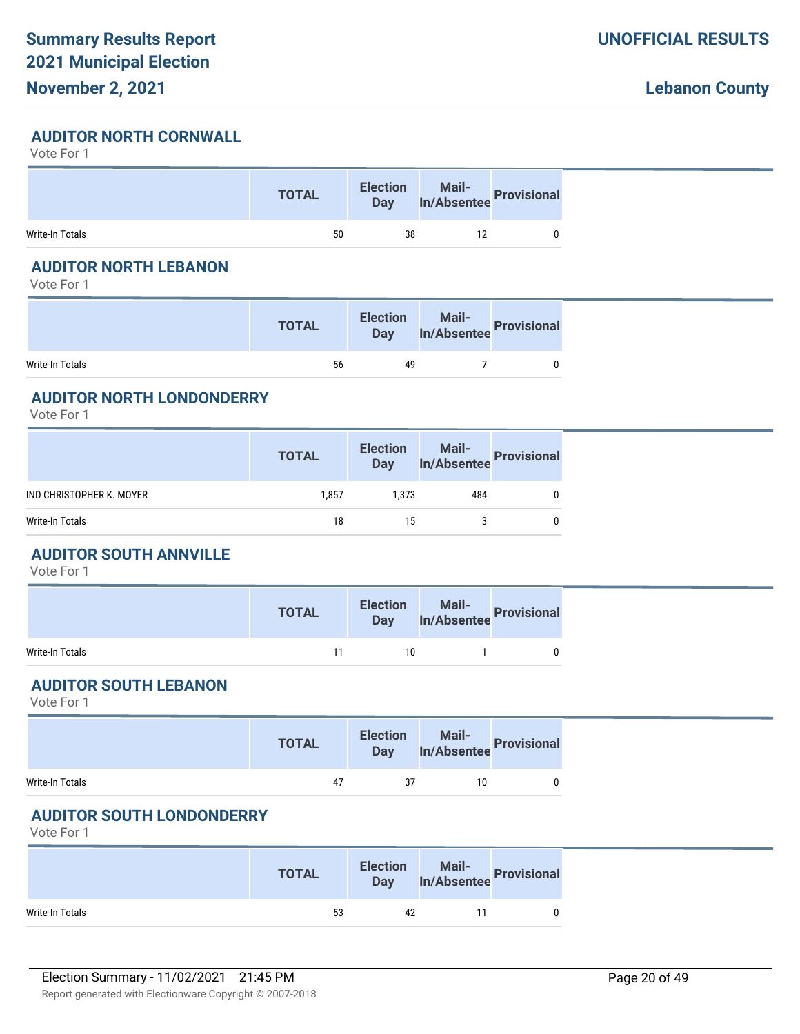#### **AUDITOR NORTH CORNWALL**

Vote For 1

|                 | <b>TOTAL</b> | <b>Election</b><br>Day | Mail-<br>In/Absentee Provisional |  |
|-----------------|--------------|------------------------|----------------------------------|--|
| Write-In Totals | 50           | 38                     |                                  |  |

# **AUDITOR NORTH LEBANON**

Vote For 1

|                 | <b>TOTAL</b> | <b>Election</b><br><b>Day</b> | Mail-<br>Jay In/Absentee Provisional |
|-----------------|--------------|-------------------------------|--------------------------------------|
| Write-In Totals | 56           | 49                            |                                      |

### **AUDITOR NORTH LONDONDERRY**

Vote For 1

|                          | <b>TOTAL</b> |       | Election Mail-<br>Day In/Absentee Provisional |   |
|--------------------------|--------------|-------|-----------------------------------------------|---|
| IND CHRISTOPHER K. MOYER | 1,857        | 1,373 | 484                                           | 0 |
| Write-In Totals          | 18           | 15    |                                               | 0 |

# **AUDITOR SOUTH ANNVILLE**

Vote For 1

|                 | <b>TOTAL</b> |    | Election Mail-<br>Day In/Absentee Provisional |  |
|-----------------|--------------|----|-----------------------------------------------|--|
| Write-In Totals | 11           | 10 |                                               |  |

# **AUDITOR SOUTH LEBANON**

Vote For 1

|                 | <b>TOTAL</b> |    | Election Mail-<br>Day In/Absentee Provisional |   |
|-----------------|--------------|----|-----------------------------------------------|---|
| Write-In Totals | 47           | 37 | 10                                            | 0 |

# **AUDITOR SOUTH LONDONDERRY**

|                 | <b>TOTAL</b> | <b>Election</b><br><b>Day</b> | Mail-<br>In/Absentee Provisional |  |
|-----------------|--------------|-------------------------------|----------------------------------|--|
| Write-In Totals | 53           | 42                            |                                  |  |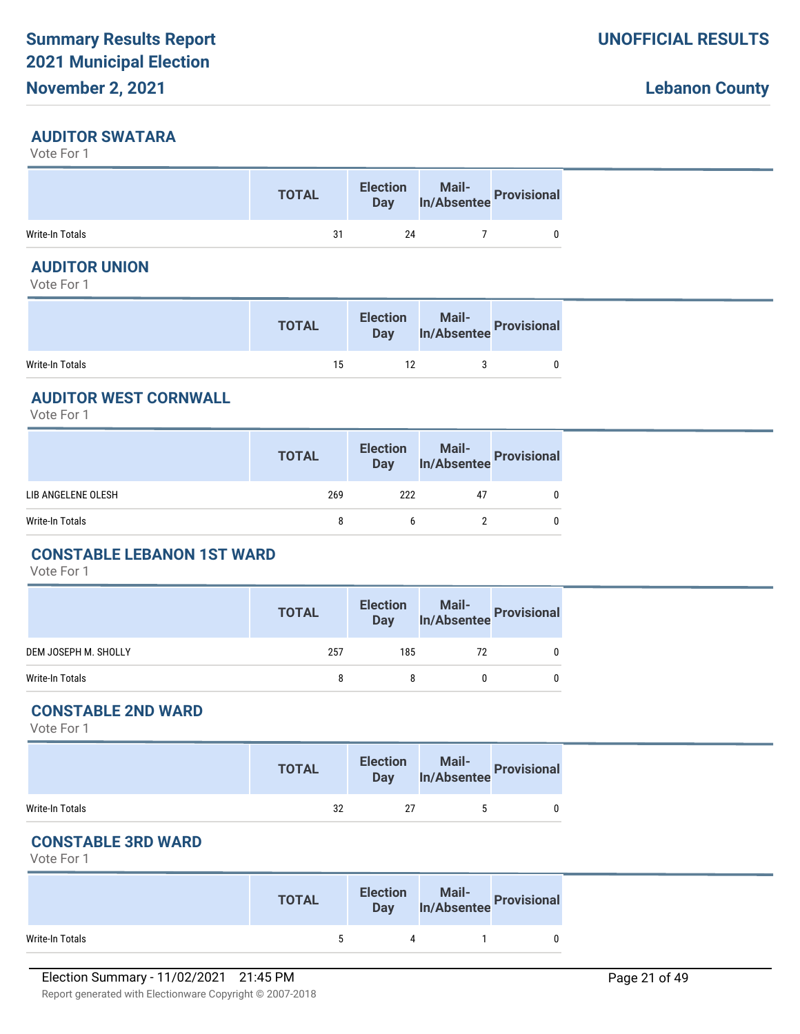# **November 2, 2021**

#### **AUDITOR SWATARA**

Vote For 1

|                 | <b>TOTAL</b> | <b>Election</b><br>Day | Mail-<br>In/Absentee Provisional |  |
|-----------------|--------------|------------------------|----------------------------------|--|
| Write-In Totals | 31           | 24                     |                                  |  |

# **AUDITOR UNION**

Vote For 1

|                 | <b>TOTAL</b> | <b>Election</b><br>Day 7 | Mail-<br>In/Absentee Provisional |
|-----------------|--------------|--------------------------|----------------------------------|
| Write-In Totals | 15           | 12                       |                                  |

# **AUDITOR WEST CORNWALL**

Vote For 1

|                    | <b>TOTAL</b> |     | Election Mail-<br>Day In/Absentee Provisional |   |
|--------------------|--------------|-----|-----------------------------------------------|---|
| LIB ANGELENE OLESH | 269          | 222 | 47                                            | 0 |
| Write-In Totals    | 8            | b   |                                               | 0 |
|                    |              |     |                                               |   |

# **CONSTABLE LEBANON 1ST WARD**

Vote For 1

|                      | <b>TOTAL</b> | <b>Election</b><br>Day | Mail-<br>In/Absentee Provisional |  |
|----------------------|--------------|------------------------|----------------------------------|--|
| DEM JOSEPH M. SHOLLY | 257          | 185                    | 72                               |  |
| Write-In Totals      |              |                        |                                  |  |

#### **CONSTABLE 2ND WARD**

Vote For 1

|                 | <b>TOTAL</b> | <b>Election</b><br>Day | Mail-<br>In/Absentee Provisional |  |
|-----------------|--------------|------------------------|----------------------------------|--|
| Write-In Totals | 32           |                        |                                  |  |

# **CONSTABLE 3RD WARD**

|                 | <b>TOTAL</b> | <b>Election</b> | lection Mail-<br>Day In/Absentee Provisional |
|-----------------|--------------|-----------------|----------------------------------------------|
| Write-In Totals |              |                 |                                              |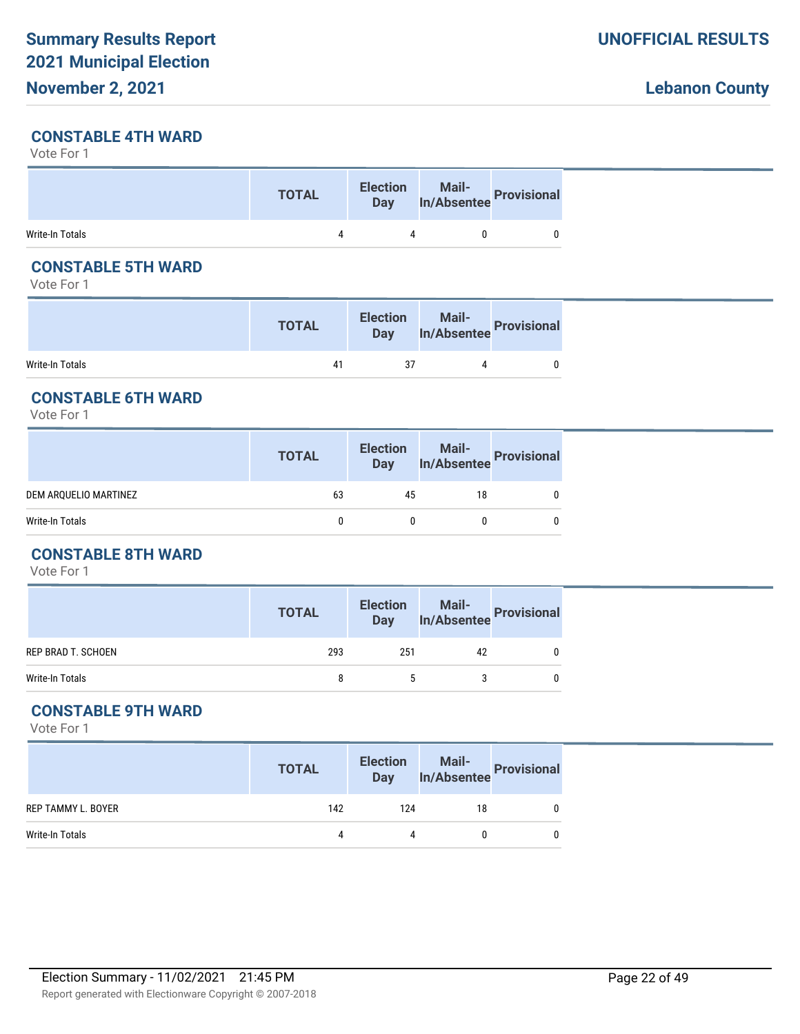# **November 2, 2021**

# **CONSTABLE 4TH WARD**

Vote For 1

|                 | <b>TOTAL</b> | <b>Election</b><br>Day | <b>Mail-</b><br>In/Absentee Provisional |  |
|-----------------|--------------|------------------------|-----------------------------------------|--|
| Write-In Totals |              |                        |                                         |  |

# **CONSTABLE 5TH WARD**

Vote For 1

|                 | <b>TOTAL</b> | <b>Election</b><br><b>Day</b> | Mail-<br>In/Absentee Provision?' |
|-----------------|--------------|-------------------------------|----------------------------------|
| Write-In Totals | 41           | 37                            |                                  |

# **CONSTABLE 6TH WARD**

Vote For 1

| 63<br>DEM ARQUELIO MARTINEZ<br>18<br>45<br>Write-In Totals<br>$\mathbf{0}$<br>0 | <b>TOTAL</b> | Election Mail-<br>Day In/Absentee Provisional |  |
|---------------------------------------------------------------------------------|--------------|-----------------------------------------------|--|
|                                                                                 |              |                                               |  |
|                                                                                 |              |                                               |  |

# **CONSTABLE 8TH WARD**

Vote For 1

|                    | <b>TOTAL</b> | <b>Election</b><br><b>Day</b> | Mail-<br>In/Absentee Provisional |  |
|--------------------|--------------|-------------------------------|----------------------------------|--|
| REP BRAD T. SCHOEN | 293          | 251                           | 42                               |  |
| Write-In Totals    | 8            |                               |                                  |  |

# **CONSTABLE 9TH WARD**

|                    | <b>TOTAL</b> | <b>Election</b><br><b>Day</b> | Mail-<br>In/Absentee | <b>Provisional</b> |
|--------------------|--------------|-------------------------------|----------------------|--------------------|
| REP TAMMY L. BOYER | 142          | 124                           | 18                   |                    |
| Write-In Totals    | 4            | 4                             |                      |                    |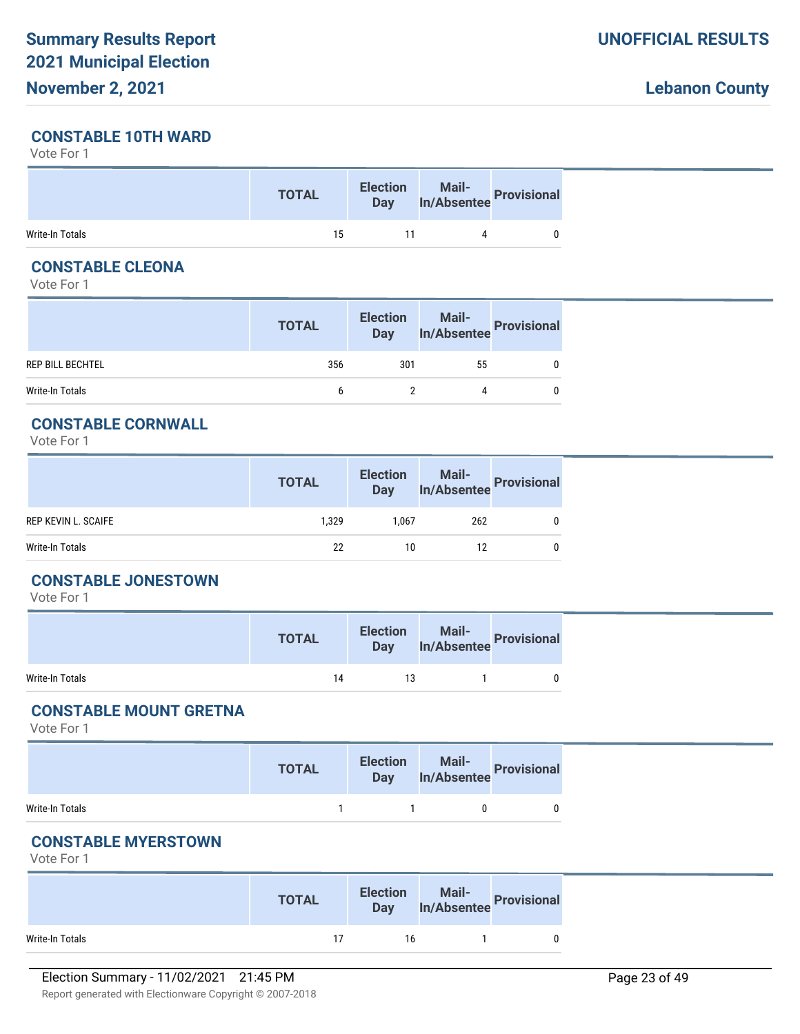### **CONSTABLE 10TH WARD**

Vote For 1

|                 | <b>TOTAL</b> | <b>Election</b><br><b>Day</b> | Mail-<br>In/Absentee Provisional |
|-----------------|--------------|-------------------------------|----------------------------------|
| Write-In Totals | 15           |                               |                                  |

# **CONSTABLE CLEONA**

Vote For 1

|                         | <b>TOTAL</b> | <b>Election</b><br>Day | Mail-<br>In/Absentee Provisional |  |
|-------------------------|--------------|------------------------|----------------------------------|--|
| <b>REP BILL BECHTEL</b> | 356          | 301                    | 55                               |  |
| Write-In Totals         |              |                        | 4                                |  |

### **CONSTABLE CORNWALL**

Vote For 1

|                            | <b>TOTAL</b> | <b>Election</b><br><b>Day</b> | Mail-<br>In/Absentee<br> |  |
|----------------------------|--------------|-------------------------------|--------------------------|--|
| <b>REP KEVIN L. SCAIFE</b> | 1.329        | 1.067                         | 262                      |  |
| Write-In Totals            | 22           | 10                            | 12                       |  |

#### **CONSTABLE JONESTOWN**

Vote For 1

|                 | <b>TOTAL</b> | <b>Election</b><br><b>Day</b> | Mail-<br>In/Absentee Provisional |
|-----------------|--------------|-------------------------------|----------------------------------|
| Write-In Totals | 14           | 13                            |                                  |

# **CONSTABLE MOUNT GRETNA**

Vote For 1

|                 | <b>TOTAL</b> | <b>Election</b>                    | lection Mail-<br>Day In/Absentee Provisional |
|-----------------|--------------|------------------------------------|----------------------------------------------|
| Write-In Totals |              | $\sim$ $\sim$ $\sim$ $\sim$ $\sim$ |                                              |

# **CONSTABLE MYERSTOWN**

|                 | <b>TOTAL</b> | <b>Election</b> | lection Mail-<br>Day In/Absentee Provisional |  |
|-----------------|--------------|-----------------|----------------------------------------------|--|
| Write-In Totals |              | 16              |                                              |  |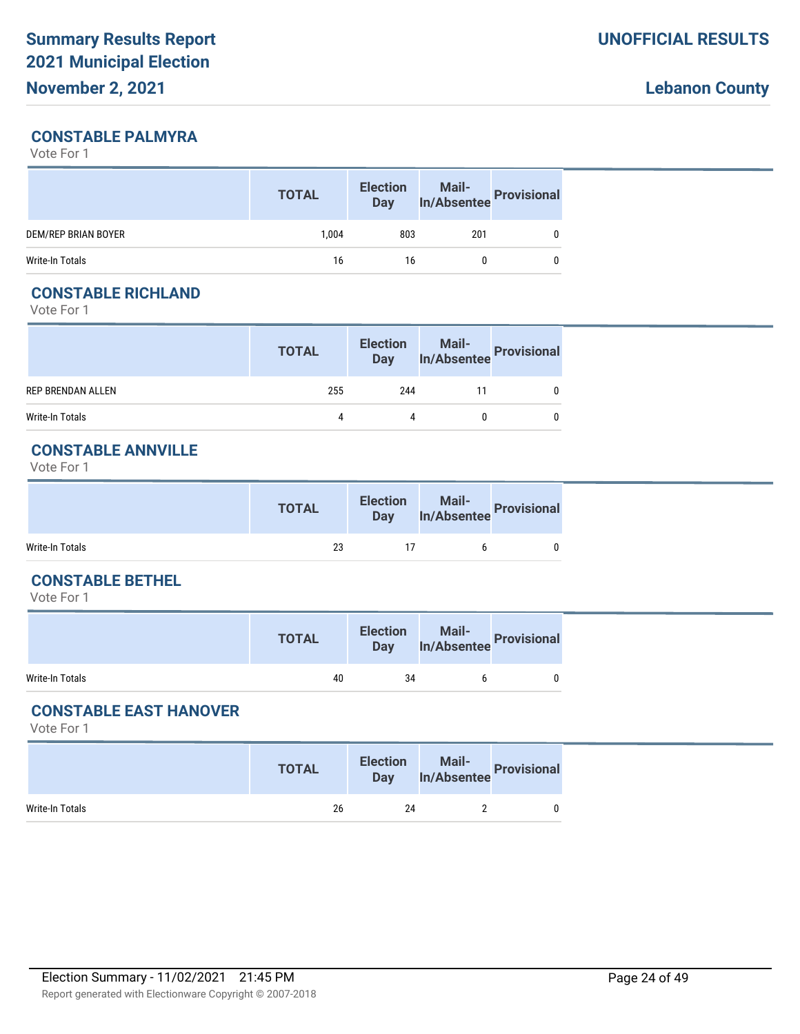# **CONSTABLE PALMYRA**

Vote For 1

|                     | <b>TOTAL</b> | <b>Election</b><br><b>Day</b> |     | Mail-<br>In/Absentee Provisional |
|---------------------|--------------|-------------------------------|-----|----------------------------------|
| DEM/REP BRIAN BOYER | 1.004        | 803                           | 201 |                                  |
| Write-In Totals     | 16           | 16                            |     |                                  |

# **CONSTABLE RICHLAND**

Vote For 1

|                          | <b>TOTAL</b> |     | Election Mail-<br>Day In/Absentee Provisional |  |
|--------------------------|--------------|-----|-----------------------------------------------|--|
| <b>REP BRENDAN ALLEN</b> | 255          | 244 |                                               |  |
| Write-In Totals          | 4            | 4   |                                               |  |

# **CONSTABLE ANNVILLE**

Vote For 1

|                 | <b>TOTAL</b> | <b>Election</b><br><b>Day</b> | Mail-<br>In/Absentee Provisional |  |
|-----------------|--------------|-------------------------------|----------------------------------|--|
| Write-In Totals | 23           |                               |                                  |  |

#### **CONSTABLE BETHEL**

Vote For 1

|                 | <b>TOTAL</b> | <b>Election</b><br><b>Day</b> | Mail-<br>In/Absentee Provisione' |
|-----------------|--------------|-------------------------------|----------------------------------|
| Write-In Totals | 40           | 34                            |                                  |

# **CONSTABLE EAST HANOVER**

|                 | <b>TOTAL</b> | <b>Election</b><br><b>Day</b> | Mail-<br>In/Absentee Provisional |  |
|-----------------|--------------|-------------------------------|----------------------------------|--|
| Write-In Totals | 26           | 24                            |                                  |  |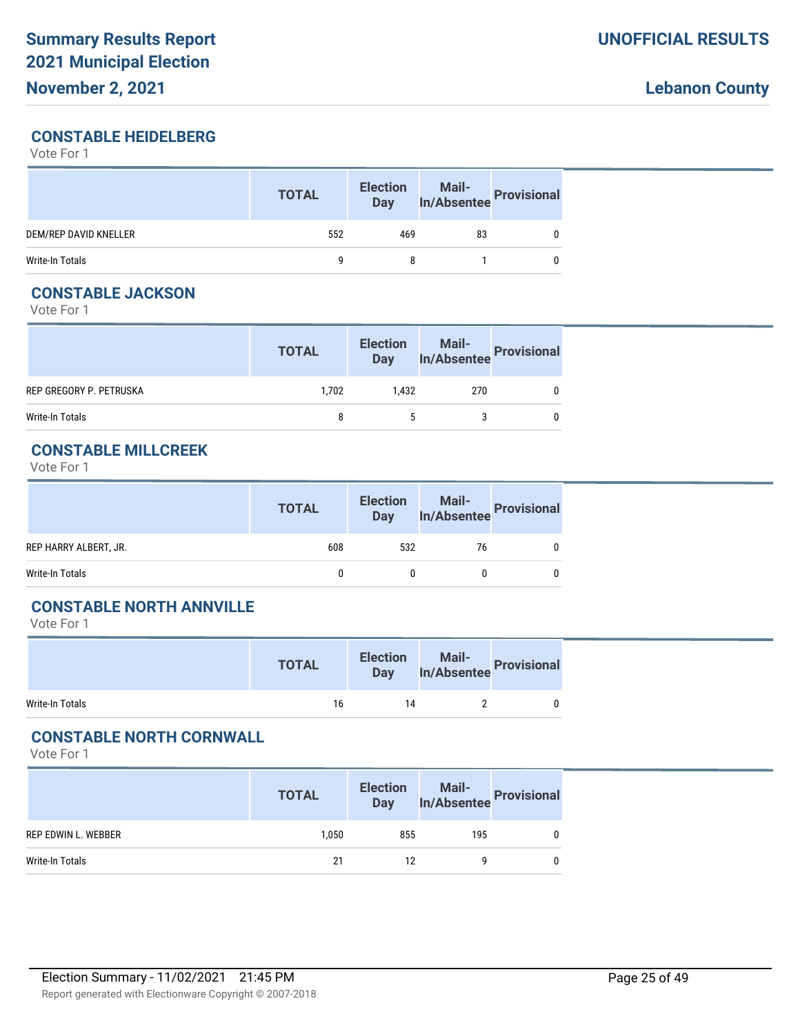### **CONSTABLE HEIDELBERG**

Vote For 1

|                       | <b>TOTAL</b> | <b>Election</b><br><b>Day</b> | Mail-<br>In/Absentee Provisional |  |
|-----------------------|--------------|-------------------------------|----------------------------------|--|
| DEM/REP DAVID KNELLER | 552          | 469                           | 83                               |  |
| Write-In Totals       |              | 8                             |                                  |  |

## **CONSTABLE JACKSON**

Vote For 1

|                         | <b>TOTAL</b> |       | Election Mail-<br>Day In/Absentee Provisional |  |
|-------------------------|--------------|-------|-----------------------------------------------|--|
| REP GREGORY P. PETRUSKA | 1.702        | 1.432 | 270                                           |  |
| Write-In Totals         | 8            |       |                                               |  |

### **CONSTABLE MILLCREEK**

Vote For 1

|                       | <b>TOTAL</b> | <b>Election</b><br><b>Day</b> | Mail-<br>In/Absentee Provisional |   |
|-----------------------|--------------|-------------------------------|----------------------------------|---|
| REP HARRY ALBERT, JR. | 608          | 532                           | 76                               |   |
| Write-In Totals       |              |                               |                                  | 0 |

# **CONSTABLE NORTH ANNVILLE**

Vote For 1

|                 | <b>TOTAL</b> | <b>Election</b><br><b>Day</b> | Mail-<br>In/Absentee Provisional |  |
|-----------------|--------------|-------------------------------|----------------------------------|--|
| Write-In Totals | 16           | 14                            |                                  |  |

### **CONSTABLE NORTH CORNWALL**

|                     | <b>TOTAL</b> | <b>Election</b><br>Day |     | Mail-<br>In/Absentee Provisional |
|---------------------|--------------|------------------------|-----|----------------------------------|
| REP EDWIN L. WEBBER | 1.050        | 855                    | 195 |                                  |
| Write-In Totals     | 21           | 12                     |     |                                  |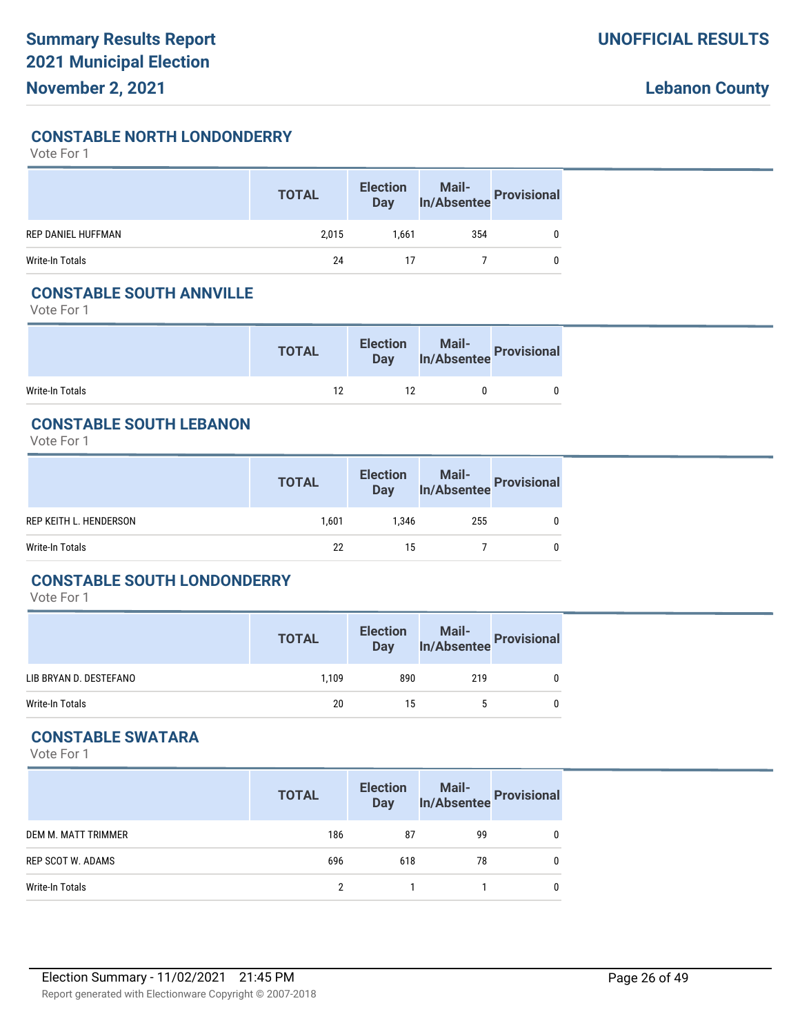**CONSTABLE NORTH LONDONDERRY**

Vote For 1

|                           | <b>TOTAL</b> | <b>Election</b><br>Day | Mail-<br>In/Absentee | Provisional |
|---------------------------|--------------|------------------------|----------------------|-------------|
| <b>REP DANIEL HUFFMAN</b> | 2,015        | 1.661                  | 354                  |             |
| Write-In Totals           | 24           |                        |                      |             |

## **CONSTABLE SOUTH ANNVILLE**

Vote For 1

|                 | <b>TOTAL</b> | <b>Election</b> | lection Mail-<br>Day In/Absentee Provisional |  |
|-----------------|--------------|-----------------|----------------------------------------------|--|
| Write-In Totals | 12           |                 |                                              |  |

# **CONSTABLE SOUTH LEBANON**

Vote For 1

|                        | <b>TOTAL</b> | <b>Election</b><br><b>Day</b> | Mail-<br>In/Absentee Provisional |  |
|------------------------|--------------|-------------------------------|----------------------------------|--|
| REP KEITH L. HENDERSON | 1.601        | 1.346                         | 255                              |  |
| Write-In Totals        | 22           | 15                            |                                  |  |

#### **CONSTABLE SOUTH LONDONDERRY**

Vote For 1

|                        | <b>TOTAL</b> | <b>Election</b><br><b>Day</b> | Mail-<br>In/Absentee Provisional |   |
|------------------------|--------------|-------------------------------|----------------------------------|---|
| LIB BRYAN D. DESTEFANO | 1.109        | 890                           | 219                              | 0 |
| Write-In Totals        | 20           | 15                            | 5                                | 0 |

# **CONSTABLE SWATARA**

|                     | <b>TOTAL</b> | <b>Election</b><br><b>Day</b> | Mail-<br>In/Absentee Provisional |   |
|---------------------|--------------|-------------------------------|----------------------------------|---|
| DEM M. MATT TRIMMER | 186          | 87                            | 99                               |   |
| REP SCOT W. ADAMS   | 696          | 618                           | 78                               | 0 |
| Write-In Totals     | 2            |                               |                                  |   |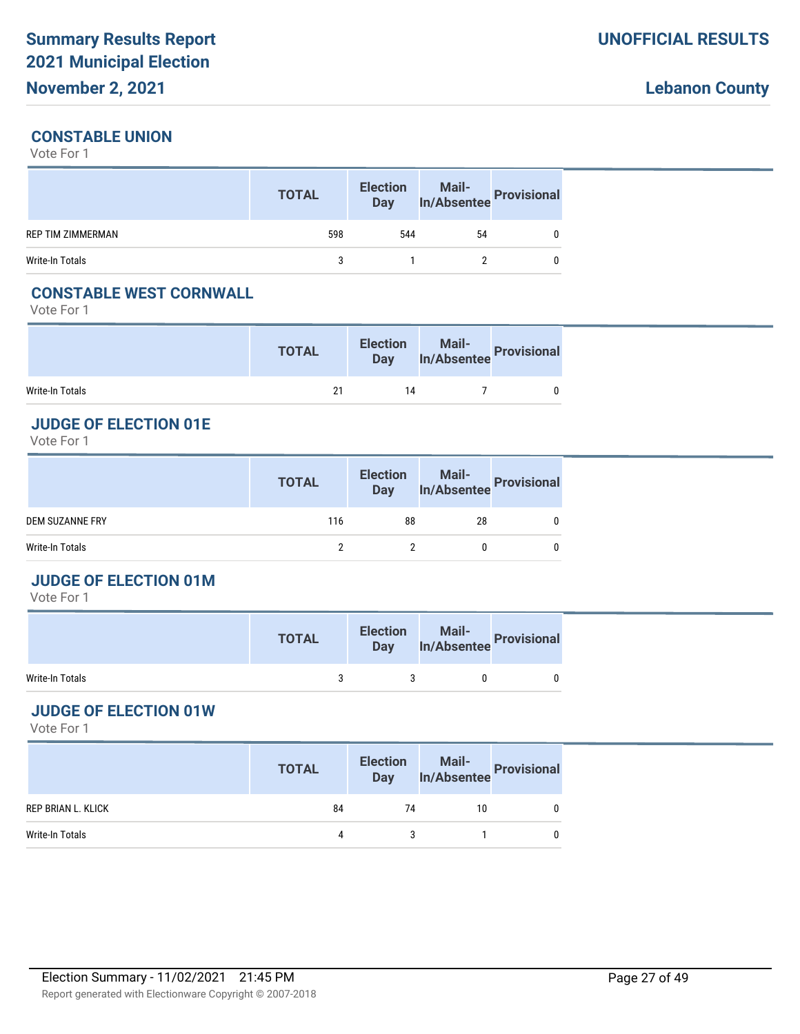## **CONSTABLE UNION**

Vote For 1

|                          | <b>TOTAL</b> | <b>Election</b><br>Day | Mail-<br>In/Absentee Provisional |  |
|--------------------------|--------------|------------------------|----------------------------------|--|
| <b>REP TIM ZIMMERMAN</b> | 598          | 544                    | 54                               |  |
| Write-In Totals          |              |                        |                                  |  |

### **CONSTABLE WEST CORNWALL**

Vote For 1

|                 | <b>TOTAL</b> | <b>Election</b><br><b>Day</b> | Mail-<br>In/Absentee Provisional |  |
|-----------------|--------------|-------------------------------|----------------------------------|--|
| Write-In Totals | 21           | 14                            |                                  |  |

### **JUDGE OF ELECTION 01E**

Vote For 1

|                 | <b>TOTAL</b> |    | Election Mail-<br>Day In/Absentee Provisional |  |
|-----------------|--------------|----|-----------------------------------------------|--|
| DEM SUZANNE FRY | 116          | 88 | 28                                            |  |
| Write-In Totals |              |    |                                               |  |

#### **JUDGE OF ELECTION 01M**

Vote For 1

|                 | <b>TOTAL</b> | <b>Election</b><br><b>Day</b> | Mail-<br>In/Absentee Provision?' |  |
|-----------------|--------------|-------------------------------|----------------------------------|--|
| Write-In Totals |              |                               |                                  |  |

# **JUDGE OF ELECTION 01W**

|                    | <b>TOTAL</b> | <b>Election</b> | lection Mail-<br>Day In/Absentee Provisional |  |
|--------------------|--------------|-----------------|----------------------------------------------|--|
| REP BRIAN L. KLICK | 84           | 74              | 10                                           |  |
| Write-In Totals    | 4            |                 |                                              |  |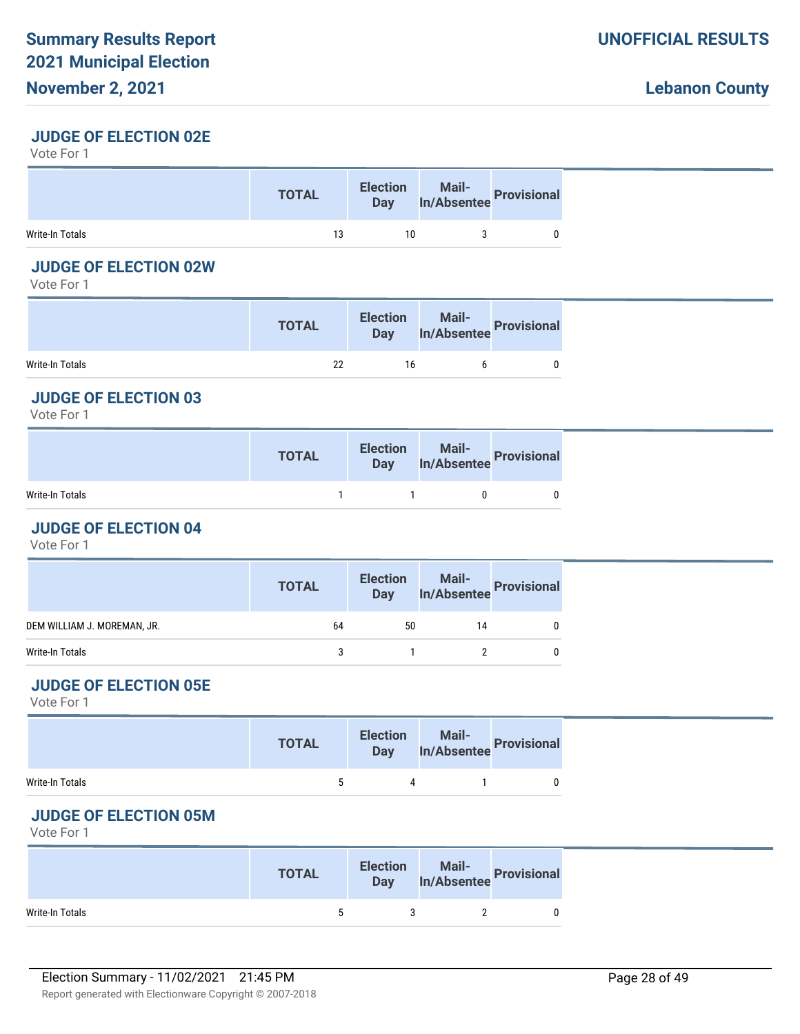# **November 2, 2021**

### **JUDGE OF ELECTION 02E**

Vote For 1

|                 | <b>TOTAL</b> |    | Election Mail-<br>Day In/Absentee Provisional |  |
|-----------------|--------------|----|-----------------------------------------------|--|
| Write-In Totals | 13           | 10 |                                               |  |

### **JUDGE OF ELECTION 02W**

Vote For 1

|                 | <b>TOTAL</b> | <b>Election</b><br><b>Day</b> | Mail-<br>In/Absentee Provisional |
|-----------------|--------------|-------------------------------|----------------------------------|
| Write-In Totals | 22           | 16                            |                                  |

# **JUDGE OF ELECTION 03**

Vote For 1

|                 | <b>TOTAL</b> | Election Mail-<br>Day In/Absentee Provisional |  |
|-----------------|--------------|-----------------------------------------------|--|
| Write-In Totals |              |                                               |  |

#### **JUDGE OF ELECTION 04**

Vote For 1

|                             | <b>TOTAL</b> |    | Election Mail-<br>Day In/Absentee Provisional |              |
|-----------------------------|--------------|----|-----------------------------------------------|--------------|
| DEM WILLIAM J. MOREMAN, JR. | 64           | 50 | 14                                            | 0            |
| Write-In Totals             |              |    |                                               | $\mathbf{0}$ |
|                             |              |    |                                               |              |

# **JUDGE OF ELECTION 05E**

Vote For 1

|                 | <b>TOTAL</b> | <b>Election</b> | Election Mail-<br>Day In/Absentee Provisional |  |
|-----------------|--------------|-----------------|-----------------------------------------------|--|
| Write-In Totals | $\sim$       | 4               |                                               |  |

# **JUDGE OF ELECTION 05M**

|                 | <b>TOTAL</b> | <b>Election</b><br><b>Day</b> | Mail-<br>In/Absentee Provisional |
|-----------------|--------------|-------------------------------|----------------------------------|
| Write-In Totals |              |                               |                                  |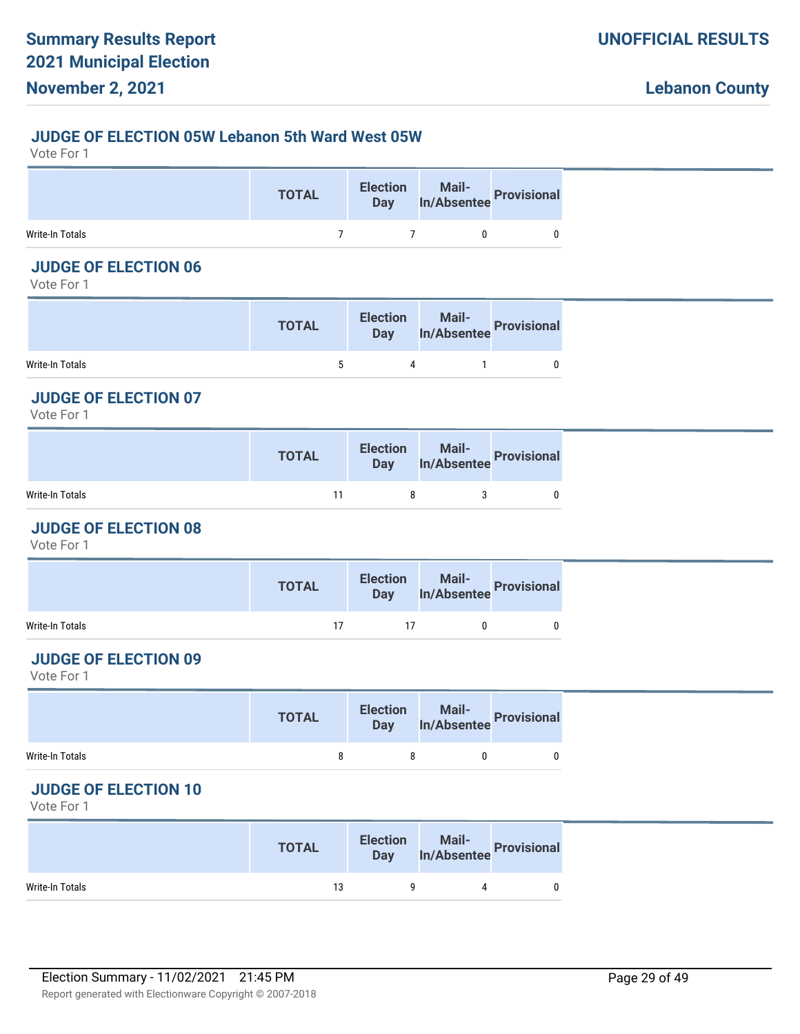#### **JUDGE OF ELECTION 05W Lebanon 5th Ward West 05W**

Vote For 1

|                 | <b>TOTAL</b> | Election Mail-<br>Day In/Absentee Provisional |  |
|-----------------|--------------|-----------------------------------------------|--|
| Write-In Totals |              |                                               |  |

# **JUDGE OF ELECTION 06**

Vote For 1

|                 | <b>TOTAL</b> | <b>Election</b> | lection Mail-<br>Day In/Absentee Provisional |
|-----------------|--------------|-----------------|----------------------------------------------|
| Write-In Totals | `            | 4               |                                              |

## **JUDGE OF ELECTION 07**

Vote For 1

|                 | <b>TOTAL</b> | Election Mail-<br>Day In/Absentee Provisional |  |
|-----------------|--------------|-----------------------------------------------|--|
| Write-In Totals | 11           |                                               |  |

#### **JUDGE OF ELECTION 08**

Vote For 1

|                 | <b>TOTAL</b> |    | Election Mail-<br>Day In/Absentee Provisional |  |
|-----------------|--------------|----|-----------------------------------------------|--|
| Write-In Totals | 17           | 17 |                                               |  |

### **JUDGE OF ELECTION 09**

Vote For 1

|                 | <b>TOTAL</b> | Election Mail-<br>Day In/Absentee Provisional |  |
|-----------------|--------------|-----------------------------------------------|--|
| Write-In Totals |              |                                               |  |

#### **JUDGE OF ELECTION 10**

|                 | <b>TOTAL</b> | <b>Election</b><br>Day | Mail-<br>Absentee Provisional In/Absentee |  |
|-----------------|--------------|------------------------|-------------------------------------------|--|
| Write-In Totals | 13           |                        |                                           |  |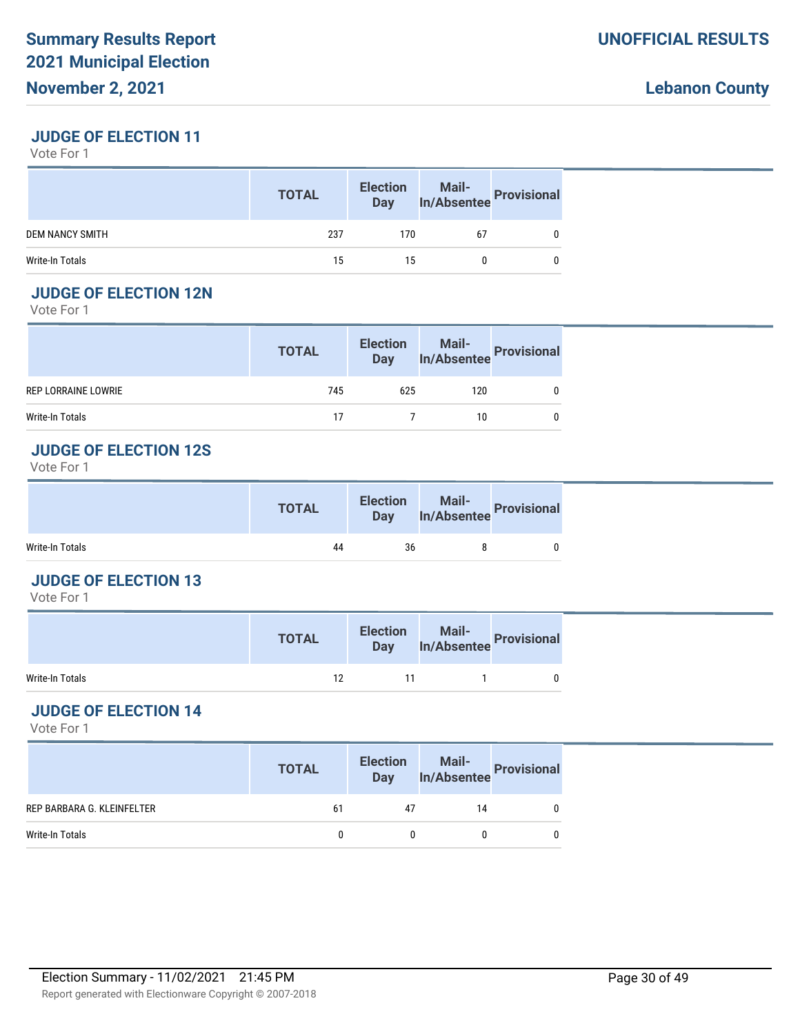### **JUDGE OF ELECTION 11**

Vote For 1

|                        | <b>TOTAL</b> | <b>Election</b><br><b>Day</b> | Mail-<br>In/Absentee Provisional |  |
|------------------------|--------------|-------------------------------|----------------------------------|--|
| <b>DEM NANCY SMITH</b> | 237          | 170                           | 67                               |  |
| Write-In Totals        | 15           | 15                            |                                  |  |

# **JUDGE OF ELECTION 12N**

Vote For 1

|                     | <b>TOTAL</b> |     | Election Mail-<br>Day In/Absentee Provisional |  |
|---------------------|--------------|-----|-----------------------------------------------|--|
| REP LORRAINE LOWRIE | 745          | 625 | 120                                           |  |
| Write-In Totals     | 17           |     | 10                                            |  |

#### **JUDGE OF ELECTION 12S**

Vote For 1

|                 | <b>TOTAL</b> | <b>Election</b><br>Day | Mail-<br>In/Absentee Provisional |
|-----------------|--------------|------------------------|----------------------------------|
| Write-In Totals | 44           | 36                     |                                  |

#### **JUDGE OF ELECTION 13**

Vote For 1

|                 | <b>TOTAL</b> | <b>Election</b><br><b>Day</b> | Mail-<br>Absentee Provisions' |  |
|-----------------|--------------|-------------------------------|-------------------------------|--|
| Write-In Totals | 12           | 11                            |                               |  |

# **JUDGE OF ELECTION 14**

|                            | <b>TOTAL</b> | <b>Election</b><br>Day | Mail-<br>In/Absentee Provisional |  |
|----------------------------|--------------|------------------------|----------------------------------|--|
| REP BARBARA G. KLEINFELTER | 61           | 47                     | 14                               |  |
| Write-In Totals            |              |                        |                                  |  |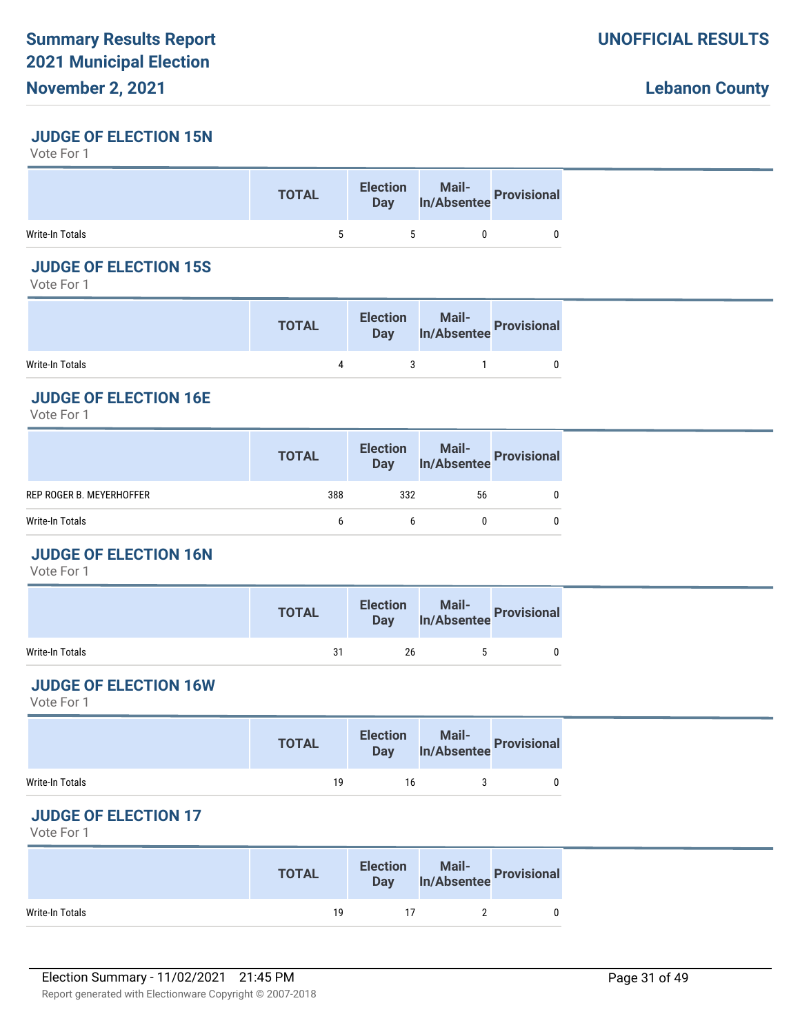### **JUDGE OF ELECTION 15N**

Vote For 1

|                 | <b>TOTAL</b> | <b>Election</b><br>Day | n Mail-<br>In/Absentee Provisional |  |
|-----------------|--------------|------------------------|------------------------------------|--|
| Write-In Totals |              |                        |                                    |  |

# **JUDGE OF ELECTION 15S**

Vote For 1

|                 | <b>TOTAL</b> | <b>Election</b> | lection Mail-<br>Day In/Absentee Provisional |
|-----------------|--------------|-----------------|----------------------------------------------|
| Write-In Totals |              |                 |                                              |

# **JUDGE OF ELECTION 16E**

Vote For 1

| 388<br>332<br>REP ROGER B. MEYERHOFFER<br>56<br>0<br>Write-In Totals<br>0<br>h<br>h | <b>TOTAL</b> | Election Mail-<br>Day In/Absentee Provisional |  |
|-------------------------------------------------------------------------------------|--------------|-----------------------------------------------|--|
|                                                                                     |              |                                               |  |
|                                                                                     |              |                                               |  |

# **JUDGE OF ELECTION 16N**

Vote For 1

|                 | <b>TOTAL</b> | <b>Election</b> | Mail-<br><b>Mail-</b><br><b>Provisional</b><br><b>Mail-</b> |  |
|-----------------|--------------|-----------------|-------------------------------------------------------------|--|
| Write-In Totals | 31           | 26              |                                                             |  |

# **JUDGE OF ELECTION 16W**

Vote For 1

|                 | <b>TOTAL</b> |    | Election Mail-<br>Day In/Absentee Provisional |  |
|-----------------|--------------|----|-----------------------------------------------|--|
| Write-In Totals | 19           | 16 |                                               |  |

# **JUDGE OF ELECTION 17**

|                 | <b>TOTAL</b> | <b>Election</b><br><b>Day</b> | Mail-<br>In/Absentee Provisional |  |
|-----------------|--------------|-------------------------------|----------------------------------|--|
| Write-In Totals | 19           |                               |                                  |  |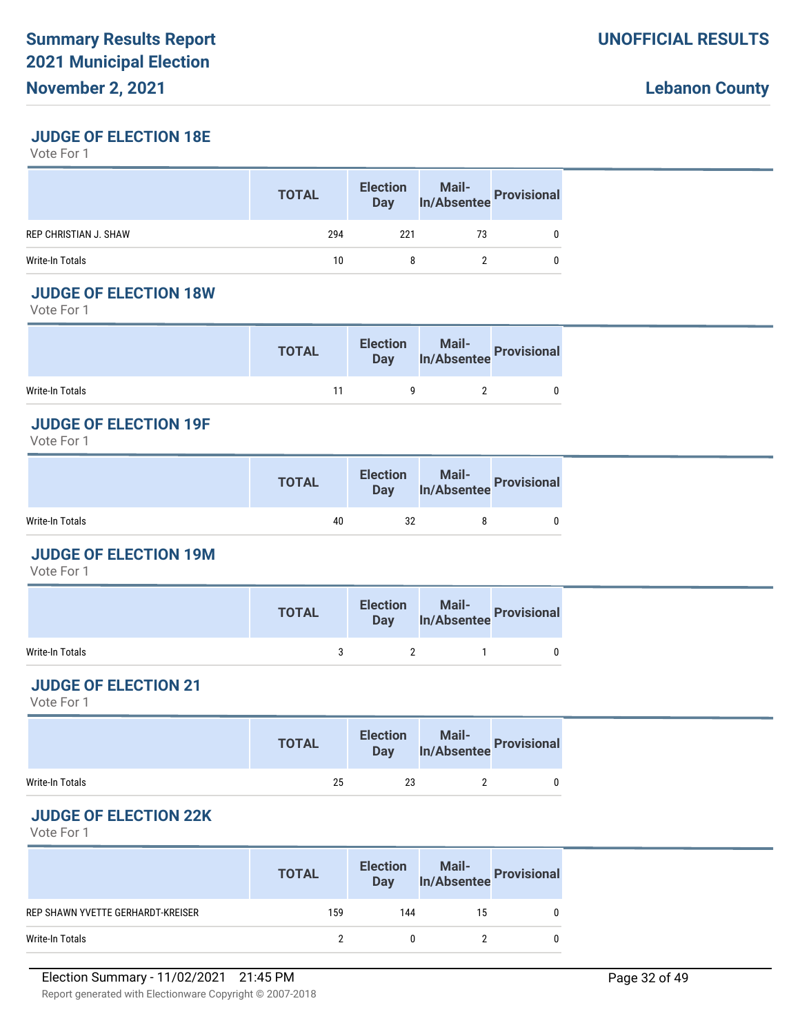### **JUDGE OF ELECTION 18E**

Vote For 1

|                              | <b>TOTAL</b> | <b>Election</b><br><b>Day</b> |    | Mail-<br>In/Absentee Provisional |
|------------------------------|--------------|-------------------------------|----|----------------------------------|
| <b>REP CHRISTIAN J. SHAW</b> | 294          | 221                           | 73 |                                  |
| Write-In Totals              | 10           |                               |    |                                  |

### **JUDGE OF ELECTION 18W**

Vote For 1

|                 | <b>TOTAL</b> | <b>Election</b> | Election Mail-<br>Day In/Absentee Provisional |  |
|-----------------|--------------|-----------------|-----------------------------------------------|--|
| Write-In Totals | 11           |                 |                                               |  |

### **JUDGE OF ELECTION 19F**

Vote For 1

|                 | <b>TOTAL</b> | <b>Election</b><br>Day | Mail-<br>In/Absentee Provisional |  |
|-----------------|--------------|------------------------|----------------------------------|--|
| Write-In Totals | 40           | 32                     |                                  |  |

### **JUDGE OF ELECTION 19M**

Vote For 1

|                 | <b>TOTAL</b> | Election Mail-<br>Day In/Absentee Provisional |  |
|-----------------|--------------|-----------------------------------------------|--|
| Write-In Totals |              |                                               |  |

# **JUDGE OF ELECTION 21**

Vote For 1

|                 | <b>TOTAL</b> |    | Election Mail-<br>Day In/Absentee Provisional |  |
|-----------------|--------------|----|-----------------------------------------------|--|
| Write-In Totals | 25           | 23 |                                               |  |

# **JUDGE OF ELECTION 22K**

|                                   | <b>TOTAL</b> | <b>Election</b><br><b>Day</b> | Mail-<br>In/Absentee Provisional |  |
|-----------------------------------|--------------|-------------------------------|----------------------------------|--|
| REP SHAWN YVETTE GERHARDT-KREISER | 159          | 144                           | 15                               |  |
| Write-In Totals                   |              |                               |                                  |  |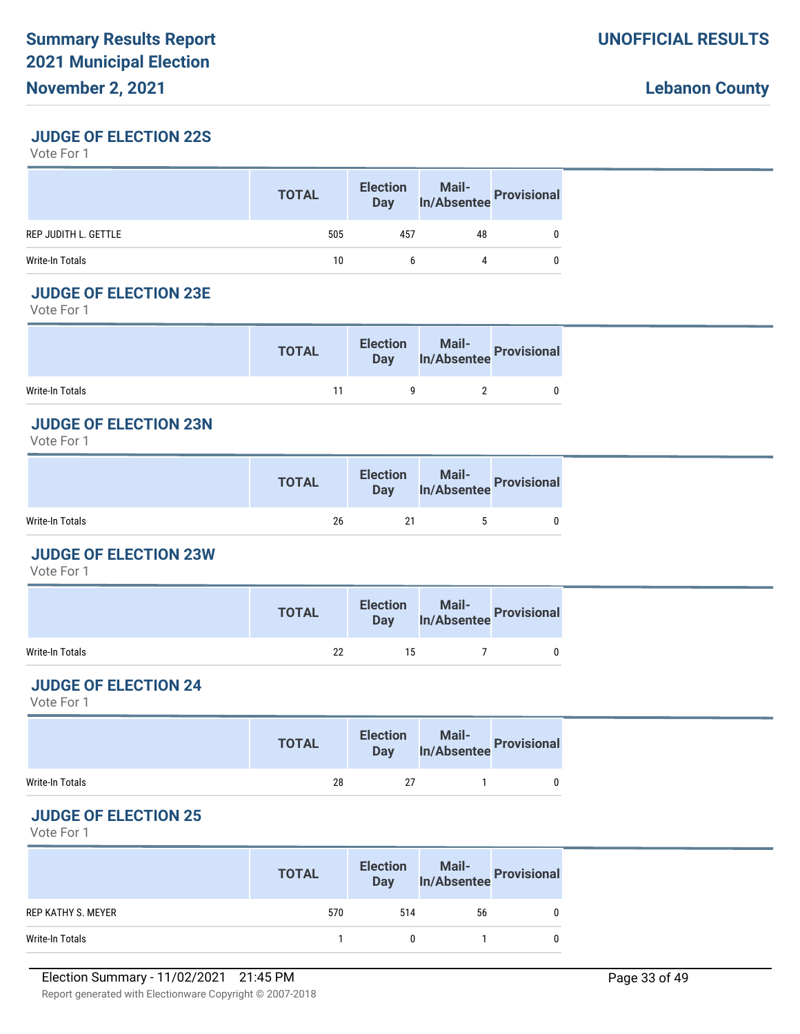### **JUDGE OF ELECTION 22S**

Vote For 1

|                      | <b>TOTAL</b> | <b>Election</b><br>Day |    | Mail-<br>In/Absentee Provisional |
|----------------------|--------------|------------------------|----|----------------------------------|
| REP JUDITH L. GETTLE | 505          | 457                    | 48 |                                  |
| Write-In Totals      | 10           | h                      |    |                                  |

### **JUDGE OF ELECTION 23E**

Vote For 1

|                 | <b>TOTAL</b> | <b>Election</b> | lection Mail-<br>Day In/Absentee Provisional |  |
|-----------------|--------------|-----------------|----------------------------------------------|--|
| Write-In Totals |              |                 |                                              |  |

### **JUDGE OF ELECTION 23N**

Vote For 1

|                 | <b>TOTAL</b> | <b>Election</b> | lection Mail-<br>Day In/Absentee Provisional |  |
|-----------------|--------------|-----------------|----------------------------------------------|--|
| Write-In Totals | 26           |                 |                                              |  |

### **JUDGE OF ELECTION 23W**

Vote For 1

|                 | <b>TOTAL</b> | <b>Election</b> | lection Mail-<br>Day In/Absentee Provisional |  |
|-----------------|--------------|-----------------|----------------------------------------------|--|
| Write-In Totals | 22           | 15              |                                              |  |

# **JUDGE OF ELECTION 24**

Vote For 1

|                 | <b>TOTAL</b> |    | Election Mail-<br>Day In/Absentee Provisional |  |
|-----------------|--------------|----|-----------------------------------------------|--|
| Write-In Totals | 28           | 27 |                                               |  |

# **JUDGE OF ELECTION 25**

|                    | <b>TOTAL</b> | <b>Election</b><br><b>Day</b> | Mail-<br>In/Absentee Provisional |  |
|--------------------|--------------|-------------------------------|----------------------------------|--|
| REP KATHY S. MEYER | 570          | 514                           | 56                               |  |
| Write-In Totals    |              |                               |                                  |  |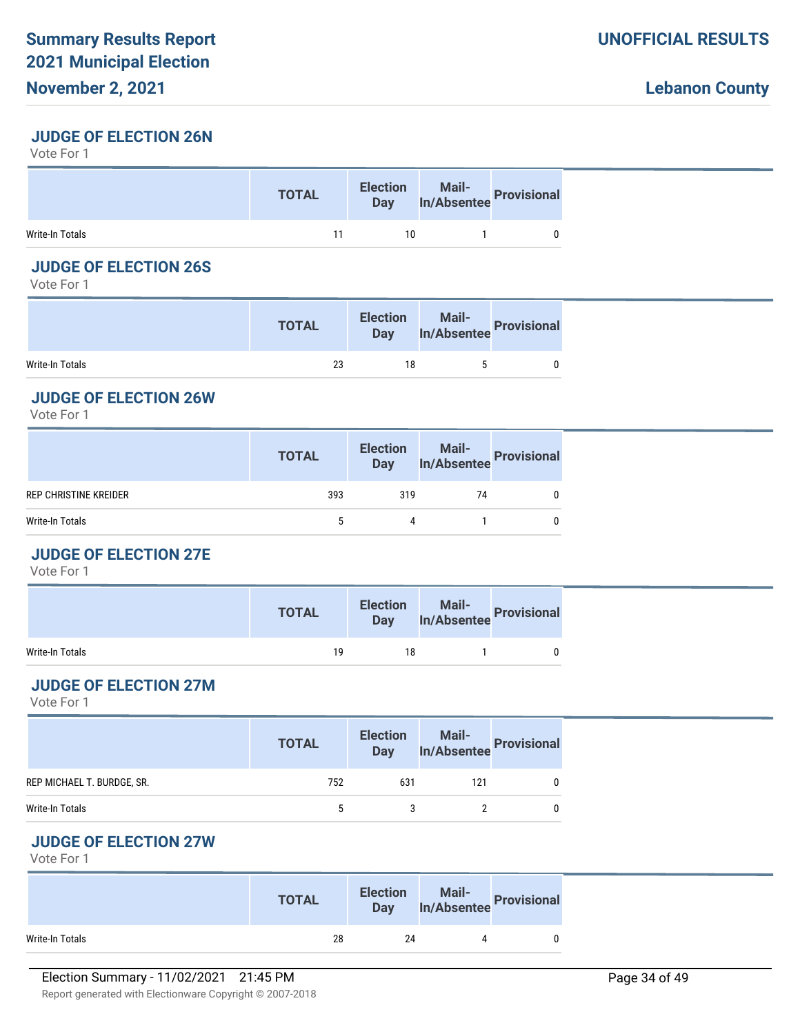### **JUDGE OF ELECTION 26N**

Vote For 1

|                 | <b>TOTAL</b> | <b>Election</b><br><b>Day</b> | Mail-<br>In/Absentee Provisional |  |
|-----------------|--------------|-------------------------------|----------------------------------|--|
| Write-In Totals |              | 10                            |                                  |  |

# **JUDGE OF ELECTION 26S**

Vote For 1

|                 | <b>TOTAL</b> | <b>Election</b><br><b>Day</b> | Mail-<br>In/Absentee Provisional |
|-----------------|--------------|-------------------------------|----------------------------------|
| Write-In Totals | 23           | 18                            |                                  |

#### **JUDGE OF ELECTION 26W**

Vote For 1

| 393<br>319<br>REP CHRISTINE KREIDER<br>74<br>Write-In Totals<br>4 | <b>TOTAL</b> | Election Mail-<br>Day In/Absentee Provisional |  |
|-------------------------------------------------------------------|--------------|-----------------------------------------------|--|
|                                                                   |              |                                               |  |
|                                                                   |              |                                               |  |

# **JUDGE OF ELECTION 27E**

Vote For 1

|                 | <b>TOTAL</b> |    | Election Mail-<br>Day In/Absentee Provisional |  |
|-----------------|--------------|----|-----------------------------------------------|--|
| Write-In Totals | 19           | 18 |                                               |  |

# **JUDGE OF ELECTION 27M**

Vote For 1

|                            | <b>TOTAL</b> |     | Election Mail-<br>Day In/Absentee Provisional |  |
|----------------------------|--------------|-----|-----------------------------------------------|--|
| REP MICHAEL T. BURDGE, SR. | 752          | 631 | 121                                           |  |
| Write-In Totals            |              |     |                                               |  |

# **JUDGE OF ELECTION 27W**

|                 | <b>TOTAL</b> | <b>Election</b><br>Day | n Mail-<br>In/Absentee Provisional |  |
|-----------------|--------------|------------------------|------------------------------------|--|
| Write-In Totals | 28           | 24                     | Λ                                  |  |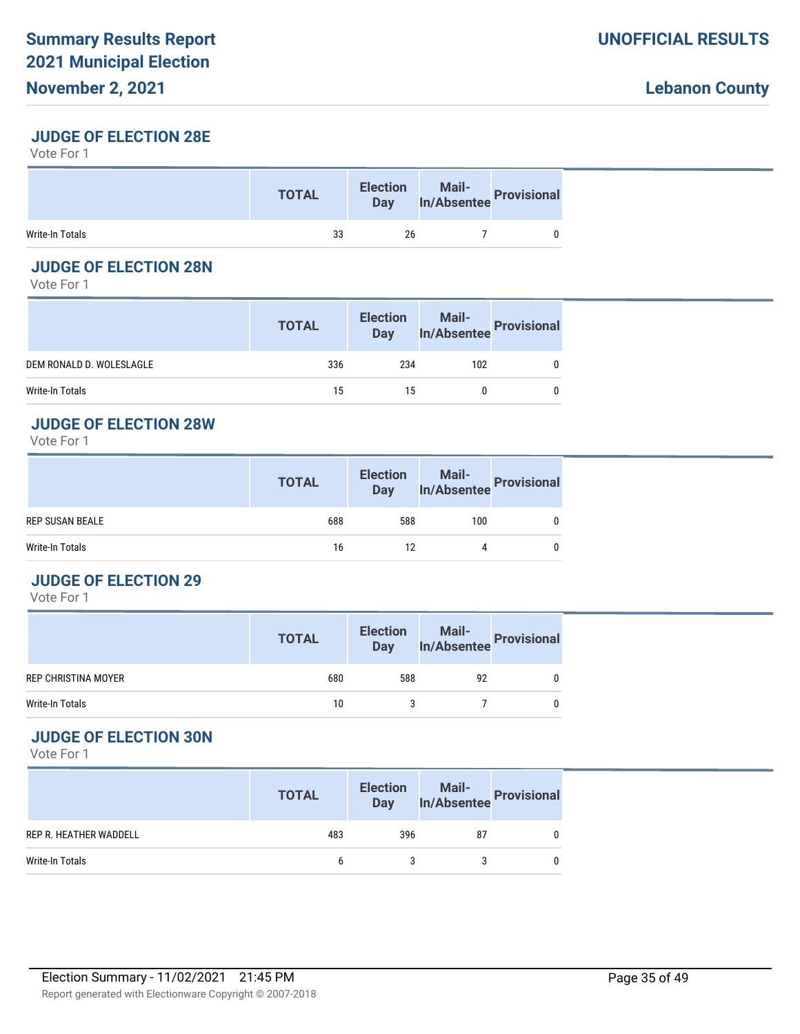# **JUDGE OF ELECTION 28E**

Vote For 1

|                 | <b>TOTAL</b> | <b>Election</b><br><b>Day</b> | Mail-<br>In/Absentee Provisional |  |
|-----------------|--------------|-------------------------------|----------------------------------|--|
| Write-In Totals | 33           | 26                            |                                  |  |

# **JUDGE OF ELECTION 28N**

Vote For 1

|                          | <b>TOTAL</b> | <b>Election</b><br>Day | Mail-<br>In/Absentee Provisional |  |
|--------------------------|--------------|------------------------|----------------------------------|--|
| DEM RONALD D. WOLESLAGLE | 336          | 234                    | 102                              |  |
| Write-In Totals          | 15           | 15                     |                                  |  |

#### **JUDGE OF ELECTION 28W**

Vote For 1

|                        | <b>TOTAL</b> | <b>Election</b><br>Day | Mail-<br>In/Absentee Provisional |  |
|------------------------|--------------|------------------------|----------------------------------|--|
| <b>REP SUSAN BEALE</b> | 688          | 588                    | 100                              |  |
| Write-In Totals        | 16           | 12                     | 4                                |  |

#### **JUDGE OF ELECTION 29**

Vote For 1

|                            | <b>TOTAL</b> | <b>Election</b><br><b>Day</b> | Mail-<br>In/Absentee Provisional |  |
|----------------------------|--------------|-------------------------------|----------------------------------|--|
| <b>REP CHRISTINA MOYER</b> | 680          | 588                           | 92                               |  |
| Write-In Totals            | 10           |                               |                                  |  |

# **JUDGE OF ELECTION 30N**

|                               | <b>TOTAL</b> | <b>Election</b><br>Day | Mail-<br>In/Absentee Provisional |  |
|-------------------------------|--------------|------------------------|----------------------------------|--|
| <b>REP R. HEATHER WADDELL</b> | 483          | 396                    | 87                               |  |
| Write-In Totals               | 6            |                        |                                  |  |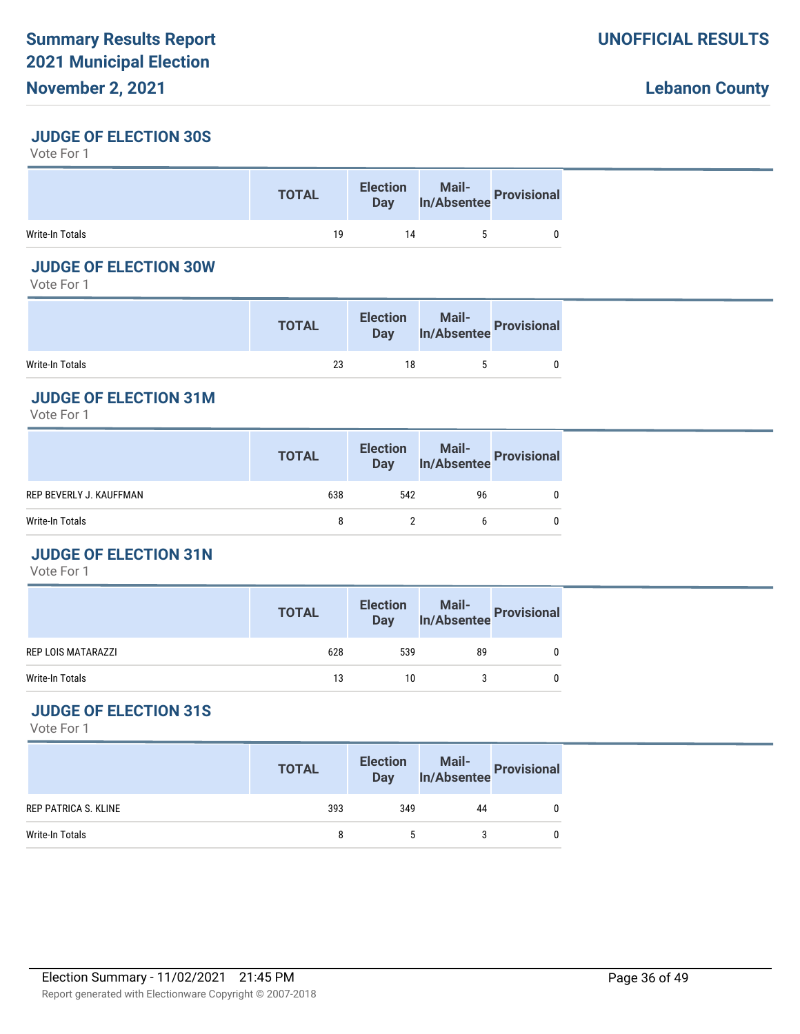#### **JUDGE OF ELECTION 30S**

Vote For 1

|                 | <b>TOTAL</b> |    | Election Mail-<br>Day In/Absentee Provisional |  |
|-----------------|--------------|----|-----------------------------------------------|--|
| Write-In Totals | 19           | 14 |                                               |  |

### **JUDGE OF ELECTION 30W**

Vote For 1

|                 | <b>TOTAL</b> | <b>Election</b><br>Day | Mail-<br>In/Absentee Provision?' |
|-----------------|--------------|------------------------|----------------------------------|
| Write-In Totals | 23           | 18                     |                                  |

# **JUDGE OF ELECTION 31M**

Vote For 1

|                         | <b>TOTAL</b> |     | Election Mail-<br>Day In/Absentee Provisional |  |
|-------------------------|--------------|-----|-----------------------------------------------|--|
| REP BEVERLY J. KAUFFMAN | 638          | 542 | 96                                            |  |
| Write-In Totals         | 8            |     | b                                             |  |
|                         |              |     |                                               |  |

# **JUDGE OF ELECTION 31N**

Vote For 1

|                    | <b>TOTAL</b> | <b>Election</b><br><b>Day</b> | Mail-<br>In/Absentee Provisional |          |
|--------------------|--------------|-------------------------------|----------------------------------|----------|
| REP LOIS MATARAZZI | 628          | 539                           | 89                               | 0        |
| Write-In Totals    | 13           | 10                            |                                  | $\Omega$ |

# **JUDGE OF ELECTION 31S**

|                      | <b>TOTAL</b> | <b>Election</b><br><b>Day</b> | Mail-<br>In/Absentee | Provisional |
|----------------------|--------------|-------------------------------|----------------------|-------------|
| REP PATRICA S. KLINE | 393          | 349                           | 44                   |             |
| Write-In Totals      | 8            |                               |                      |             |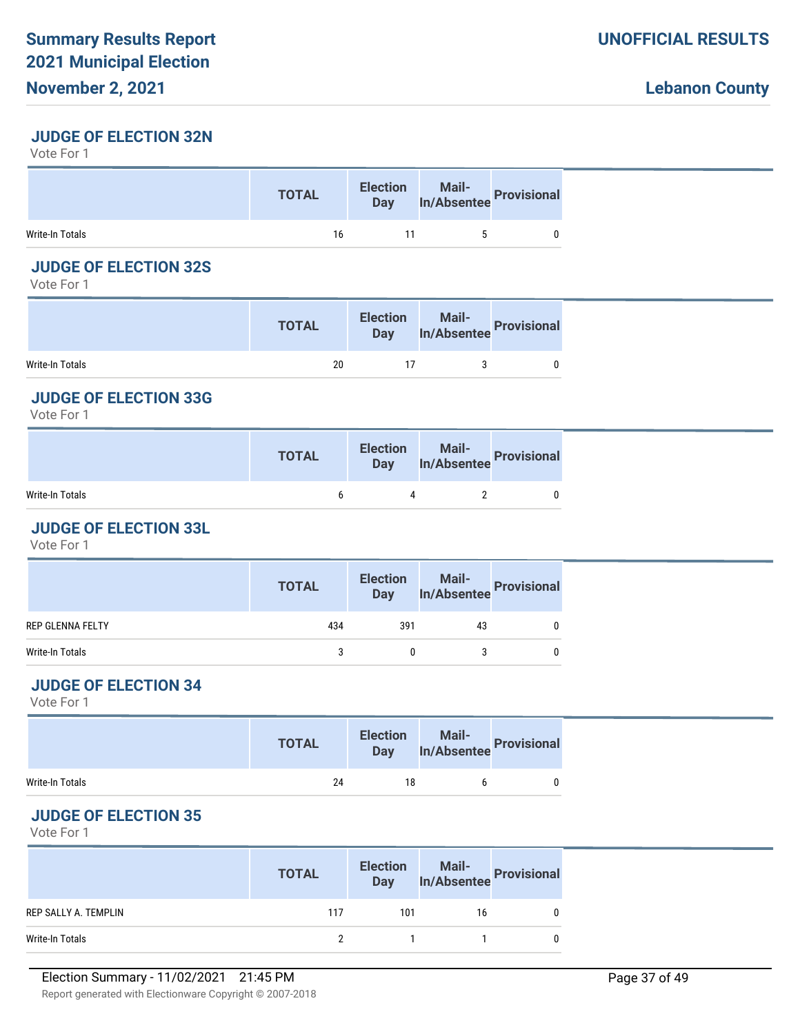# **November 2, 2021**

#### **JUDGE OF ELECTION 32N**

Vote For 1

|                 | <b>TOTAL</b> | <b>Election</b><br><b>Day</b> | <b>Mail-</b><br>In/Absentee Provisional |  |
|-----------------|--------------|-------------------------------|-----------------------------------------|--|
| Write-In Totals | 16           | 11                            |                                         |  |

### **JUDGE OF ELECTION 32S**

Vote For 1

|                 | <b>TOTAL</b> | <b>Election</b> | <b>Solution Mail-</b><br>Day In/Absentee Provisional |
|-----------------|--------------|-----------------|------------------------------------------------------|
| Write-In Totals | 20           |                 |                                                      |

# **JUDGE OF ELECTION 33G**

Vote For 1

|                 | <b>TOTAL</b> | Election Mail-<br>Day In/Absentee Provisional |  |
|-----------------|--------------|-----------------------------------------------|--|
| Write-In Totals |              |                                               |  |

# **JUDGE OF ELECTION 33L**

Vote For 1

|                  | <b>TOTAL</b> |     | Election Mail-<br>Day In/Absentee Provisional |   |
|------------------|--------------|-----|-----------------------------------------------|---|
| REP GLENNA FELTY | 434          | 391 | 43                                            | 0 |
| Write-In Totals  |              | 0   |                                               | 0 |
|                  |              |     |                                               |   |

# **JUDGE OF ELECTION 34**

Vote For 1

|                 | <b>TOTAL</b> |    | Election Mail-<br>Day In/Absentee Provisional |  |
|-----------------|--------------|----|-----------------------------------------------|--|
| Write-In Totals | 24           | 18 |                                               |  |

# **JUDGE OF ELECTION 35**

|                      | <b>TOTAL</b> | <b>Election</b><br><b>Day</b> | Mail-<br>In/Absentee Provisional |  |
|----------------------|--------------|-------------------------------|----------------------------------|--|
| REP SALLY A. TEMPLIN | 117          | 101                           | 16                               |  |
| Write-In Totals      |              |                               |                                  |  |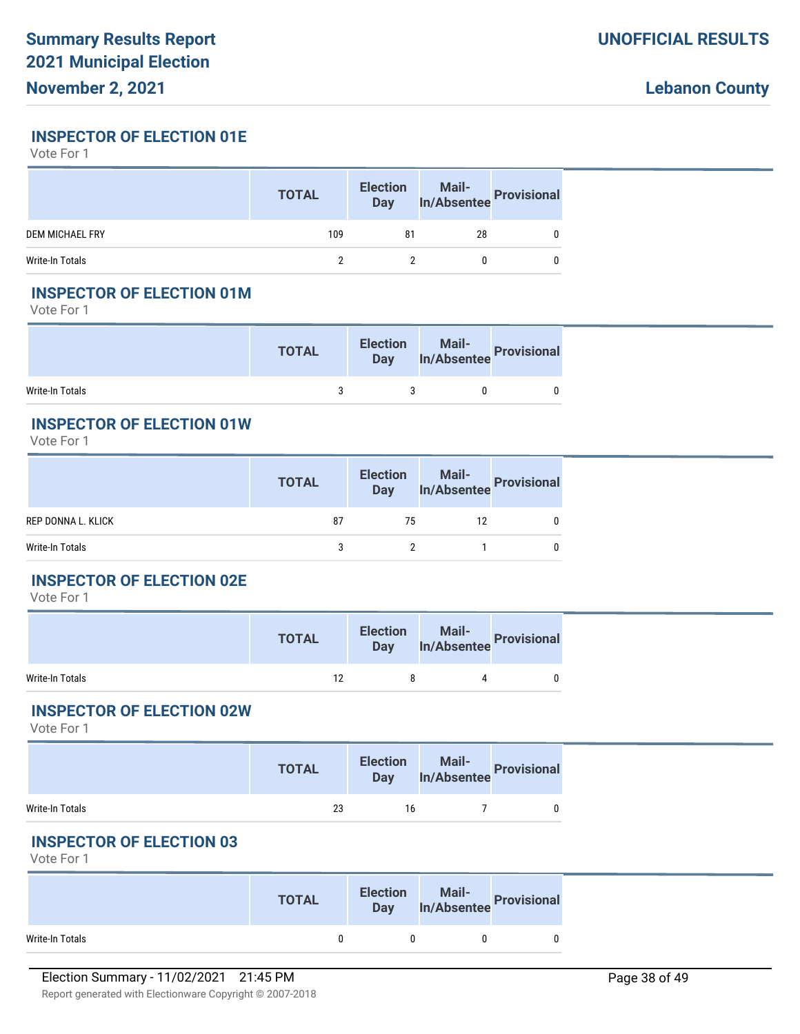#### **INSPECTOR OF ELECTION 01E**

Vote For 1

|                        | <b>TOTAL</b> | <b>Election</b><br>Day | Mail-<br>In/Absentee Provisional |  |
|------------------------|--------------|------------------------|----------------------------------|--|
| <b>DEM MICHAEL FRY</b> | 109          | 81                     | 28                               |  |
| Write-In Totals        |              |                        |                                  |  |

### **INSPECTOR OF ELECTION 01M**

Vote For 1

|                 | <b>TOTAL</b> | <b>Election</b> | lection Mail-<br>Day In/Absentee Provisional |  |
|-----------------|--------------|-----------------|----------------------------------------------|--|
| Write-In Totals |              |                 |                                              |  |

# **INSPECTOR OF ELECTION 01W**

Vote For 1

|                    | <b>TOTAL</b> | <b>Election</b><br><b>Day</b> | Mail-<br>In/Absentee Provisional |  |
|--------------------|--------------|-------------------------------|----------------------------------|--|
| REP DONNA L. KLICK | 87           | 75                            | 12                               |  |
| Write-In Totals    |              |                               |                                  |  |

#### **INSPECTOR OF ELECTION 02E**

Vote For 1

|                 | <b>TOTAL</b> | <b>Election</b><br><b>Day</b> | Mail-<br>In/Absentee<br> |
|-----------------|--------------|-------------------------------|--------------------------|
| Write-In Totals | 12           |                               |                          |

#### **INSPECTOR OF ELECTION 02W**

Vote For 1

|                 | <b>TOTAL</b> | <b>Election</b><br>Day | Mail-<br>In/Absentee Provisional |
|-----------------|--------------|------------------------|----------------------------------|
| Write-In Totals | 23           | 16                     |                                  |

#### **INSPECTOR OF ELECTION 03**

|                 | <b>TOTAL</b> | <b>Election</b><br><b>Day</b> | Mail-<br>In/Absentee Provisional |
|-----------------|--------------|-------------------------------|----------------------------------|
| Write-In Totals |              |                               |                                  |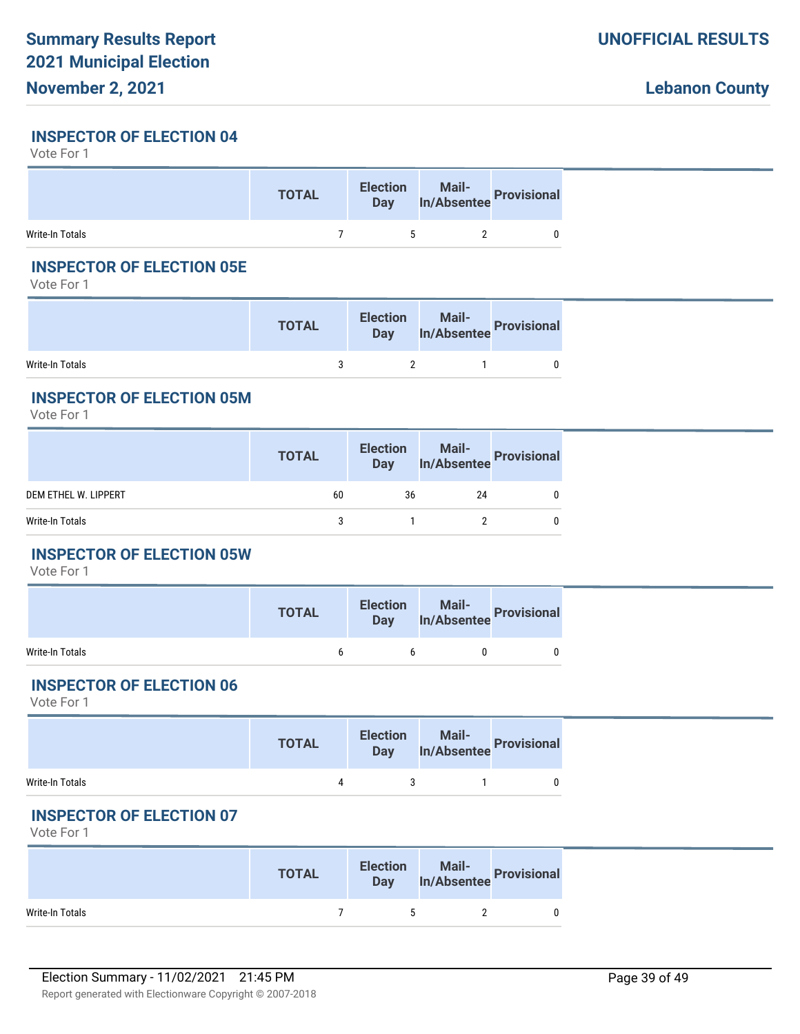# **November 2, 2021**

### **INSPECTOR OF ELECTION 04**

Vote For 1

|                 | <b>TOTAL</b> | Election Mail-<br>Day In/Absentee Provisional |  |
|-----------------|--------------|-----------------------------------------------|--|
| Write-In Totals |              |                                               |  |

### **INSPECTOR OF ELECTION 05E**

Vote For 1

|                 | <b>TOTAL</b> | <b>Election</b> | lection Mail-<br>Day In/Absentee Provisional |
|-----------------|--------------|-----------------|----------------------------------------------|
| Write-In Totals |              |                 |                                              |

### **INSPECTOR OF ELECTION 05M**

Vote For 1

|                      | <b>TOTAL</b> |    | Election Mail-<br>Day In/Absentee Provisional |  |
|----------------------|--------------|----|-----------------------------------------------|--|
| DEM ETHEL W. LIPPERT | 60           | 36 | 24                                            |  |
| Write-In Totals      | 3            |    |                                               |  |
|                      |              |    |                                               |  |

# **INSPECTOR OF ELECTION 05W**

Vote For 1

|                 | <b>TOTAL</b> |   | Election Mail-<br>Day In/Absentee Provisional |  |
|-----------------|--------------|---|-----------------------------------------------|--|
| Write-In Totals |              | h |                                               |  |

# **INSPECTOR OF ELECTION 06**

Vote For 1

|                 | <b>TOTAL</b> |          | Election Mail-<br>Day In/Absentee Provisional |  |
|-----------------|--------------|----------|-----------------------------------------------|--|
| Write-In Totals |              | $\sim$ 3 |                                               |  |

# **INSPECTOR OF ELECTION 07**

|                 | <b>TOTAL</b> | <b>Election</b><br><b>Day</b> | Mail-<br>In/Absentee Provisional |
|-----------------|--------------|-------------------------------|----------------------------------|
| Write-In Totals |              | ь.                            |                                  |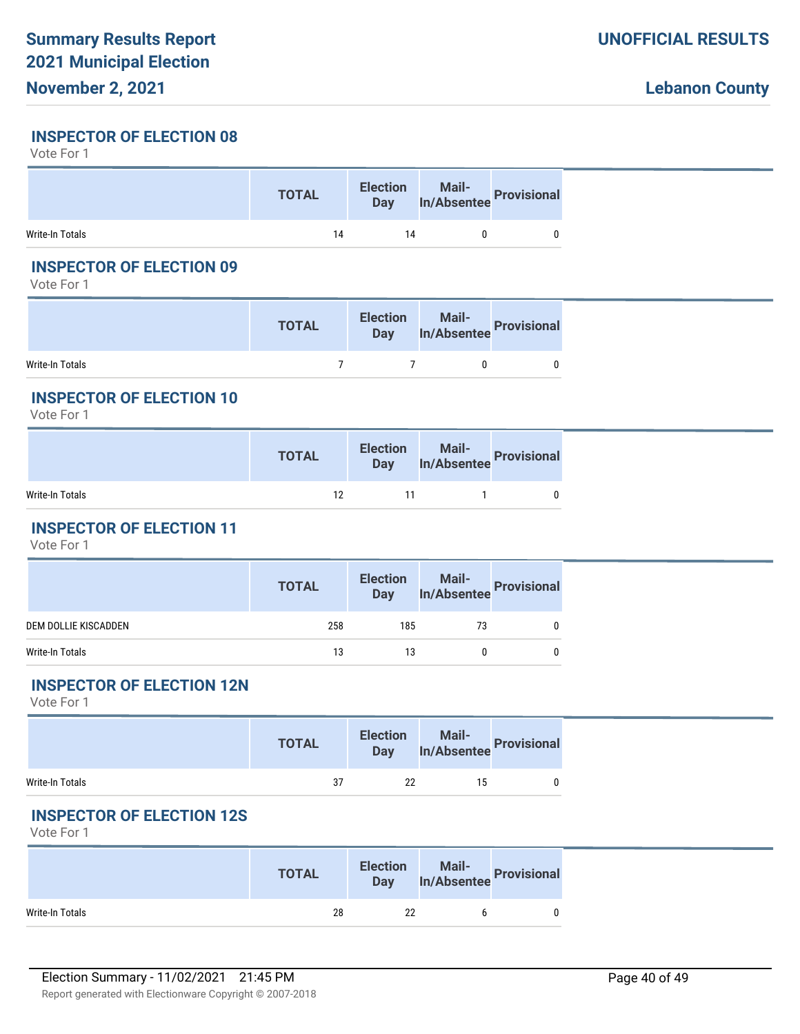# **November 2, 2021**

#### **INSPECTOR OF ELECTION 08**

Vote For 1

|                 | <b>TOTAL</b> |    | Election Mail-<br>Day In/Absentee Provisional |  |
|-----------------|--------------|----|-----------------------------------------------|--|
| Write-In Totals | 14           | 14 |                                               |  |

### **INSPECTOR OF ELECTION 09**

Vote For 1

|                 | <b>TOTAL</b> | <b>Election</b> | Mail-<br><b>Day</b> In/Absentee Provisions |
|-----------------|--------------|-----------------|--------------------------------------------|
| Write-In Totals |              |                 |                                            |

### **INSPECTOR OF ELECTION 10**

Vote For 1

|                 | <b>TOTAL</b> | Election Mail-<br>Day In/Absentee Provisional |  |
|-----------------|--------------|-----------------------------------------------|--|
| Write-In Totals | 12           |                                               |  |

# **INSPECTOR OF ELECTION 11**

Vote For 1

|                      | <b>TOTAL</b> |     | Election Mail-<br>Day In/Absentee Provisional |  |
|----------------------|--------------|-----|-----------------------------------------------|--|
| DEM DOLLIE KISCADDEN | 258          | 185 | 73                                            |  |
| Write-In Totals      | 13           | 13  |                                               |  |
|                      |              |     |                                               |  |

# **INSPECTOR OF ELECTION 12N**

Vote For 1

|                 | <b>TOTAL</b> |    | Election Mail-<br>Day In/Absentee Provisional |  |
|-----------------|--------------|----|-----------------------------------------------|--|
| Write-In Totals | 37           | 22 | 15                                            |  |

# **INSPECTOR OF ELECTION 12S**

|                 | <b>TOTAL</b> | <b>Election</b><br><b>Day</b> | Mail-<br>In/Absentee Provisional |  |
|-----------------|--------------|-------------------------------|----------------------------------|--|
| Write-In Totals | 28           | 22                            |                                  |  |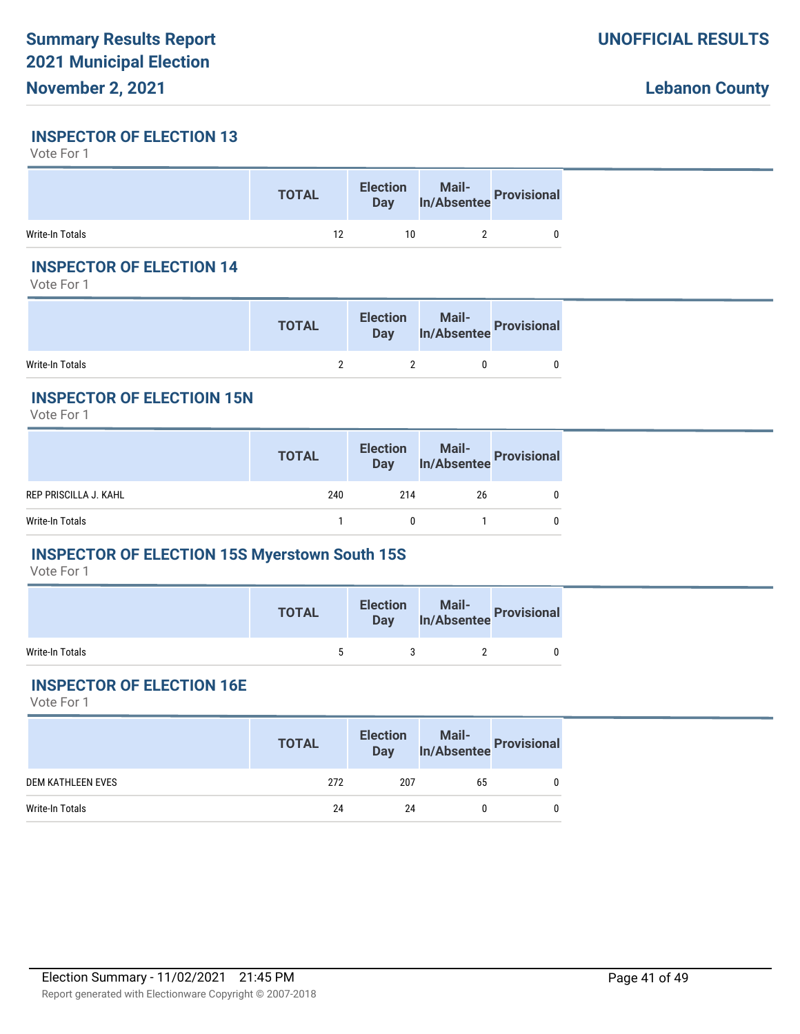#### **INSPECTOR OF ELECTION 13**

Vote For 1

|                 | <b>TOTAL</b> |    | Election Mail-<br>Day In/Absentee Provisional |  |
|-----------------|--------------|----|-----------------------------------------------|--|
| Write-In Totals | 12           | 10 |                                               |  |

# **INSPECTOR OF ELECTION 14**

Vote For 1

|                 | <b>TOTAL</b> |  | Day In/Absentee Provisions' |
|-----------------|--------------|--|-----------------------------|
| Write-In Totals |              |  |                             |

## **INSPECTOR OF ELECTIOIN 15N**

Vote For 1

|                              | <b>TOTAL</b> |              | Election Mail-<br>Day In/Absentee Provisional |            |
|------------------------------|--------------|--------------|-----------------------------------------------|------------|
| <b>REP PRISCILLA J. KAHL</b> | 240          | 214          | 26                                            | 0          |
| Write-In Totals              |              | $\mathbf{0}$ |                                               | $^{\circ}$ |
|                              |              |              |                                               |            |

# **INSPECTOR OF ELECTION 15S Myerstown South 15S**

Vote For 1

|                 | <b>TOTAL</b> | <b>Election</b><br><b>Day</b> | n Mail-<br>In/Absentee Provisional |
|-----------------|--------------|-------------------------------|------------------------------------|
| Write-In Totals |              |                               |                                    |

# **INSPECTOR OF ELECTION 16E**

|                   | <b>TOTAL</b> |     | Election Mail-<br>Day In/Absentee Provisional |  |
|-------------------|--------------|-----|-----------------------------------------------|--|
| DEM KATHLEEN EVES | 272          | 207 | 65                                            |  |
| Write-In Totals   | 24           | 24  |                                               |  |
|                   |              |     |                                               |  |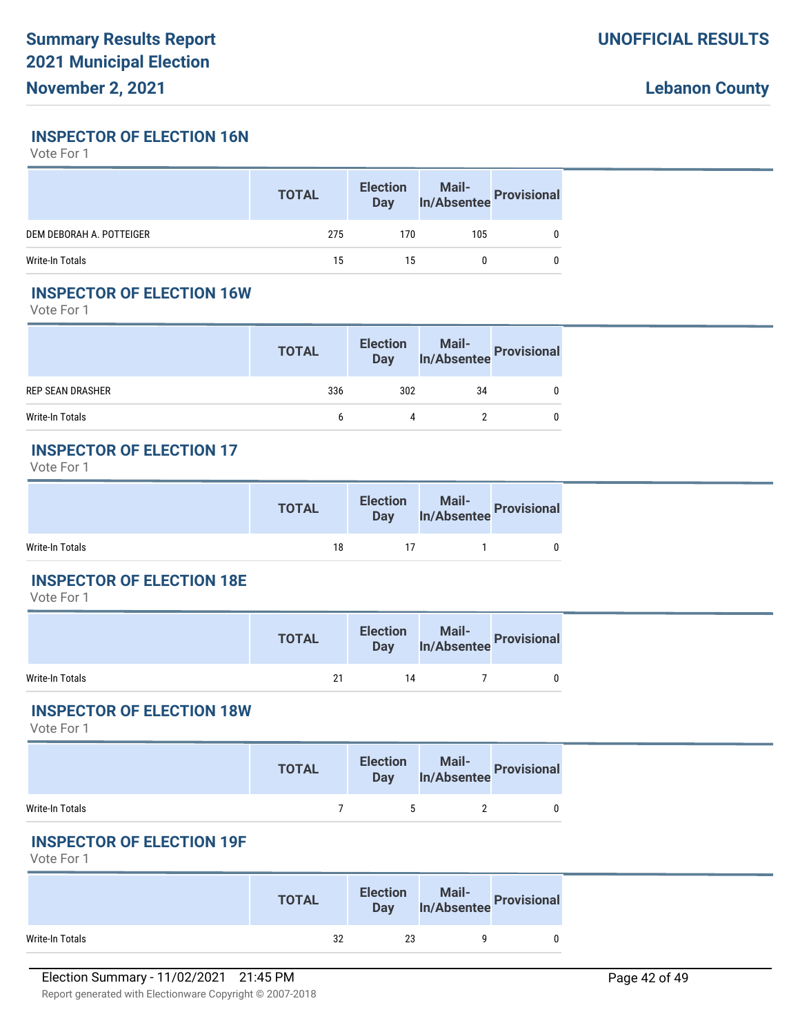**INSPECTOR OF ELECTION 16N**

Vote For 1

|                          | <b>TOTAL</b> | <b>Election</b><br><b>Day</b> | Mail-<br>In/Absentee Provisional |  |
|--------------------------|--------------|-------------------------------|----------------------------------|--|
| DEM DEBORAH A. POTTEIGER | 275          | 170                           | 105                              |  |
| Write-In Totals          | 15           | 15                            |                                  |  |

### **INSPECTOR OF ELECTION 16W**

Vote For 1

|                         | <b>TOTAL</b> |     | Election Mail-<br>Day In/Absentee Provisional |  |
|-------------------------|--------------|-----|-----------------------------------------------|--|
| <b>REP SEAN DRASHER</b> | 336          | 302 | 34                                            |  |
| Write-In Totals         |              |     |                                               |  |

#### **INSPECTOR OF ELECTION 17**

Vote For 1

|                 | <b>TOTAL</b> | <b>Election</b><br><b>Day</b> | <b>Mail-</b><br>In/Absentee Provisional |  |
|-----------------|--------------|-------------------------------|-----------------------------------------|--|
| Write-In Totals | 18           | 17                            |                                         |  |

#### **INSPECTOR OF ELECTION 18E**

Vote For 1

|                 | <b>TOTAL</b> | <b>Election</b><br>Day | Mail-<br>In/Absentee Provisional |  |
|-----------------|--------------|------------------------|----------------------------------|--|
| Write-In Totals | 21           | 14                     |                                  |  |

#### **INSPECTOR OF ELECTION 18W**

Vote For 1

|                 | <b>TOTAL</b> | <b>Election</b><br><b>Day</b> | Mail-<br>In/Absentee Provisional |  |
|-----------------|--------------|-------------------------------|----------------------------------|--|
| Write-In Totals |              | ъ.                            |                                  |  |

#### **INSPECTOR OF ELECTION 19F**

|                 | <b>TOTAL</b> | <b>Election</b><br><b>Day</b> | n Mail-<br>In/Absentee Provisional |  |
|-----------------|--------------|-------------------------------|------------------------------------|--|
| Write-In Totals | 32           | 23                            |                                    |  |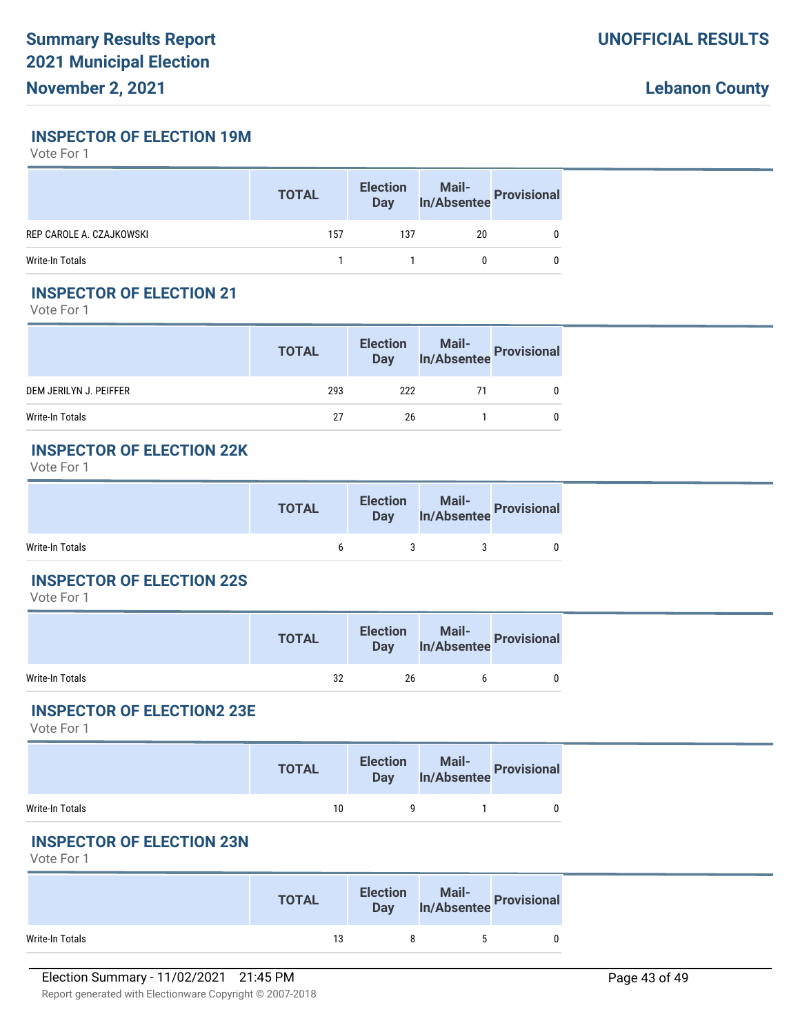**INSPECTOR OF ELECTION 19M**

Vote For 1

|                          | <b>TOTAL</b> | <b>Election</b><br>Day | Mail-<br>In/Absentee Provisional |  |
|--------------------------|--------------|------------------------|----------------------------------|--|
| REP CAROLE A. CZAJKOWSKI | 157          | 137                    | 20                               |  |
| Write-In Totals          |              |                        |                                  |  |

# **INSPECTOR OF ELECTION 21**

Vote For 1

|                        | <b>TOTAL</b> |     | Election Mail-<br>Day In/Absentee Provisional |  |
|------------------------|--------------|-----|-----------------------------------------------|--|
| DEM JERILYN J. PEIFFER | 293          | 222 | 71                                            |  |
| Write-In Totals        | 27           | 26  |                                               |  |

#### **INSPECTOR OF ELECTION 22K**

Vote For 1

|                 | <b>TOTAL</b> | <b>Election</b><br><b>Day</b> | Mail-<br>In/Absentee Provisional |  |
|-----------------|--------------|-------------------------------|----------------------------------|--|
| Write-In Totals |              |                               |                                  |  |

#### **INSPECTOR OF ELECTION 22S**

Vote For 1

|                 | <b>TOTAL</b> | <b>Election</b><br><b>Day</b> | Mail-<br>Absentee Provisions' |
|-----------------|--------------|-------------------------------|-------------------------------|
| Write-In Totals | 32           | 26                            |                               |

#### **INSPECTOR OF ELECTION2 23E**

Vote For 1

|                 | <b>TOTAL</b> | <b>Election</b><br><b>Day</b> | n Mail-<br>In/Absentee Provisional |  |
|-----------------|--------------|-------------------------------|------------------------------------|--|
| Write-In Totals | 10           |                               |                                    |  |

# **INSPECTOR OF ELECTION 23N**

|                 | <b>TOTAL</b> | <b>Election</b><br><b>Day</b> | Mail-<br>In/Absentee Provisional |  |
|-----------------|--------------|-------------------------------|----------------------------------|--|
| Write-In Totals | 13           |                               |                                  |  |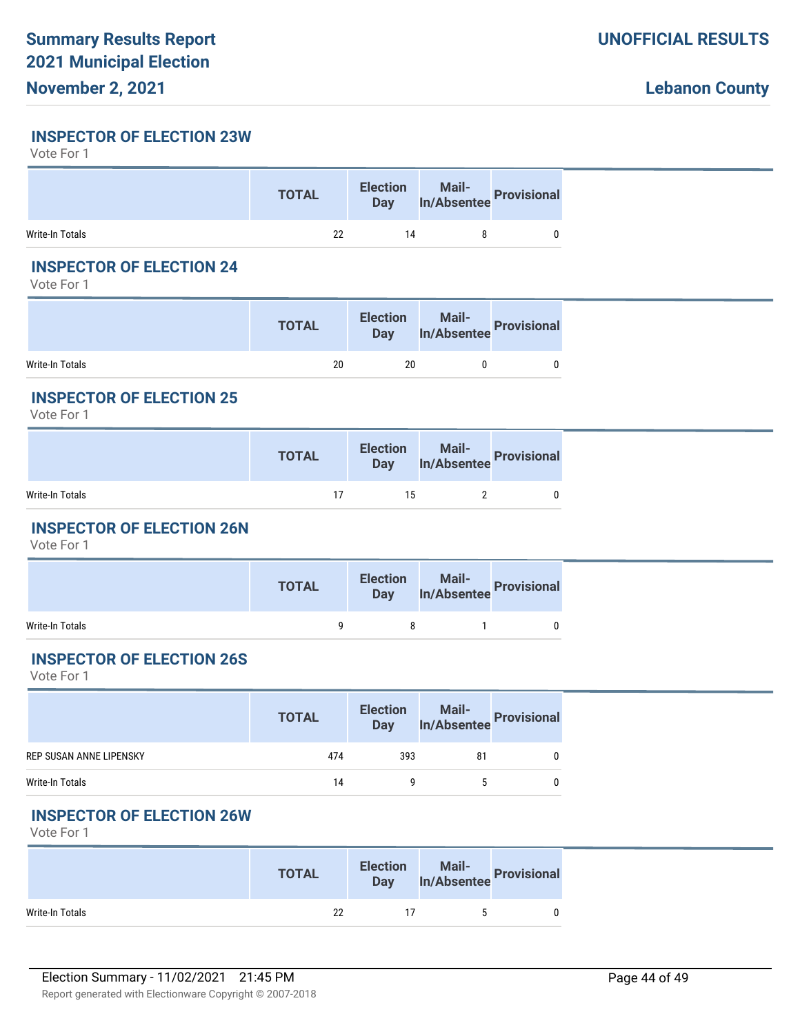### **INSPECTOR OF ELECTION 23W**

Vote For 1

|                 | <b>TOTAL</b> | <b>Election</b><br>Day | on Mail-<br>In/Absentee Provisional |  |
|-----------------|--------------|------------------------|-------------------------------------|--|
| Write-In Totals | 22           | 14                     |                                     |  |

### **INSPECTOR OF ELECTION 24**

Vote For 1

|                 | <b>TOTAL</b> | <b>Election</b><br><b>Day</b> | Mail-<br>In/Absentee<br> |  |
|-----------------|--------------|-------------------------------|--------------------------|--|
| Write-In Totals | 20           | 20                            |                          |  |

## **INSPECTOR OF ELECTION 25**

Vote For 1

|                 | <b>TOTAL</b> |    | Election Mail-<br>Day In/Absentee Provisional |  |
|-----------------|--------------|----|-----------------------------------------------|--|
| Write-In Totals |              | 15 |                                               |  |

# **INSPECTOR OF ELECTION 26N**

Vote For 1

|                 | <b>TOTAL</b> |          | Election Mail-<br>Day In/Absentee Provisional |  |
|-----------------|--------------|----------|-----------------------------------------------|--|
| Write-In Totals |              | $\alpha$ |                                               |  |

#### **INSPECTOR OF ELECTION 26S**

Vote For 1

|                                | <b>TOTAL</b> | <b>Election</b><br>Day | Mail-<br>In/Absentee Provisional |  |
|--------------------------------|--------------|------------------------|----------------------------------|--|
| <b>REP SUSAN ANNE LIPENSKY</b> | 474          | 393                    | 81                               |  |
| Write-In Totals                | 14           |                        |                                  |  |

# **INSPECTOR OF ELECTION 26W**

|                 | <b>TOTAL</b> | <b>Election</b><br><b>Day</b> |                      | Mail-<br>In/Absentee Provisional |
|-----------------|--------------|-------------------------------|----------------------|----------------------------------|
| Write-In Totals | 22           |                               | $\ddot{\phantom{1}}$ |                                  |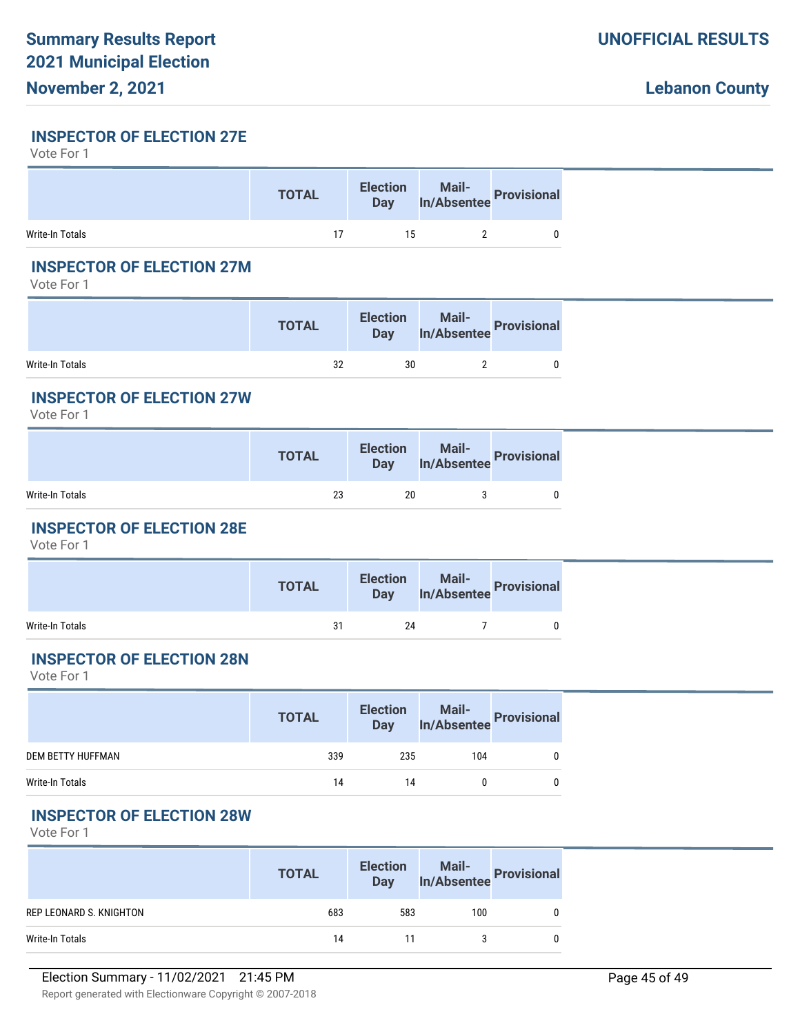# **INSPECTOR OF ELECTION 27E**

Vote For 1

|                 | <b>TOTAL</b> |    | Election Mail-<br>Day In/Absentee Provisional |  |
|-----------------|--------------|----|-----------------------------------------------|--|
| Write-In Totals |              | 15 |                                               |  |

# **INSPECTOR OF ELECTION 27M**

Vote For 1

|                 | <b>TOTAL</b> | <b>Election</b><br>Day | Mail-<br>In/Absentee Provisional |  |
|-----------------|--------------|------------------------|----------------------------------|--|
| Write-In Totals | 32           | 30                     |                                  |  |

## **INSPECTOR OF ELECTION 27W**

Vote For 1

|                 | <b>TOTAL</b> |    | Election Mail-<br>Day In/Absentee Provisional |  |
|-----------------|--------------|----|-----------------------------------------------|--|
| Write-In Totals | 23           | 20 |                                               |  |

# **INSPECTOR OF ELECTION 28E**

Vote For 1

| Election Mail-<br>Day In/Absentee Provisional<br><b>TOTAL</b> |
|---------------------------------------------------------------|
| Write-In Totals<br>24<br>31                                   |

#### **INSPECTOR OF ELECTION 28N**

Vote For 1

|                   | <b>TOTAL</b> | <b>Election</b><br>Day | Mail-<br>In/Absentee<br> |  |
|-------------------|--------------|------------------------|--------------------------|--|
| DEM BETTY HUFFMAN | 339          | 235                    | 104                      |  |
| Write-In Totals   | 14           | 14                     |                          |  |

# **INSPECTOR OF ELECTION 28W**

|                         | <b>TOTAL</b> | <b>Election</b><br><b>Day</b> | Mail-<br>In/Absentee | Provisional |
|-------------------------|--------------|-------------------------------|----------------------|-------------|
| REP LEONARD S. KNIGHTON | 683          | 583                           | 100                  |             |
| Write-In Totals         | 14           |                               |                      |             |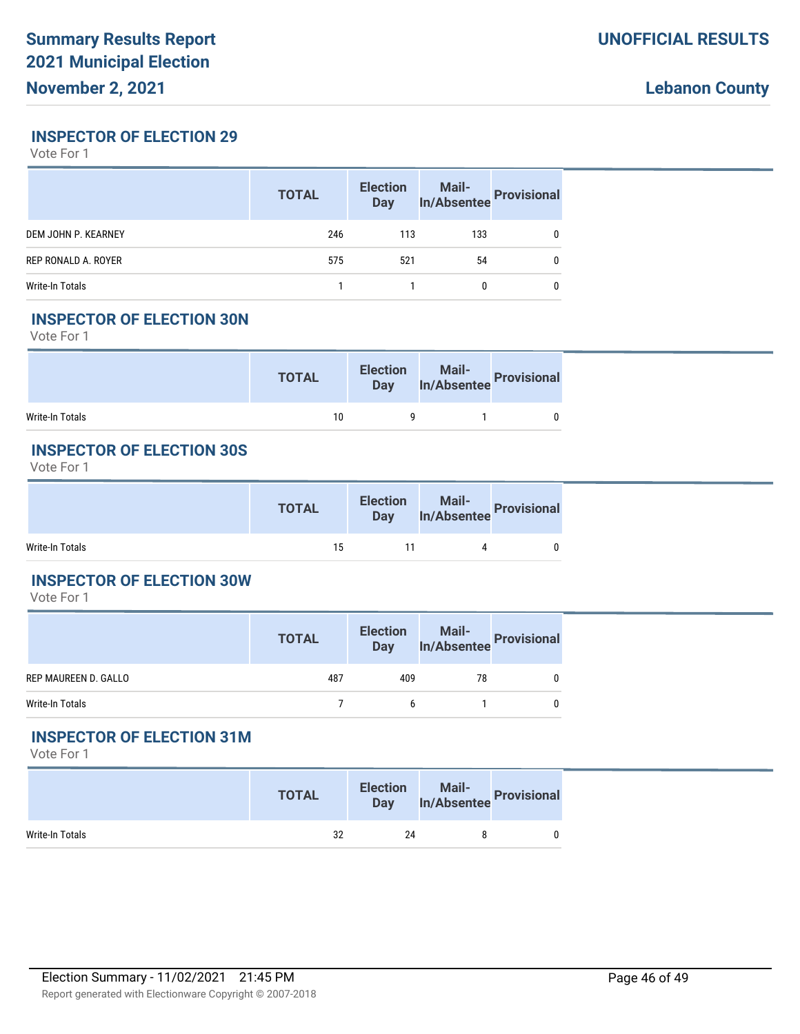### **INSPECTOR OF ELECTION 29**

Vote For 1

|                     | <b>TOTAL</b> | <b>Election</b><br><b>Day</b> |     | Mail-<br>In/Absentee Provisional |
|---------------------|--------------|-------------------------------|-----|----------------------------------|
| DEM JOHN P. KEARNEY | 246          | 113                           | 133 |                                  |
| REP RONALD A. ROYER | 575          | 521                           | 54  |                                  |
| Write-In Totals     |              |                               |     |                                  |

### **INSPECTOR OF ELECTION 30N**

Vote For 1

|                 | <b>TOTAL</b> | Election Mail-<br>Day In/Absentee Provisional |  |
|-----------------|--------------|-----------------------------------------------|--|
| Write-In Totals | 10           |                                               |  |

# **INSPECTOR OF ELECTION 30S**

Vote For 1

|                 | <b>TOTAL</b> | Election Mail-<br>Day In/Absentee Provisional |  |
|-----------------|--------------|-----------------------------------------------|--|
| Write-In Totals | 15           |                                               |  |

#### **INSPECTOR OF ELECTION 30W**

Vote For 1

|                      | <b>TOTAL</b> | <b>Election</b><br><b>Day</b> | Mail-<br>In/Absentee Provisional |  |
|----------------------|--------------|-------------------------------|----------------------------------|--|
| REP MAUREEN D. GALLO | 487          | 409                           | 78                               |  |
| Write-In Totals      |              | <sub>b</sub>                  |                                  |  |

# **INSPECTOR OF ELECTION 31M**

|                 | <b>TOTAL</b> | <b>Election</b><br><b>Day</b> | Mail-<br>In/Absentee Provisional |  |
|-----------------|--------------|-------------------------------|----------------------------------|--|
| Write-In Totals | 32           | 24                            |                                  |  |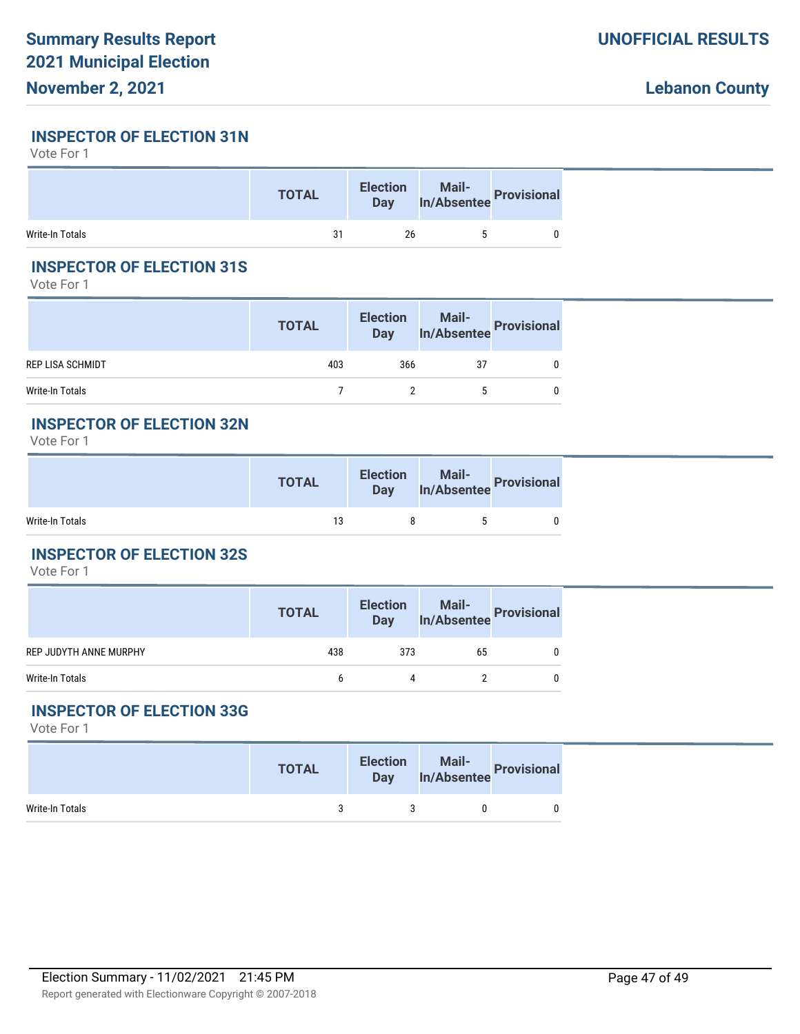#### **INSPECTOR OF ELECTION 31N**

Vote For 1

|                 | <b>TOTAL</b> | <b>Election</b><br><b>Day</b> | Mail-<br>In/Absentee Provisional |
|-----------------|--------------|-------------------------------|----------------------------------|
| Write-In Totals | 31           | 26                            |                                  |

# **INSPECTOR OF ELECTION 31S**

Vote For 1

|                         | <b>TOTAL</b> | <b>Election</b><br><b>Day</b> | Mail-<br>In/Absentee Provisional |  |
|-------------------------|--------------|-------------------------------|----------------------------------|--|
| <b>REP LISA SCHMIDT</b> | 403          | 366                           | 37                               |  |
| Write-In Totals         |              |                               |                                  |  |

### **INSPECTOR OF ELECTION 32N**

Vote For 1

|                 | <b>TOTAL</b> | Election Mail-<br>Day In/Absentee Provisional |  |
|-----------------|--------------|-----------------------------------------------|--|
| Write-In Totals | 13           |                                               |  |

# **INSPECTOR OF ELECTION 32S**

Vote For 1

|                        | <b>TOTAL</b> | <b>Election</b><br>Day | Mail-<br>In/Absentee Provisional |  |
|------------------------|--------------|------------------------|----------------------------------|--|
| REP JUDYTH ANNE MURPHY | 438          | 373                    | 65                               |  |
| Write-In Totals        | h            |                        |                                  |  |

#### **INSPECTOR OF ELECTION 33G**

|                 | <b>TOTAL</b> |  | Day In/Absentee Provisional |
|-----------------|--------------|--|-----------------------------|
| Write-In Totals |              |  |                             |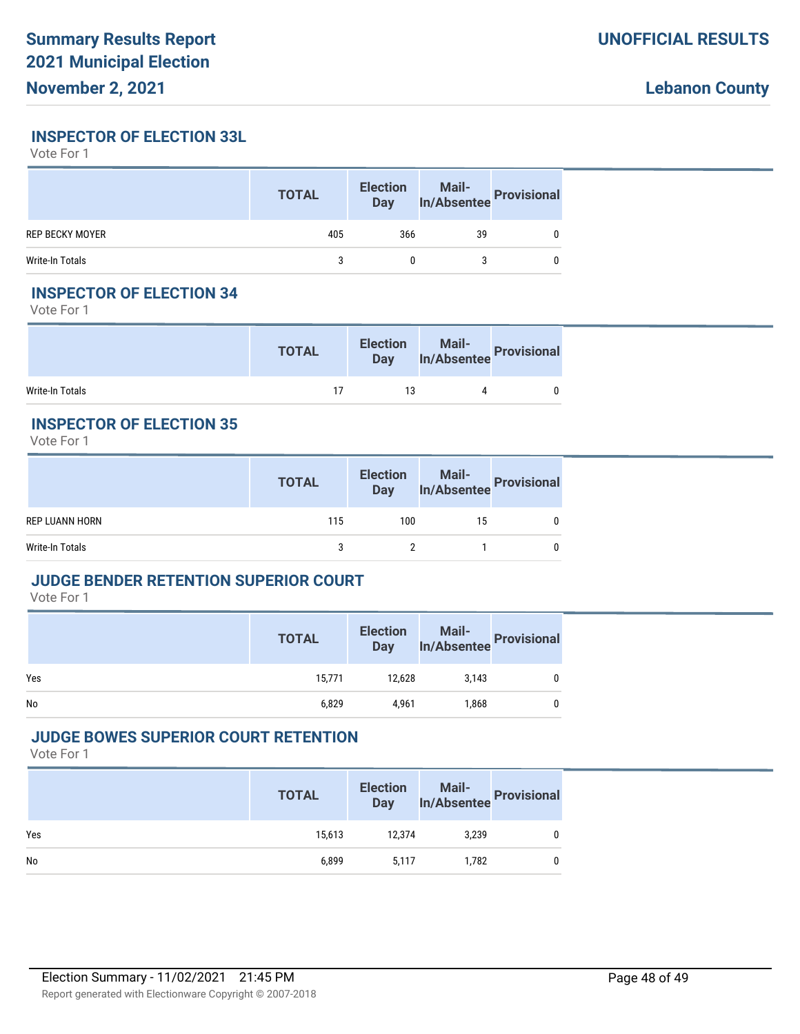#### **INSPECTOR OF ELECTION 33L**

Vote For 1

|                 | <b>TOTAL</b> | <b>Election</b><br>Day | Mail-<br>In/Absentee Provisional |  |
|-----------------|--------------|------------------------|----------------------------------|--|
| REP BECKY MOYER | 405          | 366                    | 39                               |  |
| Write-In Totals |              |                        |                                  |  |

### **INSPECTOR OF ELECTION 34**

Vote For 1

|                 | <b>TOTAL</b> | <b>Election</b> | Election Mail-<br>Day In/Absentee Provisional |  |
|-----------------|--------------|-----------------|-----------------------------------------------|--|
| Write-In Totals |              |                 |                                               |  |

# **INSPECTOR OF ELECTION 35**

Vote For 1

|                       | <b>TOTAL</b> | <b>Election</b><br><b>Day</b> | Mail-<br>In/Absentee Provisional |  |
|-----------------------|--------------|-------------------------------|----------------------------------|--|
| <b>REP LUANN HORN</b> | 115          | 100                           | 15                               |  |
| Write-In Totals       |              |                               |                                  |  |

#### **JUDGE BENDER RETENTION SUPERIOR COURT**

Vote For 1

|     | <b>TOTAL</b> | <b>Election</b><br>Day | Mail-<br>In/Absentee Provisional |  |
|-----|--------------|------------------------|----------------------------------|--|
| Yes | 15,771       | 12,628                 | 3,143                            |  |
| No  | 6,829        | 4,961                  | 1,868                            |  |

# **JUDGE BOWES SUPERIOR COURT RETENTION**

|     | <b>TOTAL</b> | <b>Election</b><br>Day | Mail-<br>In/Absentee Provisional |  |
|-----|--------------|------------------------|----------------------------------|--|
| Yes | 15,613       | 12,374                 | 3.239                            |  |
| No  | 6,899        | 5,117                  | 1,782                            |  |